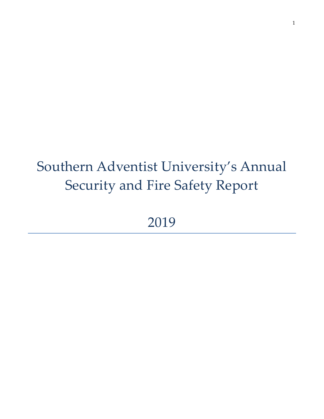# Southern Adventist University's Annual Security and Fire Safety Report

2019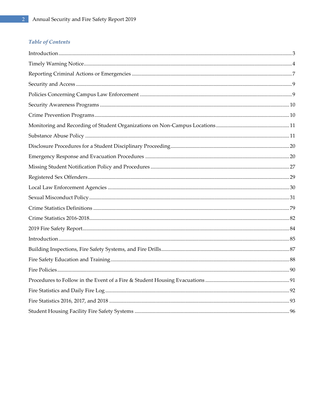#### Table of Contents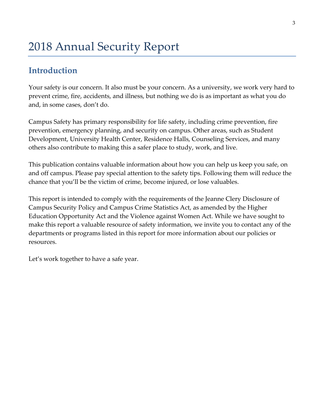# <span id="page-2-0"></span>**Introduction**

Your safety is our concern. It also must be your concern. As a university, we work very hard to prevent crime, fire, accidents, and illness, but nothing we do is as important as what you do and, in some cases, don't do.

Campus Safety has primary responsibility for life safety, including crime prevention, fire prevention, emergency planning, and security on campus. Other areas, such as Student Development, University Health Center, Residence Halls, Counseling Services, and many others also contribute to making this a safer place to study, work, and live.

This publication contains valuable information about how you can help us keep you safe, on and off campus. Please pay special attention to the safety tips. Following them will reduce the chance that you'll be the victim of crime, become injured, or lose valuables.

This report is intended to comply with the requirements of the Jeanne Clery Disclosure of Campus Security Policy and Campus Crime Statistics Act, as amended by the Higher Education Opportunity Act and the Violence against Women Act. While we have sought to make this report a valuable resource of safety information, we invite you to contact any of the departments or programs listed in this report for more information about our policies or resources.

Let's work together to have a safe year.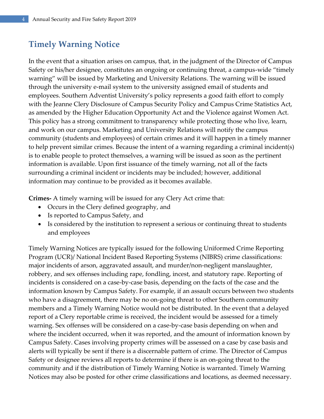# <span id="page-3-0"></span>**Timely Warning Notice**

In the event that a situation arises on campus, that, in the judgment of the Director of Campus Safety or his/her designee, constitutes an ongoing or continuing threat, a campus-wide "timely warning" will be issued by Marketing and University Relations. The warning will be issued through the university e-mail system to the university assigned email of students and employees. Southern Adventist University's policy represents a good faith effort to comply with the Jeanne Clery Disclosure of Campus Security Policy and Campus Crime Statistics Act, as amended by the Higher Education Opportunity Act and the Violence against Women Act. This policy has a strong commitment to transparency while protecting those who live, learn, and work on our campus. Marketing and University Relations will notify the campus community (students and employees) of certain crimes and it will happen in a timely manner to help prevent similar crimes. Because the intent of a warning regarding a criminal incident(s) is to enable people to protect themselves, a warning will be issued as soon as the pertinent information is available. Upon first issuance of the timely warning, not all of the facts surrounding a criminal incident or incidents may be included; however, additional information may continue to be provided as it becomes available.

**Crimes-** A timely warning will be issued for any Clery Act crime that:

- Occurs in the Clery defined geography, and
- Is reported to Campus Safety, and
- Is considered by the institution to represent a serious or continuing threat to students and employees

Timely Warning Notices are typically issued for the following Uniformed Crime Reporting Program (UCR)/ National Incident Based Reporting Systems (NIBRS) crime classifications: major incidents of arson, aggravated assault, and murder/non-negligent manslaughter, robbery, and sex offenses including rape, fondling, incest, and statutory rape. Reporting of incidents is considered on a case-by-case basis, depending on the facts of the case and the information known by Campus Safety. For example, if an assault occurs between two students who have a disagreement, there may be no on-going threat to other Southern community members and a Timely Warning Notice would not be distributed. In the event that a delayed report of a Clery reportable crime is received, the incident would be assessed for a timely warning. Sex offenses will be considered on a case-by-case basis depending on when and where the incident occurred, when it was reported, and the amount of information known by Campus Safety. Cases involving property crimes will be assessed on a case by case basis and alerts will typically be sent if there is a discernable pattern of crime. The Director of Campus Safety or designee reviews all reports to determine if there is an on-going threat to the community and if the distribution of Timely Warning Notice is warranted. Timely Warning Notices may also be posted for other crime classifications and locations, as deemed necessary.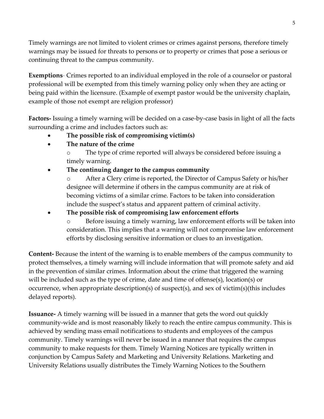Timely warnings are not limited to violent crimes or crimes against persons, therefore timely warnings may be issued for threats to persons or to property or crimes that pose a serious or continuing threat to the campus community.

**Exemptions**- Crimes reported to an individual employed in the role of a counselor or pastoral professional will be exempted from this timely warning policy only when they are acting or being paid within the licensure. (Example of exempt pastor would be the university chaplain, example of those not exempt are religion professor)

**Factors-** Issuing a timely warning will be decided on a case-by-case basis in light of all the facts surrounding a crime and includes factors such as:

- **The possible risk of compromising victim(s)**
- **The nature of the crime**

o The type of crime reported will always be considered before issuing a timely warning.

**The continuing danger to the campus community**

o After a Clery crime is reported, the Director of Campus Safety or his/her designee will determine if others in the campus community are at risk of becoming victims of a similar crime. Factors to be taken into consideration include the suspect's status and apparent pattern of criminal activity.

**The possible risk of compromising law enforcement efforts**

o Before issuing a timely warning, law enforcement efforts will be taken into consideration. This implies that a warning will not compromise law enforcement efforts by disclosing sensitive information or clues to an investigation.

**Content-** Because the intent of the warning is to enable members of the campus community to protect themselves, a timely warning will include information that will promote safety and aid in the prevention of similar crimes. Information about the crime that triggered the warning will be included such as the type of crime, date and time of offense(s), location(s) or occurrence, when appropriate description(s) of suspect(s), and sex of victim(s)(this includes delayed reports).

**Issuance-** A timely warning will be issued in a manner that gets the word out quickly community-wide and is most reasonably likely to reach the entire campus community. This is achieved by sending mass email notifications to students and employees of the campus community. Timely warnings will never be issued in a manner that requires the campus community to make requests for them. Timely Warning Notices are typically written in conjunction by Campus Safety and Marketing and University Relations. Marketing and University Relations usually distributes the Timely Warning Notices to the Southern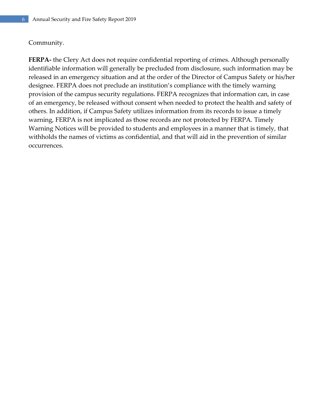#### Community.

**FERPA-** the Clery Act does not require confidential reporting of crimes. Although personally identifiable information will generally be precluded from disclosure, such information may be released in an emergency situation and at the order of the Director of Campus Safety or his/her designee. FERPA does not preclude an institution's compliance with the timely warning provision of the campus security regulations. FERPA recognizes that information can, in case of an emergency, be released without consent when needed to protect the health and safety of others. In addition, if Campus Safety utilizes information from its records to issue a timely warning, FERPA is not implicated as those records are not protected by FERPA. Timely Warning Notices will be provided to students and employees in a manner that is timely, that withholds the names of victims as confidential, and that will aid in the prevention of similar occurrences.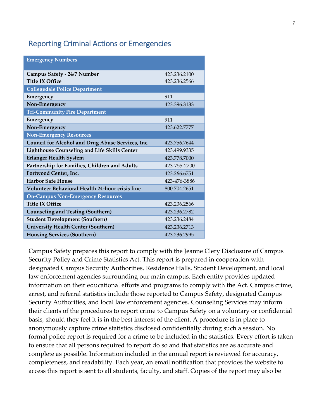#### <span id="page-6-0"></span>Reporting Criminal Actions or Emergencies

| <b>Emergency Numbers</b>                               |              |
|--------------------------------------------------------|--------------|
|                                                        |              |
| Campus Safety - 24/7 Number                            | 423.236.2100 |
| <b>Title IX Office</b>                                 | 423.236.2566 |
| <b>Collegedale Police Department</b>                   |              |
| Emergency                                              | 911          |
| Non-Emergency                                          | 423.396.3133 |
| <b>Tri-Community Fire Department</b>                   |              |
| Emergency                                              | 911          |
| Non-Emergency                                          | 423.622.7777 |
| <b>Non-Emergency Resources</b>                         |              |
| Council for Alcohol and Drug Abuse Services, Inc.      | 423.756.7644 |
| Lighthouse Counseling and Life Skills Center           | 423.499.9335 |
| <b>Erlanger Health System</b>                          | 423.778.7000 |
| Partnership for Families, Children and Adults          | 423-755-2700 |
| Fortwood Center, Inc.                                  | 423.266.6751 |
| <b>Harbor Safe House</b>                               | 423-476-3886 |
| <b>Volunteer Behavioral Health 24-hour crisis line</b> | 800.704.2651 |
| <b>On-Campus Non-Emergency Resources</b>               |              |
| <b>Title IX Office</b>                                 | 423.236.2566 |
| <b>Counseling and Testing (Southern)</b>               | 423.236.2782 |
| <b>Student Development (Southern)</b>                  | 423.236.2484 |
| <b>University Health Center (Southern)</b>             | 423.236.2713 |
| <b>Housing Services (Southern)</b>                     | 423.236.2995 |
|                                                        |              |

Campus Safety prepares this report to comply with the Jeanne Clery Disclosure of Campus Security Policy and Crime Statistics Act. This report is prepared in cooperation with designated Campus Security Authorities, Residence Halls, Student Development, and local law enforcement agencies surrounding our main campus. Each entity provides updated information on their educational efforts and programs to comply with the Act. Campus crime, arrest, and referral statistics include those reported to Campus Safety, designated Campus Security Authorities, and local law enforcement agencies. Counseling Services may inform their clients of the procedures to report crime to Campus Safety on a voluntary or confidential basis, should they feel it is in the best interest of the client. A procedure is in place to anonymously capture crime statistics disclosed confidentially during such a session. No formal police report is required for a crime to be included in the statistics. Every effort is taken to ensure that all persons required to report do so and that statistics are as accurate and complete as possible. Information included in the annual report is reviewed for accuracy, completeness, and readability. Each year, an email notification that provides the website to access this report is sent to all students, faculty, and staff. Copies of the report may also be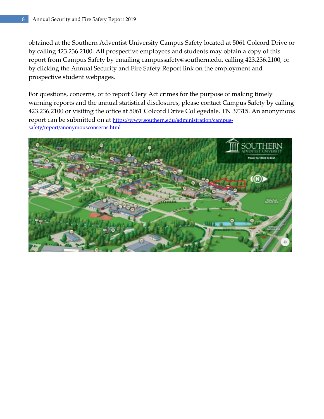obtained at the Southern Adventist University Campus Safety located at 5061 Colcord Drive or by calling 423.236.2100. All prospective employees and students may obtain a copy of this report from Campus Safety by emailing campussafety@southern.edu, calling 423.236.2100, or by clicking the Annual Security and Fire Safety Report link on the employment and prospective student webpages.

For questions, concerns, or to report Clery Act crimes for the purpose of making timely warning reports and the annual statistical disclosures, please contact Campus Safety by calling 423.236.2100 or visiting the office at 5061 Colcord Drive Collegedale, TN 37315. An anonymous report can be submitted on at [https://www.southern.edu/administration/campus](https://www.southern.edu/administration/campus-safety/report/anonymousconcerns.html)[safety/report/anonymousconcerns.html](https://www.southern.edu/administration/campus-safety/report/anonymousconcerns.html)

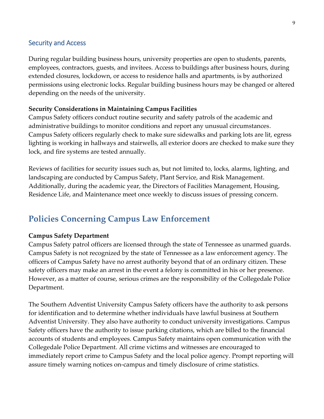#### <span id="page-8-0"></span>Security and Access

During regular building business hours, university properties are open to students, parents, employees, contractors, guests, and invitees. Access to buildings after business hours, during extended closures, lockdown, or access to residence halls and apartments, is by authorized permissions using electronic locks. Regular building business hours may be changed or altered depending on the needs of the university.

#### **Security Considerations in Maintaining Campus Facilities**

Campus Safety officers conduct routine security and safety patrols of the academic and administrative buildings to monitor conditions and report any unusual circumstances. Campus Safety officers regularly check to make sure sidewalks and parking lots are lit, egress lighting is working in hallways and stairwells, all exterior doors are checked to make sure they lock, and fire systems are tested annually.

Reviews of facilities for security issues such as, but not limited to, locks, alarms, lighting, and landscaping are conducted by Campus Safety, Plant Service, and Risk Management. Additionally, during the academic year, the Directors of Facilities Management, Housing, Residence Life, and Maintenance meet once weekly to discuss issues of pressing concern.

### <span id="page-8-1"></span>**Policies Concerning Campus Law Enforcement**

#### **Campus Safety Department**

Campus Safety patrol officers are licensed through the state of Tennessee as unarmed guards. Campus Safety is not recognized by the state of Tennessee as a law enforcement agency. The officers of Campus Safety have no arrest authority beyond that of an ordinary citizen. These safety officers may make an arrest in the event a felony is committed in his or her presence. However, as a matter of course, serious crimes are the responsibility of the Collegedale Police Department.

The Southern Adventist University Campus Safety officers have the authority to ask persons for identification and to determine whether individuals have lawful business at Southern Adventist University. They also have authority to conduct university investigations. Campus Safety officers have the authority to issue parking citations, which are billed to the financial accounts of students and employees. Campus Safety maintains open communication with the Collegedale Police Department. All crime victims and witnesses are encouraged to immediately report crime to Campus Safety and the local police agency. Prompt reporting will assure timely warning notices on-campus and timely disclosure of crime statistics.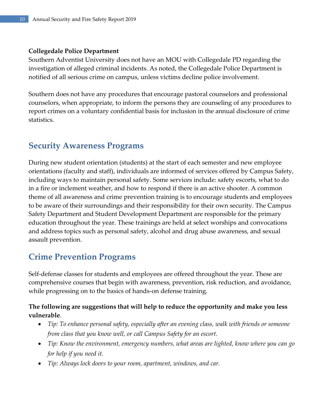#### **Collegedale Police Department**

Southern Adventist University does not have an MOU with Collegedale PD regarding the investigation of alleged criminal incidents. As noted, the Collegedale Police Department is notified of all serious crime on campus, unless victims decline police involvement.

Southern does not have any procedures that encourage pastoral counselors and professional counselors, when appropriate, to inform the persons they are counseling of any procedures to report crimes on a voluntary confidential basis for inclusion in the annual disclosure of crime statistics.

### <span id="page-9-0"></span>**Security Awareness Programs**

During new student orientation (students) at the start of each semester and new employee orientations (faculty and staff), individuals are informed of services offered by Campus Safety, including ways to maintain personal safety. Some services include: safety escorts, what to do in a fire or inclement weather, and how to respond if there is an active shooter. A common theme of all awareness and crime prevention training is to encourage students and employees to be aware of their surroundings and their responsibility for their own security. The Campus Safety Department and Student Development Department are responsible for the primary education throughout the year. These trainings are held at select worships and convocations and address topics such as personal safety, alcohol and drug abuse awareness, and sexual assault prevention.

### <span id="page-9-1"></span>**Crime Prevention Programs**

Self-defense classes for students and employees are offered throughout the year. These are comprehensive courses that begin with awareness, prevention, risk reduction, and avoidance, while progressing on to the basics of hands-on defense training.

#### **The following are suggestions that will help to reduce the opportunity and make you less vulnerable**.

- *Tip: To enhance personal safety, especially after an evening class, walk with friends or someone from class that you know well, or call Campus Safety for an escort.*
- *Tip: Know the environment, emergency numbers, what areas are lighted, know where you can go for help if you need it.*
- *Tip: Always lock doors to your room, apartment, windows, and car.*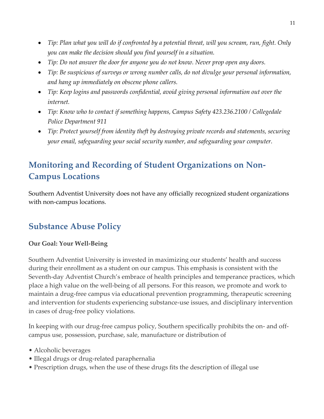- *Tip: Plan what you will do if confronted by a potential threat, will you scream, run, fight. Only you can make the decision should you find yourself in a situation.*
- *Tip: Do not answer the door for anyone you do not know. Never prop open any doors.*
- *Tip: Be suspicious of surveys or wrong number calls, do not divulge your personal information, and hang up immediately on obscene phone callers.*
- *Tip: Keep logins and passwords confidential, avoid giving personal information out over the internet.*
- *Tip: Know who to contact if something happens, Campus Safety 423.236.2100 / Collegedale Police Department 911*
- *Tip: Protect yourself from identity theft by destroying private records and statements, securing your email, safeguarding your social security number, and safeguarding your computer.*

# <span id="page-10-0"></span>**Monitoring and Recording of Student Organizations on Non-Campus Locations**

Southern Adventist University does not have any officially recognized student organizations with non-campus locations.

# <span id="page-10-1"></span>**Substance Abuse Policy**

#### **Our Goal: Your Well-Being**

Southern Adventist University is invested in maximizing our students' health and success during their enrollment as a student on our campus. This emphasis is consistent with the Seventh-day Adventist Church's embrace of health principles and temperance practices, which place a high value on the well-being of all persons. For this reason, we promote and work to maintain a drug-free campus via educational prevention programming, therapeutic screening and intervention for students experiencing substance-use issues, and disciplinary intervention in cases of drug-free policy violations.

In keeping with our drug-free campus policy, Southern specifically prohibits the on- and offcampus use, possession, purchase, sale, manufacture or distribution of

- Alcoholic beverages
- Illegal drugs or drug-related paraphernalia
- Prescription drugs, when the use of these drugs fits the description of illegal use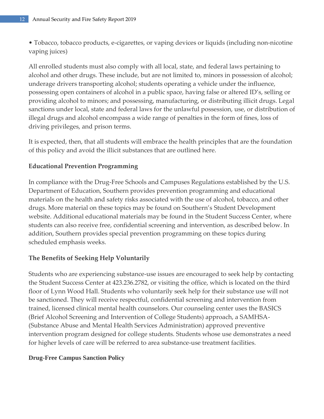• Tobacco, tobacco products, e-cigarettes, or vaping devices or liquids (including non-nicotine vaping juices)

All enrolled students must also comply with all local, state, and federal laws pertaining to alcohol and other drugs. These include, but are not limited to, minors in possession of alcohol; underage drivers transporting alcohol; students operating a vehicle under the influence, possessing open containers of alcohol in a public space, having false or altered ID's, selling or providing alcohol to minors; and possessing, manufacturing, or distributing illicit drugs. Legal sanctions under local, state and federal laws for the unlawful possession, use, or distribution of illegal drugs and alcohol encompass a wide range of penalties in the form of fines, loss of driving privileges, and prison terms.

It is expected, then, that all students will embrace the health principles that are the foundation of this policy and avoid the illicit substances that are outlined here.

#### **Educational Prevention Programming**

In compliance with the Drug-Free Schools and Campuses Regulations established by the U.S. Department of Education, Southern provides prevention programming and educational materials on the health and safety risks associated with the use of alcohol, tobacco, and other drugs. More material on these topics may be found on Southern's Student Development website. Additional educational materials may be found in the Student Success Center, where students can also receive free, confidential screening and intervention, as described below. In addition, Southern provides special prevention programming on these topics during scheduled emphasis weeks.

#### **The Benefits of Seeking Help Voluntarily**

Students who are experiencing substance-use issues are encouraged to seek help by contacting the Student Success Center at 423.236.2782, or visiting the office, which is located on the third floor of Lynn Wood Hall. Students who voluntarily seek help for their substance use will not be sanctioned. They will receive respectful, confidential screening and intervention from trained, licensed clinical mental health counselors. Our counseling center uses the BASICS (Brief Alcohol Screening and Intervention of College Students) approach, a SAMHSA- (Substance Abuse and Mental Health Services Administration) approved preventive intervention program designed for college students. Students whose use demonstrates a need for higher levels of care will be referred to area substance-use treatment facilities.

#### **Drug-Free Campus Sanction Policy**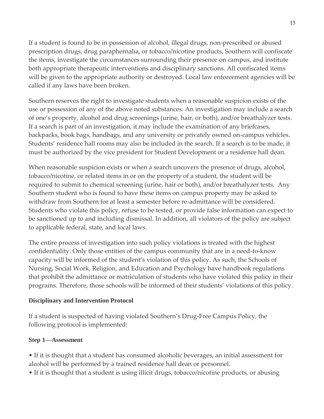If a student is found to be in possession of alcohol, illegal drugs, non-prescribed or abused prescription drugs, drug paraphernalia, or tobacco/nicotine products, Southern will confiscate the items, investigate the circumstances surrounding their presence on campus, and institute both appropriate therapeutic interventions and disciplinary sanctions. All confiscated items will be given to the appropriate authority or destroyed. Local law enforcement agencies will be called if any laws have been broken.

Southern reserves the right to investigate students when a reasonable suspicion exists of the use or possession of any of the above noted substances. An investigation may include a search of one's property, alcohol and drug screenings (urine, hair, or both), and/or breathalyzer tests. If a search is part of an investigation, it may include the examination of any briefcases, backpacks, book bags, handbags, and any university or privately owned on-campus vehicles. Students' residence hall rooms may also be included in the search. If a search is to be made, it must be authorized by the vice president for Student Development or a residence hall dean.

When reasonable suspicion exists or when a search uncovers the presence of drugs, alcohol, tobacco/nicotine, or related items in or on the property of a student, the student will be required to submit to chemical screening (urine, hair or both), and/or breathalyzer tests. Any Southern student who is found to have these items on campus property may be asked to withdraw from Southern for at least a semester before re-admittance will be considered. Students who violate this policy, refuse to be tested, or provide false information can expect to be sanctioned up to and including dismissal. In addition, all violators of the policy are subject to applicable federal, state, and local laws.

The entire process of investigation into such policy violations is treated with the highest confidentiality. Only those entities of the campus community that are in a need-to-know capacity will be informed of the student's violation of this policy. As such, the Schools of Nursing, Social Work, Religion, and Education and Psychology have handbook regulations that prohibit the admittance or matriculation of students who have violated this policy in their programs. Therefore, those schools will be informed of their students' violations of this policy.

#### **Disciplinary and Intervention Protocol**

If a student is suspected of having violated Southern's Drug-Free Campus Policy, the following protocol is implemented:

#### **Step 1—Assessment**

• If it is thought that a student has consumed alcoholic beverages, an initial assessment for alcohol will be performed by a trained residence hall dean or personnel.

• If it is thought that a student is using illicit drugs, tobacco/nicotine products, or abusing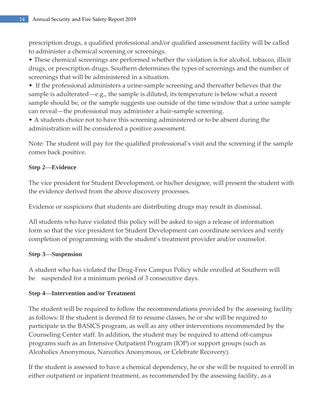prescription drugs, a qualified professional and/or qualified assessment facility will be called to administer a chemical screening or screenings.

• These chemical screenings are performed whether the violation is for alcohol, tobacco, illicit drugs, or prescription drugs. Southern determines the types of screenings and the number of screenings that will be administered in a situation.

• If the professional administers a urine-sample screening and thereafter believes that the sample is adulterated—e.g., the sample is diluted, its temperature is below what a recent sample should be, or the sample suggests use outside of the time window that a urine sample can reveal—the professional may administer a hair-sample screening.

• A students choice not to have this screening administered or to be absent during the administration will be considered a positive assessment.

Note: The student will pay for the qualified professional's visit and the screening if the sample comes back positive.

#### **Step 2—Evidence**

The vice president for Student Development, or his/her designee, will present the student with the evidence derived from the above discovery processes.

Evidence or suspicions that students are distributing drugs may result in dismissal.

All students who have violated this policy will be asked to sign a release of information form so that the vice president for Student Development can coordinate services and verify completion of programming with the student's treatment provider and/or counselor.

#### **Step 3—Suspension**

A student who has violated the Drug-Free Campus Policy while enrolled at Southern will be suspended for a minimum period of 3 consecutive days.

#### **Step 4—Intervention and/or Treatment**

The student will be required to follow the recommendations provided by the assessing facility as follows: If the student is deemed fit to resume classes, he or she will be required to participate in the BASICS program, as well as any other interventions recommended by the Counseling Center staff. In addition, the student may be required to attend off-campus programs such as an Intensive Outpatient Program (IOP) or support groups (such as Alcoholics Anonymous, Narcotics Anonymous, or Celebrate Recovery).

If the student is assessed to have a chemical dependency, he or she will be required to enroll in either outpatient or inpatient treatment, as recommended by the assessing facility, as a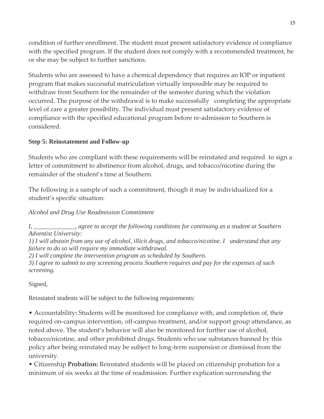condition of further enrollment. The student must present satisfactory evidence of compliance with the specified program. If the student does not comply with a recommended treatment, he or she may be subject to further sanctions.

Students who are assessed to have a chemical dependency that requires an IOP or inpatient program that makes successful matriculation virtually impossible may be required to withdraw from Southern for the remainder of the semester during which the violation occurred. The purpose of the withdrawal is to make successfully completing the appropriate level of care a greater possibility. The individual must present satisfactory evidence of compliance with the specified educational program before re-admission to Southern is considered.

#### **Step 5: Reinstatement and Follow-up**

Students who are compliant with these requirements will be reinstated and required to sign a letter of commitment to abstinence from alcohol, drugs, and tobacco/nicotine during the remainder of the student's time at Southern.

The following is a sample of such a commitment, though it may be individualized for a student's specific situation:

*Alcohol and Drug Use Readmission Commitment*

*I, \_\_\_\_\_\_\_\_\_\_\_\_\_, agree to accept the following conditions for continuing as a student at Southern Adventist University:*

*1) I will abstain from any use of alcohol, illicit drugs, and tobacco/nicotine. I understand that any failure to do so will require my immediate withdrawal.*

*2) I will complete the intervention program as scheduled by Southern.*

*3) I agree to submit to any screening process Southern requires and pay for the expenses of such screening.*

Signed,

Reinstated students will be subject to the following requirements:

• Accountability**:** Students will be monitored for compliance with, and completion of, their required on-campus intervention, off-campus treatment, and/or support group attendance, as noted above. The student's behavior will also be monitored for further use of alcohol, tobacco/nicotine, and other prohibited drugs. Students who use substances banned by this policy after being reinstated may be subject to long-term suspension or dismissal from the university.

• Citizenship **Probation:** Reinstated students will be placed on citizenship probation for a minimum of six weeks at the time of readmission. Further explication surrounding the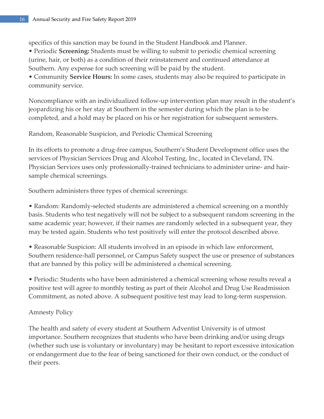specifics of this sanction may be found in the Student Handbook and Planner. • Periodic **Screening:** Students must be willing to submit to periodic chemical screening (urine, hair, or both) as a condition of their reinstatement and continued attendance at Southern. Any expense for such screening will be paid by the student. • Community **Service Hours:** In some cases, students may also be required to participate in community service.

Noncompliance with an individualized follow-up intervention plan may result in the student's jeopardizing his or her stay at Southern in the semester during which the plan is to be completed, and a hold may be placed on his or her registration for subsequent semesters.

Random, Reasonable Suspicion, and Periodic Chemical Screening

In its efforts to promote a drug-free campus, Southern's Student Development office uses the services of Physician Services Drug and Alcohol Testing, Inc., located in Cleveland, TN. Physician Services uses only professionally-trained technicians to administer urine- and hairsample chemical screenings.

Southern administers three types of chemical screenings:

• Random: Randomly-selected students are administered a chemical screening on a monthly basis. Students who test negatively will not be subject to a subsequent random screening in the same academic year; however, if their names are randomly selected in a subsequent year, they may be tested again. Students who test positively will enter the protocol described above.

• Reasonable Suspicion: All students involved in an episode in which law enforcement, Southern residence-hall personnel, or Campus Safety suspect the use or presence of substances that are banned by this policy will be administered a chemical screening.

• Periodic: Students who have been administered a chemical screening whose results reveal a positive test will agree to monthly testing as part of their Alcohol and Drug Use Readmission Commitment, as noted above. A subsequent positive test may lead to long-term suspension.

#### Amnesty Policy

The health and safety of every student at Southern Adventist University is of utmost importance. Southern recognizes that students who have been drinking and/or using drugs (whether such use is voluntary or involuntary) may be hesitant to report excessive intoxication or endangerment due to the fear of being sanctioned for their own conduct, or the conduct of their peers.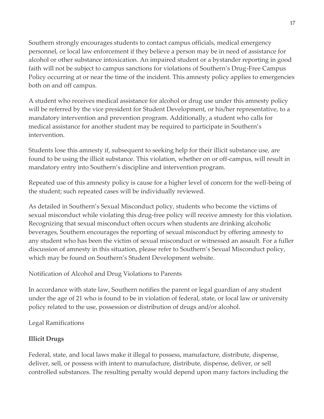Southern strongly encourages students to contact campus officials, medical emergency personnel, or local law enforcement if they believe a person may be in need of assistance for alcohol or other substance intoxication. An impaired student or a bystander reporting in good faith will not be subject to campus sanctions for violations of Southern's Drug-Free Campus Policy occurring at or near the time of the incident. This amnesty policy applies to emergencies both on and off campus.

A student who receives medical assistance for alcohol or drug use under this amnesty policy will be referred by the vice president for Student Development, or his/her representative, to a mandatory intervention and prevention program. Additionally, a student who calls for medical assistance for another student may be required to participate in Southern's intervention.

Students lose this amnesty if, subsequent to seeking help for their illicit substance use, are found to be using the illicit substance. This violation, whether on or off-campus, will result in mandatory entry into Southern's discipline and intervention program.

Repeated use of this amnesty policy is cause for a higher level of concern for the well-being of the student; such repeated cases will be individually reviewed.

As detailed in Southern's Sexual Misconduct policy, students who become the victims of sexual misconduct while violating this drug-free policy will receive amnesty for this violation. Recognizing that sexual misconduct often occurs when students are drinking alcoholic beverages, Southern encourages the reporting of sexual misconduct by offering amnesty to any student who has been the victim of sexual misconduct or witnessed an assault. For a fuller discussion of amnesty in this situation, please refer to Southern's Sexual Misconduct policy, which may be found on Southern's Student Development website.

Notification of Alcohol and Drug Violations to Parents

In accordance with state law, Southern notifies the parent or legal guardian of any student under the age of 21 who is found to be in violation of federal, state, or local law or university policy related to the use, possession or distribution of drugs and/or alcohol.

Legal Ramifications

#### **Illicit Drugs**

Federal, state, and local laws make it illegal to possess, manufacture, distribute, dispense, deliver, sell, or possess with intent to manufacture, distribute, dispense, deliver, or sell controlled substances. The resulting penalty would depend upon many factors including the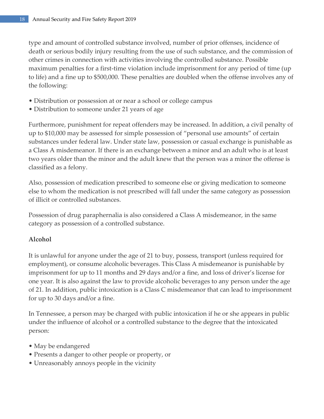type and amount of controlled substance involved, number of prior offenses, incidence of death or serious bodily injury resulting from the use of such substance, and the commission of other crimes in connection with activities involving the controlled substance. Possible maximum penalties for a first-time violation include imprisonment for any period of time (up to life) and a fine up to \$500,000. These penalties are doubled when the offense involves any of the following:

- Distribution or possession at or near a school or college campus
- Distribution to someone under 21 years of age

Furthermore, punishment for repeat offenders may be increased. In addition, a civil penalty of up to \$10,000 may be assessed for simple possession of "personal use amounts" of certain substances under federal law. Under state law, possession or casual exchange is punishable as a Class A misdemeanor. If there is an exchange between a minor and an adult who is at least two years older than the minor and the adult knew that the person was a minor the offense is classified as a felony.

Also, possession of medication prescribed to someone else or giving medication to someone else to whom the medication is not prescribed will fall under the same category as possession of illicit or controlled substances.

Possession of drug paraphernalia is also considered a Class A misdemeanor, in the same category as possession of a controlled substance.

#### **Alcohol**

It is unlawful for anyone under the age of 21 to buy, possess, transport (unless required for employment), or consume alcoholic beverages. This Class A misdemeanor is punishable by imprisonment for up to 11 months and 29 days and/or a fine, and loss of driver's license for one year. It is also against the law to provide alcoholic beverages to any person under the age of 21. In addition, public intoxication is a Class C misdemeanor that can lead to imprisonment for up to 30 days and/or a fine.

In Tennessee, a person may be charged with public intoxication if he or she appears in public under the influence of alcohol or a controlled substance to the degree that the intoxicated person:

- May be endangered
- Presents a danger to other people or property, or
- Unreasonably annoys people in the vicinity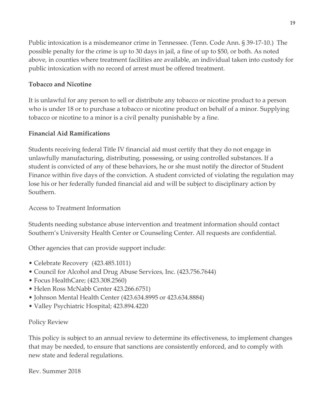Public intoxication is a misdemeanor crime in Tennessee. (Tenn. Code Ann. § 39-17-10.) The possible penalty for the crime is up to 30 days in jail, a fine of up to \$50, or both. As noted above, in counties where treatment facilities are available, an individual taken into custody for public intoxication with no record of arrest must be offered treatment.

#### **Tobacco and Nicotine**

It is unlawful for any person to sell or distribute any tobacco or nicotine product to a person who is under 18 or to purchase a tobacco or nicotine product on behalf of a minor. Supplying tobacco or nicotine to a minor is a civil penalty punishable by a fine.

#### **Financial Aid Ramifications**

Students receiving federal Title IV financial aid must certify that they do not engage in unlawfully manufacturing, distributing, possessing, or using controlled substances. If a student is convicted of any of these behaviors, he or she must notify the director of Student Finance within five days of the conviction. A student convicted of violating the regulation may lose his or her federally funded financial aid and will be subject to disciplinary action by Southern.

#### Access to Treatment Information

Students needing substance abuse intervention and treatment information should contact Southern's University Health Center or Counseling Center. All requests are confidential.

Other agencies that can provide support include:

- Celebrate Recovery (423.485.1011)
- Council for Alcohol and Drug Abuse Services, Inc. (423.756.7644)
- Focus HealthCare; (423.308.2560)
- Helen Ross McNabb Center 423.266.6751)
- Johnson Mental Health Center (423.634.8995 or 423.634.8884)
- Valley Psychiatric Hospital; 423.894.4220

#### Policy Review

This policy is subject to an annual review to determine its effectiveness, to implement changes that may be needed, to ensure that sanctions are consistently enforced, and to comply with new state and federal regulations.

Rev. Summer 2018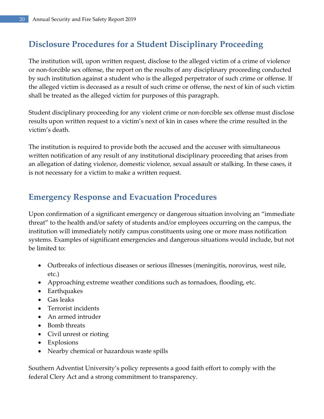# <span id="page-19-0"></span>**Disclosure Procedures for a Student Disciplinary Proceeding**

The institution will, upon written request, disclose to the alleged victim of a crime of violence or non-forcible sex offense, the report on the results of any disciplinary proceeding conducted by such institution against a student who is the alleged perpetrator of such crime or offense. If the alleged victim is deceased as a result of such crime or offense, the next of kin of such victim shall be treated as the alleged victim for purposes of this paragraph.

Student disciplinary proceeding for any violent crime or non-forcible sex offense must disclose results upon written request to a victim's next of kin in cases where the crime resulted in the victim's death.

The institution is required to provide both the accused and the accuser with simultaneous written notification of any result of any institutional disciplinary proceeding that arises from an allegation of dating violence, domestic violence, sexual assault or stalking. In these cases, it is not necessary for a victim to make a written request.

### <span id="page-19-1"></span>**Emergency Response and Evacuation Procedures**

Upon confirmation of a significant emergency or dangerous situation involving an "immediate threat" to the health and/or safety of students and/or employees occurring on the campus, the institution will immediately notify campus constituents using one or more mass notification systems. Examples of significant emergencies and dangerous situations would include, but not be limited to:

- Outbreaks of infectious diseases or serious illnesses (meningitis, norovirus, west nile, etc.)
- Approaching extreme weather conditions such as tornadoes, flooding, etc.
- Earthquakes
- Gas leaks
- Terrorist incidents
- An armed intruder
- Bomb threats
- Civil unrest or rioting
- Explosions
- Nearby chemical or hazardous waste spills

Southern Adventist University's policy represents a good faith effort to comply with the federal Clery Act and a strong commitment to transparency.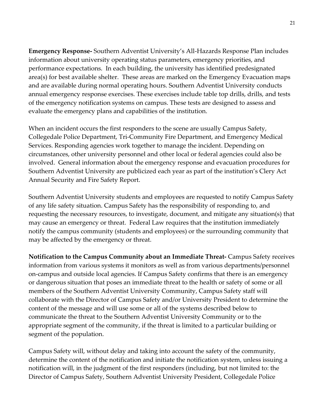**Emergency Response-** Southern Adventist University's All-Hazards Response Plan includes information about university operating status parameters, emergency priorities, and performance expectations. In each building, the university has identified predesignated area(s) for best available shelter. These areas are marked on the Emergency Evacuation maps and are available during normal operating hours. Southern Adventist University conducts annual emergency response exercises. These exercises include table top drills, drills, and tests of the emergency notification systems on campus. These tests are designed to assess and evaluate the emergency plans and capabilities of the institution.

When an incident occurs the first responders to the scene are usually Campus Safety, Collegedale Police Department, Tri-Community Fire Department, and Emergency Medical Services. Responding agencies work together to manage the incident. Depending on circumstances, other university personnel and other local or federal agencies could also be involved. General information about the emergency response and evacuation procedures for Southern Adventist University are publicized each year as part of the institution's Clery Act Annual Security and Fire Safety Report.

Southern Adventist University students and employees are requested to notify Campus Safety of any life safety situation. Campus Safety has the responsibility of responding to, and requesting the necessary resources, to investigate, document, and mitigate any situation(s) that may cause an emergency or threat. Federal Law requires that the institution immediately notify the campus community (students and employees) or the surrounding community that may be affected by the emergency or threat.

**Notification to the Campus Community about an Immediate Threat-** Campus Safety receives information from various systems it monitors as well as from various departments/personnel on-campus and outside local agencies. If Campus Safety confirms that there is an emergency or dangerous situation that poses an immediate threat to the health or safety of some or all members of the Southern Adventist University Community, Campus Safety staff will collaborate with the Director of Campus Safety and/or University President to determine the content of the message and will use some or all of the systems described below to communicate the threat to the Southern Adventist University Community or to the appropriate segment of the community, if the threat is limited to a particular building or segment of the population.

Campus Safety will, without delay and taking into account the safety of the community, determine the content of the notification and initiate the notification system, unless issuing a notification will, in the judgment of the first responders (including, but not limited to: the Director of Campus Safety, Southern Adventist University President, Collegedale Police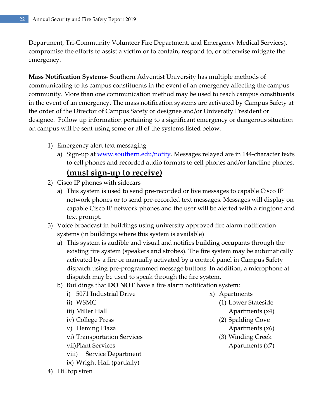Department, Tri-Community Volunteer Fire Department, and Emergency Medical Services), compromise the efforts to assist a victim or to contain, respond to, or otherwise mitigate the emergency.

**Mass Notification Systems-** Southern Adventist University has multiple methods of communicating to its campus constituents in the event of an emergency affecting the campus community. More than one communication method may be used to reach campus constituents in the event of an emergency. The mass notification systems are activated by Campus Safety at the order of the Director of Campus Safety or designee and/or University President or designee. Follow up information pertaining to a significant emergency or dangerous situation on campus will be sent using some or all of the systems listed below.

- 1) Emergency alert text messaging
	- a) Sign-up at [www.southern.edu/notify.](http://www.southern.edu/notify) Messages relayed are in 144-character texts to cell phones and recorded audio formats to cell phones and/or landline phones.

#### **(must sign-up to receive)**

- 2) Cisco IP phones with sidecars
	- a) This system is used to send pre-recorded or live messages to capable Cisco IP network phones or to send pre-recorded text messages. Messages will display on capable Cisco IP network phones and the user will be alerted with a ringtone and text prompt.
- 3) Voice broadcast in buildings using university approved fire alarm notification systems (in buildings where this system is available)
	- a) This system is audible and visual and notifies building occupants through the existing fire system (speakers and strobes). The fire system may be automatically activated by a fire or manually activated by a control panel in Campus Safety dispatch using pre-programmed message buttons. In addition, a microphone at dispatch may be used to speak through the fire system.
	- b) Buildings that **DO NOT** have a fire alarm notification system:
		- i) 5071 Industrial Drive
		- ii) WSMC
		- iii) Miller Hall
		- iv) College Press
		- v) Fleming Plaza
		- vi) Transportation Services
		- vii)Plant Services
		- viii) Service Department
		- ix) Wright Hall (partially)
- 4) Hilltop siren
- x) Apartments
	- (1) Lower Stateside
		- Apartments (x4)
	- (2) Spalding Cove
		- Apartments (x6)
	- (3) Winding Creek
		- Apartments (x7)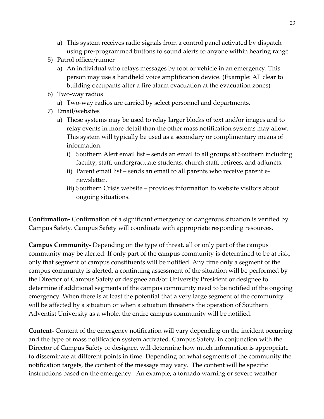- a) This system receives radio signals from a control panel activated by dispatch using pre-programmed buttons to sound alerts to anyone within hearing range.
- 5) Patrol officer/runner
	- a) An individual who relays messages by foot or vehicle in an emergency. This person may use a handheld voice amplification device. (Example: All clear to building occupants after a fire alarm evacuation at the evacuation zones)
- 6) Two-way radios
	- a) Two-way radios are carried by select personnel and departments.
- 7) Email/websites
	- a) These systems may be used to relay larger blocks of text and/or images and to relay events in more detail than the other mass notification systems may allow. This system will typically be used as a secondary or complimentary means of information.
		- i) Southern Alert email list sends an email to all groups at Southern including faculty, staff, undergraduate students, church staff, retirees, and adjuncts.
		- ii) Parent email list sends an email to all parents who receive parent enewsletter.
		- iii) Southern Crisis website provides information to website visitors about ongoing situations.

**Confirmation-** Confirmation of a significant emergency or dangerous situation is verified by Campus Safety. Campus Safety will coordinate with appropriate responding resources.

**Campus Community-** Depending on the type of threat, all or only part of the campus community may be alerted. If only part of the campus community is determined to be at risk, only that segment of campus constituents will be notified. Any time only a segment of the campus community is alerted, a continuing assessment of the situation will be performed by the Director of Campus Safety or designee and/or University President or designee to determine if additional segments of the campus community need to be notified of the ongoing emergency. When there is at least the potential that a very large segment of the community will be affected by a situation or when a situation threatens the operation of Southern Adventist University as a whole, the entire campus community will be notified.

**Content-** Content of the emergency notification will vary depending on the incident occurring and the type of mass notification system activated. Campus Safety, in conjunction with the Director of Campus Safety or designee, will determine how much information is appropriate to disseminate at different points in time. Depending on what segments of the community the notification targets, the content of the message may vary. The content will be specific instructions based on the emergency. An example, a tornado warning or severe weather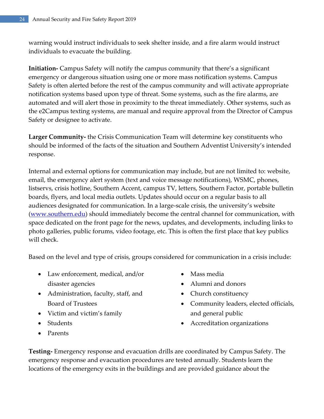warning would instruct individuals to seek shelter inside, and a fire alarm would instruct individuals to evacuate the building.

**Initiation-** Campus Safety will notify the campus community that there's a significant emergency or dangerous situation using one or more mass notification systems. Campus Safety is often alerted before the rest of the campus community and will activate appropriate notification systems based upon type of threat. Some systems, such as the fire alarms, are automated and will alert those in proximity to the threat immediately. Other systems, such as the e2Campus texting systems, are manual and require approval from the Director of Campus Safety or designee to activate.

**Larger Community-** the Crisis Communication Team will determine key constituents who should be informed of the facts of the situation and Southern Adventist University's intended response.

Internal and external options for communication may include, but are not limited to: website, email, the emergency alert system (text and voice message notifications), WSMC, phones, listservs, crisis hotline, Southern Accent, campus TV, letters, Southern Factor, portable bulletin boards, flyers, and local media outlets. Updates should occur on a regular basis to all audiences designated for communication. In a large-scale crisis, the university's website [\(www.southern.edu\)](http://www.southern.edu/) should immediately become the central channel for communication, with space dedicated on the front page for the news, updates, and developments, including links to photo galleries, public forums, video footage, etc. This is often the first place that key publics will check.

Based on the level and type of crisis, groups considered for communication in a crisis include:

- Law enforcement, medical, and/or disaster agencies
- Administration, faculty, staff, and Board of Trustees
- Victim and victim's family
- Students
- Parents
- Mass media
- Alumni and donors
- Church constituency
- Community leaders, elected officials, and general public
- Accreditation organizations

**Testing-** Emergency response and evacuation drills are coordinated by Campus Safety. The emergency response and evacuation procedures are tested annually. Students learn the locations of the emergency exits in the buildings and are provided guidance about the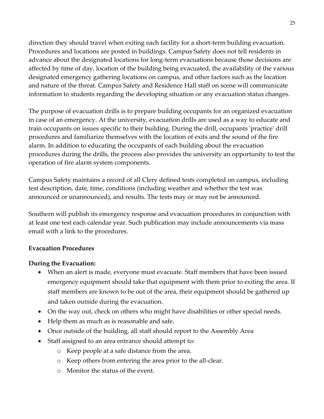direction they should travel when exiting each facility for a short-term building evacuation. Procedures and locations are posted in buildings. Campus Safety does not tell residents in advance about the designated locations for long-term evacuations because those decisions are affected by time of day, location of the building being evacuated, the availability of the various designated emergency gathering locations on campus, and other factors such as the location and nature of the threat. Campus Safety and Residence Hall staff on scene will communicate information to students regarding the developing situation or any evacuation status changes.

The purpose of evacuation drills is to prepare building occupants for an organized evacuation in case of an emergency. At the university, evacuation drills are used as a way to educate and train occupants on issues specific to their building. During the drill, occupants 'practice' drill procedures and familiarize themselves with the location of exits and the sound of the fire alarm. In addition to educating the occupants of each building about the evacuation procedures during the drills, the process also provides the university an opportunity to test the operation of fire alarm system components.

Campus Safety maintains a record of all Clery defined tests completed on campus, including test description, date, time, conditions (including weather and whether the test was announced or unannounced), and results. The tests may or may not be announced.

Southern will publish its emergency response and evacuation procedures in conjunction with at least one test each calendar year. Such publication may include announcements via mass email with a link to the procedures.

#### **Evacuation Procedures**

#### **During the Evacuation:**

- When an alert is made, everyone must evacuate. Staff members that have been issued emergency equipment should take that equipment with them prior to exiting the area. If staff members are known to be out of the area, their equipment should be gathered up and taken outside during the evacuation.
- On the way out, check on others who might have disabilities or other special needs.
- Help them as much as is reasonable and safe.
- Once outside of the building, all staff should report to the Assembly Area
- Staff assigned to an area entrance should attempt to:
	- o Keep people at a safe distance from the area.
	- o Keep others from entering the area prior to the all-clear.
	- o Monitor the status of the event.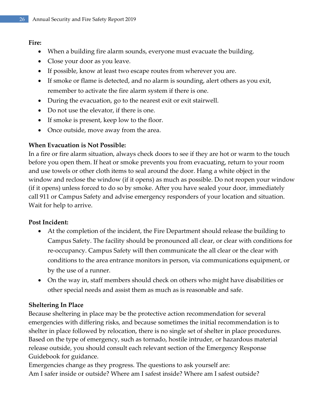#### **Fire:**

- When a building fire alarm sounds, everyone must evacuate the building.
- Close your door as you leave.
- If possible, know at least two escape routes from wherever you are.
- If smoke or flame is detected, and no alarm is sounding, alert others as you exit, remember to activate the fire alarm system if there is one.
- During the evacuation, go to the nearest exit or exit stairwell.
- Do not use the elevator, if there is one.
- If smoke is present, keep low to the floor.
- Once outside, move away from the area.

#### **When Evacuation is Not Possible:**

In a fire or fire alarm situation, always check doors to see if they are hot or warm to the touch before you open them. If heat or smoke prevents you from evacuating, return to your room and use towels or other cloth items to seal around the door. Hang a white object in the window and reclose the window (if it opens) as much as possible. Do not reopen your window (if it opens) unless forced to do so by smoke. After you have sealed your door, immediately call 911 or Campus Safety and advise emergency responders of your location and situation. Wait for help to arrive.

#### **Post Incident:**

- At the completion of the incident, the Fire Department should release the building to Campus Safety. The facility should be pronounced all clear, or clear with conditions for re-occupancy. Campus Safety will then communicate the all clear or the clear with conditions to the area entrance monitors in person, via communications equipment, or by the use of a runner.
- On the way in, staff members should check on others who might have disabilities or other special needs and assist them as much as is reasonable and safe.

#### **Sheltering In Place**

Because sheltering in place may be the protective action recommendation for several emergencies with differing risks, and because sometimes the initial recommendation is to shelter in place followed by relocation, there is no single set of shelter in place procedures. Based on the type of emergency, such as tornado, hostile intruder, or hazardous material release outside, you should consult each relevant section of the Emergency Response Guidebook for guidance.

Emergencies change as they progress. The questions to ask yourself are: Am I safer inside or outside? Where am I safest inside? Where am I safest outside?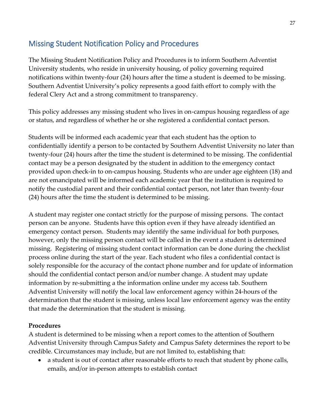### <span id="page-26-0"></span>Missing Student Notification Policy and Procedures

The Missing Student Notification Policy and Procedures is to inform Southern Adventist University students, who reside in university housing, of policy governing required notifications within twenty-four (24) hours after the time a student is deemed to be missing. Southern Adventist University's policy represents a good faith effort to comply with the federal Clery Act and a strong commitment to transparency.

This policy addresses any missing student who lives in on-campus housing regardless of age or status, and regardless of whether he or she registered a confidential contact person.

Students will be informed each academic year that each student has the option to confidentially identify a person to be contacted by Southern Adventist University no later than twenty-four (24) hours after the time the student is determined to be missing. The confidential contact may be a person designated by the student in addition to the emergency contact provided upon check-in to on-campus housing. Students who are under age eighteen (18) and are not emancipated will be informed each academic year that the institution is required to notify the custodial parent and their confidential contact person, not later than twenty-four (24) hours after the time the student is determined to be missing.

A student may register one contact strictly for the purpose of missing persons. The contact person can be anyone. Students have this option even if they have already identified an emergency contact person. Students may identify the same individual for both purposes, however, only the missing person contact will be called in the event a student is determined missing. Registering of missing student contact information can be done during the checklist process online during the start of the year. Each student who files a confidential contact is solely responsible for the accuracy of the contact phone number and for update of information should the confidential contact person and/or number change. A student may update information by re-submitting a the information online under my access tab. Southern Adventist University will notify the local law enforcement agency within 24-hours of the determination that the student is missing, unless local law enforcement agency was the entity that made the determination that the student is missing.

#### **Procedures**

A student is determined to be missing when a report comes to the attention of Southern Adventist University through Campus Safety and Campus Safety determines the report to be credible. Circumstances may include, but are not limited to, establishing that:

 a student is out of contact after reasonable efforts to reach that student by phone calls, emails, and/or in-person attempts to establish contact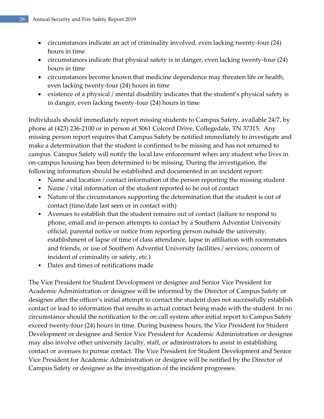- circumstances indicate an act of criminality involved, even lacking twenty-four (24) hours in time
- circumstances indicate that physical safety is in danger, even lacking twenty-four (24) hours in time
- circumstances become known that medicine dependence may threaten life or health, even lacking twenty-four (24) hours in time
- existence of a physical / mental disability indicates that the student's physical safety is in danger, even lacking twenty-four (24) hours in time

Individuals should immediately report missing students to Campus Safety, available 24/7, by phone at (423) 236-2100 or in person at 5061 Colcord Drive, Collegedale, TN 37315. Any missing person report requires that Campus Safety be notified immediately to investigate and make a determination that the student is confirmed to be missing and has not returned to campus. Campus Safety will notify the local law enforcement when any student who lives in on-campus housing has been determined to be missing. During the investigation, the following information should be established and documented in an incident report:

- Name and location / contact information of the person reporting the missing student
- Name / vital information of the student reported to be out of contact
- Nature of the circumstances supporting the determination that the student is out of contact (time/date last seen or in contact with)
- Avenues to establish that the student remains out of contact (failure to respond to phone, email and in-person attempts to contact by a Southern Adventist University official, parental notice or notice from reporting person outside the university, establishment of lapse of time of class attendance, lapse in affiliation with roommates and friends, or use of Southern Adventist University facilities / services; concern of incident of criminality or safety, etc.)
- Dates and times of notifications made

The Vice President for Student Development or designee and Senior Vice President for Academic Administration or designee will be informed by the Director of Campus Safety or designee after the officer's initial attempt to contact the student does not successfully establish contact or lead to information that results in actual contact being made with the student. In no circumstance should the notification to the on call system after initial report to Campus Safety exceed twenty-four (24) hours in time. During business hours, the Vice President for Student Development or designee and Senior Vice President for Academic Administration or designee may also involve other university faculty, staff, or administrators to assist in establishing contact or avenues to pursue contact. The Vice President for Student Development and Senior Vice President for Academic Administration or designee will be notified by the Director of Campus Safety or designee as the investigation of the incident progresses.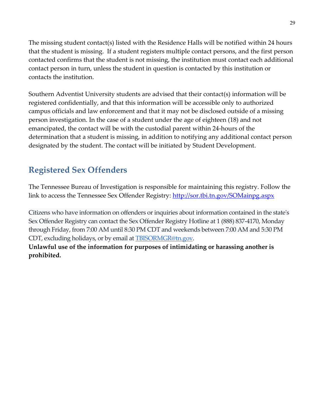The missing student contact(s) listed with the Residence Halls will be notified within 24 hours that the student is missing. If a student registers multiple contact persons, and the first person contacted confirms that the student is not missing, the institution must contact each additional contact person in turn, unless the student in question is contacted by this institution or contacts the institution.

Southern Adventist University students are advised that their contact(s) information will be registered confidentially, and that this information will be accessible only to authorized campus officials and law enforcement and that it may not be disclosed outside of a missing person investigation. In the case of a student under the age of eighteen (18) and not emancipated, the contact will be with the custodial parent within 24-hours of the determination that a student is missing, in addition to notifying any additional contact person designated by the student. The contact will be initiated by Student Development.

# <span id="page-28-0"></span>**Registered Sex Offenders**

The Tennessee Bureau of Investigation is responsible for maintaining this registry. Follow the link to access the Tennessee Sex Offender Registry:<http://sor.tbi.tn.gov/SOMainpg.aspx>

Citizens who have information on offenders or inquiries about information contained in the state's Sex Offender Registry can contact the Sex Offender Registry Hotline at 1 (888) 837-4170, Monday through Friday, from 7:00 AM until 8:30 PM CDT and weekends between 7:00 AM and 5:30 PM CDT, excluding holidays, or by email at [TBISORMGR@tn.gov.](mailto:TBISORMGR@tn.gov?subject=Sex%20Offender%20Registry%20Question%20-%20From%20TBI%20Website)

**Unlawful use of the information for purposes of intimidating or harassing another is prohibited.**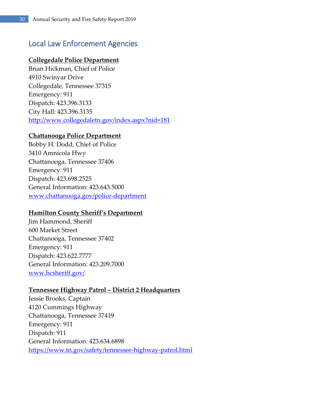### <span id="page-29-0"></span>Local Law Enforcement Agencies

#### **Collegedale Police Department**

Brian Hickman, Chief of Police 4910 Swinyar Drive Collegedale, Tennessee 37315 Emergency: 911 Dispatch: 423.396.3133 City Hall: 423.396.3135 <http://www.collegedaletn.gov/index.aspx?nid=181>

#### **Chattanooga Police Department**

Bobby H. Dodd, Chief of Police 3410 Amnicola Hwy Chattanooga, Tennessee 37406 Emergency: 911 Dispatch: 423.698.2525 General Information: 423.643.5000 [www.chattanooga.gov/police-department](http://www.chattanooga.gov/police-department)

#### **Hamilton County Sheriff's Department**

Jim Hammond, Sheriff 600 Market Street Chattanooga, Tennessee 37402 Emergency: 911 Dispatch: 423.622.7777 General Information: 423.209.7000 [www.hcsheriff.gov/](http://www.hcsheriff.gov/)

#### **Tennessee Highway Patrol – District 2 Headquarters**

Jessie Brooks, Captain 4120 Cummings Highway Chattanooga, Tennessee 37419 Emergency: 911 Dispatch: 911 General Information: 423.634.6898 <https://www.tn.gov/safety/tennessee-highway-patrol.html>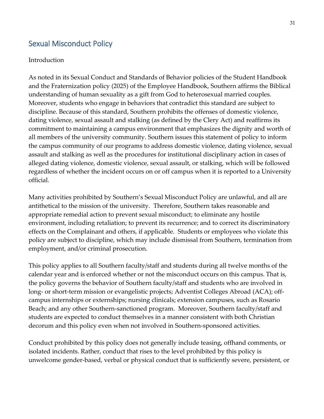### <span id="page-30-0"></span>Sexual Misconduct Policy

#### Introduction

As noted in its Sexual Conduct and Standards of Behavior policies of the Student Handbook and the Fraternization policy (2025) of the Employee Handbook, Southern affirms the Biblical understanding of human sexuality as a gift from God to heterosexual married couples. Moreover, students who engage in behaviors that contradict this standard are subject to discipline. Because of this standard, Southern prohibits the offenses of domestic violence, dating violence, sexual assault and stalking (as defined by the Clery Act) and reaffirms its commitment to maintaining a campus environment that emphasizes the dignity and worth of all members of the university community. Southern issues this statement of policy to inform the campus community of our programs to address domestic violence, dating violence, sexual assault and stalking as well as the procedures for institutional disciplinary action in cases of alleged dating violence, domestic violence, sexual assault, or stalking, which will be followed regardless of whether the incident occurs on or off campus when it is reported to a University official.

Many activities prohibited by Southern's Sexual Misconduct Policy are unlawful, and all are antithetical to the mission of the university. Therefore, Southern takes reasonable and appropriate remedial action to prevent sexual misconduct; to eliminate any hostile environment, including retaliation; to prevent its recurrence; and to correct its discriminatory effects on the Complainant and others, if applicable. Students or employees who violate this policy are subject to discipline, which may include dismissal from Southern, termination from employment, and/or criminal prosecution.

This policy applies to all Southern faculty/staff and students during all twelve months of the calendar year and is enforced whether or not the misconduct occurs on this campus. That is, the policy governs the behavior of Southern faculty/staff and students who are involved in long- or short-term mission or evangelistic projects; Adventist Colleges Abroad (ACA); offcampus internships or externships; nursing clinicals; extension campuses, such as Rosario Beach; and any other Southern-sanctioned program. Moreover, Southern faculty/staff and students are expected to conduct themselves in a manner consistent with both Christian decorum and this policy even when not involved in Southern-sponsored activities.

Conduct prohibited by this policy does not generally include teasing, offhand comments, or isolated incidents. Rather, conduct that rises to the level prohibited by this policy is unwelcome gender-based, verbal or physical conduct that is sufficiently severe, persistent, or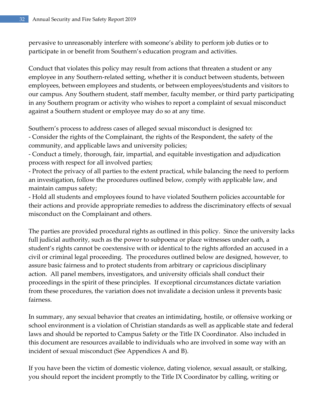pervasive to unreasonably interfere with someone's ability to perform job duties or to participate in or benefit from Southern's education program and activities.

Conduct that violates this policy may result from actions that threaten a student or any employee in any Southern-related setting, whether it is conduct between students, between employees, between employees and students, or between employees/students and visitors to our campus. Any Southern student, staff member, faculty member, or third party participating in any Southern program or activity who wishes to report a complaint of sexual misconduct against a Southern student or employee may do so at any time.

Southern's process to address cases of alleged sexual misconduct is designed to:

- Consider the rights of the Complainant, the rights of the Respondent, the safety of the community, and applicable laws and university policies;

- Conduct a timely, thorough, fair, impartial, and equitable investigation and adjudication process with respect for all involved parties;

- Protect the privacy of all parties to the extent practical, while balancing the need to perform an investigation, follow the procedures outlined below, comply with applicable law, and maintain campus safety;

- Hold all students and employees found to have violated Southern policies accountable for their actions and provide appropriate remedies to address the discriminatory effects of sexual misconduct on the Complainant and others.

The parties are provided procedural rights as outlined in this policy. Since the university lacks full judicial authority, such as the power to subpoena or place witnesses under oath, a student's rights cannot be coextensive with or identical to the rights afforded an accused in a civil or criminal legal proceeding. The procedures outlined below are designed, however, to assure basic fairness and to protect students from arbitrary or capricious disciplinary action. All panel members, investigators, and university officials shall conduct their proceedings in the spirit of these principles. If exceptional circumstances dictate variation from these procedures, the variation does not invalidate a decision unless it prevents basic fairness.

In summary, any sexual behavior that creates an intimidating, hostile, or offensive working or school environment is a violation of Christian standards as well as applicable state and federal laws and should be reported to Campus Safety or the Title IX Coordinator. Also included in this document are resources available to individuals who are involved in some way with an incident of sexual misconduct (See Appendices A and B).

If you have been the victim of domestic violence, dating violence, sexual assault, or stalking, you should report the incident promptly to the Title IX Coordinator by calling, writing or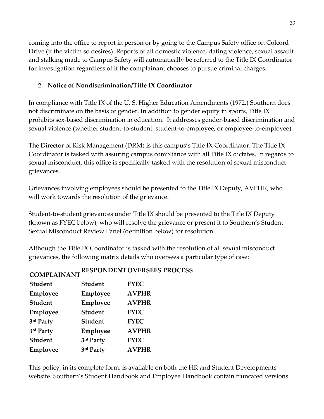coming into the office to report in person or by going to the Campus Safety office on Colcord Drive (if the victim so desires). Reports of all domestic violence, dating violence, sexual assault and stalking made to Campus Safety will automatically be referred to the Title IX Coordinator for investigation regardless of if the complainant chooses to pursue criminal charges.

#### **2. Notice of Nondiscrimination/Title IX Coordinator**

In compliance with Title IX of the U. S. Higher Education Amendments (1972,) Southern does not discriminate on the basis of gender. In addition to gender equity in sports, Title IX prohibits sex-based discrimination in education. It addresses gender-based discrimination and sexual violence (whether student-to-student, student-to-employee, or employee-to-employee).

The Director of Risk Management (DRM) is this campus's Title IX Coordinator. The Title IX Coordinator is tasked with assuring campus compliance with all Title IX dictates. In regards to sexual misconduct, this office is specifically tasked with the resolution of sexual misconduct grievances.

Grievances involving employees should be presented to the Title IX Deputy, AVPHR, who will work towards the resolution of the grievance.

Student-to-student grievances under Title IX should be presented to the Title IX Deputy (known as FYEC below), who will resolve the grievance or present it to Southern's Student Sexual Misconduct Review Panel (definition below) for resolution.

Although the Title IX Coordinator is tasked with the resolution of all sexual misconduct grievances, the following matrix details who oversees a particular type of case:

# **COMPLAINANTRESPONDENTOVERSEES PROCESS**

| <b>Student</b> | <b>Student</b> | <b>FYEC</b>  |
|----------------|----------------|--------------|
| Employee       | Employee       | <b>AVPHR</b> |
| <b>Student</b> | Employee       | <b>AVPHR</b> |
| Employee       | <b>Student</b> | <b>FYEC</b>  |
| 3rd Party      | <b>Student</b> | <b>FYEC</b>  |
| 3rd Party      | Employee       | <b>AVPHR</b> |
| <b>Student</b> | 3rd Party      | <b>FYEC</b>  |
| Employee       | 3rd Party      | <b>AVPHR</b> |
|                |                |              |

This policy, in its complete form, is available on both the HR and Student Developments website. Southern's Student Handbook and Employee Handbook contain truncated versions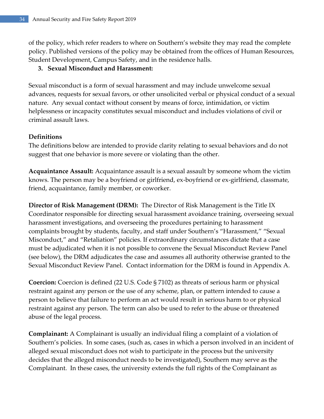of the policy, which refer readers to where on Southern's website they may read the complete policy. Published versions of the policy may be obtained from the offices of Human Resources, Student Development, Campus Safety, and in the residence halls.

#### **3. Sexual Misconduct and Harassment:**

Sexual misconduct is a form of sexual harassment and may include unwelcome sexual advances, requests for sexual favors, or other unsolicited verbal or physical conduct of a sexual nature. Any sexual contact without consent by means of force, intimidation, or victim helplessness or incapacity constitutes sexual misconduct and includes violations of civil or criminal assault laws.

#### **Definitions**

The definitions below are intended to provide clarity relating to sexual behaviors and do not suggest that one behavior is more severe or violating than the other.

**Acquaintance Assault:** Acquaintance assault is a sexual assault by someone whom the victim knows. The person may be a boyfriend or girlfriend, ex-boyfriend or ex-girlfriend, classmate, friend, acquaintance, family member, or coworker.

**Director of Risk Management (DRM):** The Director of Risk Management is the Title IX Coordinator responsible for directing sexual harassment avoidance training, overseeing sexual harassment investigations, and overseeing the procedures pertaining to harassment complaints brought by students, faculty, and staff under Southern's "Harassment," "Sexual Misconduct," and "Retaliation" policies. If extraordinary circumstances dictate that a case must be adjudicated when it is not possible to convene the Sexual Misconduct Review Panel (see below), the DRM adjudicates the case and assumes all authority otherwise granted to the Sexual Misconduct Review Panel. Contact information for the DRM is found in Appendix A.

**Coercion:** Coercion is defined (22 U.S. Code § 7102) as threats of serious harm or physical restraint against any person or the use of any scheme, plan, or pattern intended to cause a person to believe that failure to perform an act would result in serious harm to or physical restraint against any person. The term can also be used to refer to the abuse or threatened abuse of the legal process.

**Complainant:** A Complainant is usually an individual filing a complaint of a violation of Southern's policies. In some cases, (such as, cases in which a person involved in an incident of alleged sexual misconduct does not wish to participate in the process but the university decides that the alleged misconduct needs to be investigated), Southern may serve as the Complainant. In these cases, the university extends the full rights of the Complainant as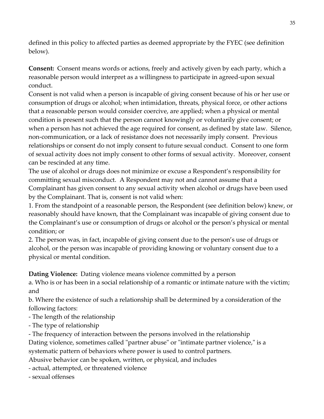defined in this policy to affected parties as deemed appropriate by the FYEC (see definition below).

**Consent:** Consent means words or actions, freely and actively given by each party, which a reasonable person would interpret as a willingness to participate in agreed-upon sexual conduct.

Consent is not valid when a person is incapable of giving consent because of his or her use or consumption of drugs or alcohol; when intimidation, threats, physical force, or other actions that a reasonable person would consider coercive, are applied; when a physical or mental condition is present such that the person cannot knowingly or voluntarily give consent; or when a person has not achieved the age required for consent, as defined by state law. Silence, non-communication, or a lack of resistance does not necessarily imply consent. Previous relationships or consent do not imply consent to future sexual conduct. Consent to one form of sexual activity does not imply consent to other forms of sexual activity. Moreover, consent can be rescinded at any time.

The use of alcohol or drugs does not minimize or excuse a Respondent's responsibility for committing sexual misconduct. A Respondent may not and cannot assume that a Complainant has given consent to any sexual activity when alcohol or drugs have been used by the Complainant. That is, consent is not valid when:

1. From the standpoint of a reasonable person, the Respondent (see definition below) knew, or reasonably should have known, that the Complainant was incapable of giving consent due to the Complainant's use or consumption of drugs or alcohol or the person's physical or mental condition; or

2. The person was, in fact, incapable of giving consent due to the person's use of drugs or alcohol, or the person was incapable of providing knowing or voluntary consent due to a physical or mental condition.

**Dating Violence:** Dating violence means violence committed by a person

a. Who is or has been in a social relationship of a romantic or intimate nature with the victim; and

b. Where the existence of such a relationship shall be determined by a consideration of the following factors:

- The length of the relationship

- The type of relationship

- The frequency of interaction between the persons involved in the relationship

Dating violence, sometimes called "partner abuse" or "intimate partner violence," is a systematic pattern of behaviors where power is used to control partners.

Abusive behavior can be spoken, written, or physical, and includes

- actual, attempted, or threatened violence

- sexual offenses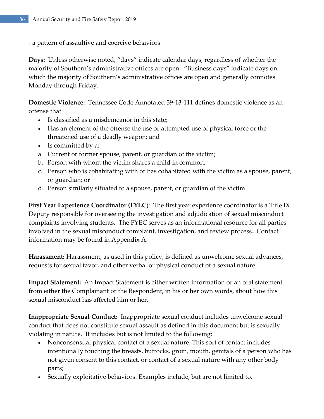- a pattern of assaultive and coercive behaviors

**Days:** Unless otherwise noted, "days" indicate calendar days, regardless of whether the majority of Southern's administrative offices are open. "Business days" indicate days on which the majority of Southern's administrative offices are open and generally connotes Monday through Friday.

**Domestic Violence:** Tennessee Code Annotated 39-13-111 defines domestic violence as an offense that

- Is classified as a misdemeanor in this state;
- Has an element of the offense the use or attempted use of physical force or the threatened use of a deadly weapon; and
- Is committed by a:
- a. Current or former spouse, parent, or guardian of the victim;
- b. Person with whom the victim shares a child in common;
- c. Person who is cohabitating with or has cohabitated with the victim as a spouse, parent, or guardian; or
- d. Person similarly situated to a spouse, parent, or guardian of the victim

**First Year Experience Coordinator (FYEC**): The first year experience coordinator is a Title IX Deputy responsible for overseeing the investigation and adjudication of sexual misconduct complaints involving students. The FYEC serves as an informational resource for all parties involved in the sexual misconduct complaint, investigation, and review process. Contact information may be found in Appendix A.

**Harassment:** Harassment, as used in this policy, is defined as unwelcome sexual advances, requests for sexual favor, and other verbal or physical conduct of a sexual nature.

**Impact Statement:** An Impact Statement is either written information or an oral statement from either the Complainant or the Respondent, in his or her own words, about how this sexual misconduct has affected him or her.

**Inappropriate Sexual Conduct:** Inappropriate sexual conduct includes unwelcome sexual conduct that does not constitute sexual assault as defined in this document but is sexually violating in nature. It includes but is not limited to the following:

- Nonconsensual physical contact of a sexual nature. This sort of contact includes intentionally touching the breasts, buttocks, groin, mouth, genitals of a person who has not given consent to this contact, or contact of a sexual nature with any other body parts;
- Sexually exploitative behaviors. Examples include, but are not limited to,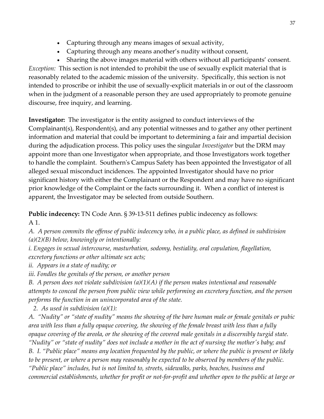- Capturing through any means images of sexual activity,
- Capturing through any means another's nudity without consent,

 Sharing the above images material with others without all participants' consent. *Exception:* This section is not intended to prohibit the use of sexually explicit material that is reasonably related to the academic mission of the university. Specifically, this section is not intended to proscribe or inhibit the use of sexually-explicit materials in or out of the classroom when in the judgment of a reasonable person they are used appropriately to promote genuine discourse, free inquiry, and learning.

**Investigator:** The investigator is the entity assigned to conduct interviews of the Complainant(s), Respondent(s), and any potential witnesses and to gather any other pertinent information and material that could be important to determining a fair and impartial decision during the adjudication process. This policy uses the singular *Investigator* but the DRM may appoint more than one Investigator when appropriate, and those Investigators work together to handle the complaint. Southern's Campus Safety has been appointed the Investigator of all alleged sexual misconduct incidences. The appointed Investigator should have no prior significant history with either the Complainant or the Respondent and may have no significant prior knowledge of the Complaint or the facts surrounding it. When a conflict of interest is apparent, the Investigator may be selected from outside Southern.

**Public indecency:** TN Code Ann. § 39-13-511 defines public indecency as follows: A 1.

*A. A person commits the offense of public indecency who, in a public place, as defined in subdivision (a)(2)(B) below, knowingly or intentionally:*

*i. Engages in sexual intercourse, masturbation, sodomy, bestiality, oral copulation, flagellation, excretory functions or other ultimate sex acts;*

*ii. Appears in a state of nudity; or*

*iii. Fondles the genitals of the person, or another person*

*B. A person does not violate subdivision (a)(1)(A) if the person makes intentional and reasonable attempts to conceal the person from public view while performing an excretory function, and the person performs the function in an unincorporated area of the state.*

*2. As used in subdivision (a)(1):*

*A. "Nudity" or "state of nudity" means the showing of the bare human male or female genitals or pubic area with less than a fully opaque covering, the showing of the female breast with less than a fully opaque covering of the areola, or the showing of the covered male genitals in a discernibly turgid state. "Nudity" or "state of nudity" does not include a mother in the act of nursing the mother's baby; and B. I. "Public place" means any location frequented by the public, or where the public is present or likely to be present, or where a person may reasonably be expected to be observed by members of the public. "Public place" includes, but is not limited to, streets, sidewalks, parks, beaches, business and commercial establishments, whether for profit or not-for-profit and whether open to the public at large or*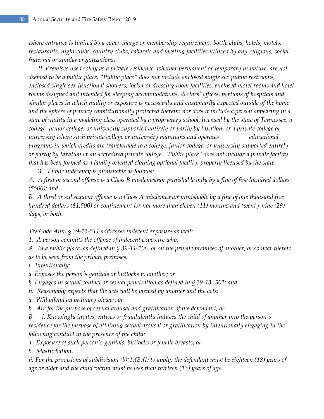*where entrance is limited by a cover charge or membership requirement, bottle clubs, hotels, motels, restaurants, night clubs, country clubs, cabarets and meeting facilities utilized by any religious, social, fraternal or similar organizations.*

*II. Premises used solely as a private residence, whether permanent or temporary in nature, are not deemed to be a public place. "Public place" does not include enclosed single sex public restrooms, enclosed single sex functional showers, locker or dressing room facilities, enclosed motel rooms and hotel rooms designed and intended for sleeping accommodations, doctors' offices, portions of hospitals and similar places in which nudity or exposure is necessarily and customarily expected outside of the home and the sphere of privacy constitutionally protected therein; nor does it include a person appearing in a state of nudity in a modeling class operated by a proprietary school, licensed by the state of Tennessee, a college, junior college, or university supported entirely or partly by taxation, or a private college or university where such private college or university maintains and operates educational programs in which credits are transferable to a college, junior college, or university supported entirely or partly by taxation or an accredited private college. "Public place" does not include a private facility that has been formed as a family-oriented clothing optional facility, properly licensed by the state.*

3. *Public indecency is punishable as follows:*

*A. A first or second offense is a Class B misdemeanor punishable only by a fine of five hundred dollars (\$500); and*

*B. A third or subsequent offense is a Class A misdemeanor punishable by a fine of one thousand five hundred dollars (\$1,500) or confinement for not more than eleven (11) months and twenty-nine (29) days, or both.*

*TN Code Ann. § 39-13-511 addresses indecent exposure as well:*

*1. A person commits the offense of indecent exposure who:*

*A. In a public place, as defined in § 39-11-106, or on the private premises of another, or so near thereto as to be seen from the private premises:*

*i. Intentionally:*

*a. Exposes the person's genitals or buttocks to another; or*

*b. Engages in sexual contact or sexual penetration as defined in § 39-13- 501; and*

*ii. Reasonably expects that the acts will be viewed by another and the acts:*

*a. Will offend an ordinary viewer; or*

*b. Are for the purpose of sexual arousal and gratification of the defendant; or*

*B. i. Knowingly invites, entices or fraudulently induces the child of another into the person's residence for the purpose of attaining sexual arousal or gratification by intentionally engaging in the following conduct in the presence of the child:*

*a. Exposure of such person's genitals, buttocks or female breasts; or*

*b. Masturbation.*

*ii. For the provisions of subdivision (b)(1)(B)(i) to apply, the defendant must be eighteen (18) years of age or older and the child victim must be less than thirteen (13) years of age.*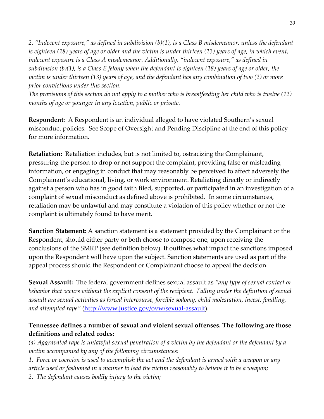*2. "Indecent exposure," as defined in subdivision (b)(1), is a Class B misdemeanor, unless the defendant is eighteen (18) years of age or older and the victim is under thirteen (13) years of age, in which event, indecent exposure is a Class A misdemeanor. Additionally, "indecent exposure," as defined in subdivision (b)(1), is a Class E felony when the defendant is eighteen (18) years of age or older, the victim is under thirteen (13) years of age, and the defendant has any combination of two (2) or more prior convictions under this section.*

*The provisions of this section do not apply to a mother who is breastfeeding her child who is twelve (12) months of age or younger in any location, public or private.*

**Respondent:** A Respondent is an individual alleged to have violated Southern's sexual misconduct policies. See Scope of Oversight and Pending Discipline at the end of this policy for more information.

**Retaliation:** Retaliation includes, but is not limited to, ostracizing the Complainant, pressuring the person to drop or not support the complaint, providing false or misleading information, or engaging in conduct that may reasonably be perceived to affect adversely the Complainant's educational, living, or work environment. Retaliating directly or indirectly against a person who has in good faith filed, supported, or participated in an investigation of a complaint of sexual misconduct as defined above is prohibited. In some circumstances, retaliation may be unlawful and may constitute a violation of this policy whether or not the complaint is ultimately found to have merit.

**Sanction Statement**: A sanction statement is a statement provided by the Complainant or the Respondent, should either party or both choose to compose one, upon receiving the conclusions of the SMRP (see definition below). It outlines what impact the sanctions imposed upon the Respondent will have upon the subject. Sanction statements are used as part of the appeal process should the Respondent or Complainant choose to appeal the decision.

**Sexual Assault:** The federal government defines sexual assault as *"any type of sexual contact or behavior that occurs without the explicit consent of the recipient. Falling under the definition of sexual assault are sexual activities as forced intercourse, forcible sodomy, child molestation, incest, fondling, and attempted rape"* [\(http://www.justice.gov/ovw/sexual-assault\)](http://www.justice.gov/ovw/sexual-assault).

# **Tennessee defines a number of sexual and violent sexual offenses. The following are those definitions and related codes:**

*(a) Aggravated rape is unlawful sexual penetration of a victim by the defendant or the defendant by a victim accompanied by any of the following circumstances:*

*1. Force or coercion is used to accomplish the act and the defendant is armed with a weapon or any article used or fashioned in a manner to lead the victim reasonably to believe it to be a weapon;*

*2. The defendant causes bodily injury to the victim;*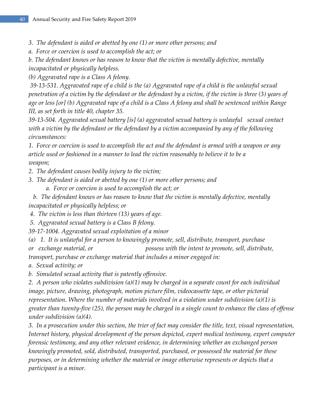- *3. The defendant is aided or abetted by one (1) or more other persons; and*
- *a. Force or coercion is used to accomplish the act; or*
- *b. The defendant knows or has reason to know that the victim is mentally defective, mentally*

*incapacitated or physically helpless.*

*(b) Aggravated rape is a Class A felony.*

*39-13-531. Aggravated rape of a child is the (a) Aggravated rape of a child is the unlawful sexual penetration of a victim by the defendant or the defendant by a victim, if the victim is three (3) years of age or less [or] (b) Aggravated rape of a child is a Class A felony and shall be sentenced within Range III, as set forth in title 40, chapter 35.*

*39-13-504. Aggravated sexual battery [is] (a) aggravated sexual battery is unlawful sexual contact with a victim by the defendant or the defendant by a victim accompanied by any of the following circumstances:*

*1. Force or coercion is used to accomplish the act and the defendant is armed with a weapon or any article used or fashioned in a manner to lead the victim reasonably to believe it to be a weapon;*

- *2. The defendant causes bodily injury to the victim;*
- *3. The defendant is aided or abetted by one (1) or more other persons; and*
	- *a. Force or coercion is used to accomplish the act; or*

*b. The defendant knows or has reason to know that the victim is mentally defective, mentally incapacitated or physically helpless; or*

- *4. The victim is less than thirteen (13) years of age.*
- *5. Aggravated sexual battery is a Class B felony.*
- *39-17-1004. Aggravated sexual exploitation of a minor*
- *(a) 1. It is unlawful for a person to knowingly promote, sell, distribute, transport, purchase*
- *or exchange material, or possess with the intent to promote, sell, distribute,*

*transport, purchase or exchange material that includes a minor engaged in:*

- *a. Sexual activity; or*
- *b. Simulated sexual activity that is patently offensive.*

*2. A person who violates subdivision (a)(1) may be charged in a separate count for each individual image, picture, drawing, photograph, motion picture film, videocassette tape, or other pictorial representation. Where the number of materials involved in a violation under subdivision (a)(1) is greater than twenty-five (25), the person may be charged in a single count to enhance the class of offense under subdivision (a)(4).*

*3. In a prosecution under this section, the trier of fact may consider the title, text, visual representation, Internet history, physical development of the person depicted, expert medical testimony, expert computer forensic testimony, and any other relevant evidence, in determining whether an exchanged person knowingly promoted, sold, distributed, transported, purchased, or possessed the material for these purposes, or in determining whether the material or image otherwise represents or depicts that a participant is a minor.*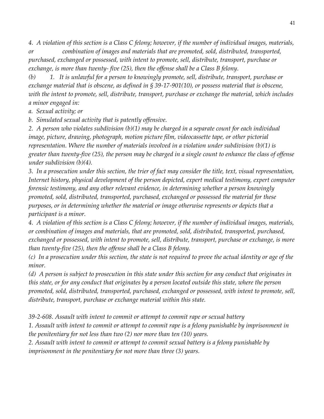*4. A violation of this section is a Class C felony; however, if the number of individual images, materials, or combination of images and materials that are promoted, sold, distributed, transported,* 

*purchased, exchanged or possessed, with intent to promote, sell, distribute, transport, purchase or exchange, is more than twenty- five (25), then the offense shall be a Class B felony.*

*(b) 1. It is unlawful for a person to knowingly promote, sell, distribute, transport, purchase or exchange material that is obscene, as defined in § 39-17-901(10), or possess material that is obscene, with the intent to promote, sell, distribute, transport, purchase or exchange the material, which includes a minor engaged in:*

*a. Sexual activity; or*

*b. Simulated sexual activity that is patently offensive.*

*2. A person who violates subdivision (b)(1) may be charged in a separate count for each individual image, picture, drawing, photograph, motion picture film, videocassette tape, or other pictorial representation. Where the number of materials involved in a violation under subdivision (b)(1) is greater than twenty-five (25), the person may be charged in a single count to enhance the class of offense under subdivision (b)(4).*

*3. In a prosecution under this section, the trier of fact may consider the title, text, visual representation, Internet history, physical development of the person depicted, expert medical testimony, expert computer forensic testimony, and any other relevant evidence, in determining whether a person knowingly promoted, sold, distributed, transported, purchased, exchanged or possessed the material for these purposes, or in determining whether the material or image otherwise represents or depicts that a participant is a minor.*

*4. A violation of this section is a Class C felony; however, if the number of individual images, materials, or combination of images and materials, that are promoted, sold, distributed, transported, purchased, exchanged or possessed, with intent to promote, sell, distribute, transport, purchase or exchange, is more than twenty-five (25), then the offense shall be a Class B felony.*

*(c) In a prosecution under this section, the state is not required to prove the actual identity or age of the minor.*

*(d) A person is subject to prosecution in this state under this section for any conduct that originates in this state, or for any conduct that originates by a person located outside this state, where the person promoted, sold, distributed, transported, purchased, exchanged or possessed, with intent to promote, sell, distribute, transport, purchase or exchange material within this state.*

*39-2-608. Assault with intent to commit or attempt to commit rape or sexual battery*

*1. Assault with intent to commit or attempt to commit rape is a felony punishable by imprisonment in the penitentiary for not less than two (2) nor more than ten (10) years.*

*2. Assault with intent to commit or attempt to commit sexual battery is a felony punishable by imprisonment in the penitentiary for not more than three (3) years.*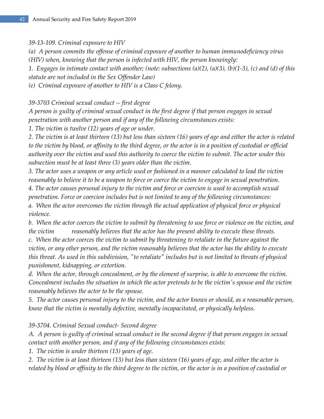*39-13-109. Criminal exposure to HIV*

*(a) A person commits the offense of criminal exposure of another to human immunodeficiency virus (HIV) when, knowing that the person is infected with HIV, the person knowingly:*

*1. Engages in intimate contact with another; (note: subsections (a)(2), (a)(3), (b)(1-3), (c) and (d) of this statute are not included in the Sex Offender Law)*

*(e) Criminal exposure of another to HIV is a Class C felony.*

*39-3703 Criminal sexual conduct -- first degree*

*A person is guilty of criminal sexual conduct in the first degree if that person engages in sexual penetration with another person and if any of the following circumstances exists:*

*1. The victim is twelve (12) years of age or under.*

*2. The victim is at least thirteen (13) but less than sixteen (16) years of age and either the actor is related*  to the victim by blood, or affinity to the third degree, or the actor is in a position of custodial or official *authority over the victim and used this authority to coerce the victim to submit. The actor under this subsection must be at least three (3) years older than the victim.*

*3. The actor uses a weapon or any article used or fashioned in a manner calculated to lead the victim reasonably to believe it to be a weapon to force or coerce the victim to engage in sexual penetration.*

*4. The actor causes personal injury to the victim and force or coercion is used to accomplish sexual* 

*penetration. Force or coercion includes but is not limited to any of the following circumstances:*

*a. When the actor overcomes the victim through the actual application of physical force or physical violence.*

*b. When the actor coerces the victim to submit by threatening to use force or violence on the victim, and the victim reasonably believes that the actor has the present ability to execute these threats.*

*c. When the actor coerces the victim to submit by threatening to retaliate in the future against the victim, or any other person, and the victim reasonably believes that the actor has the ability to execute this threat. As used in this subdivision, "to retaliate" includes but is not limited to threats of physical punishment, kidnapping, or extortion.*

*d. When the actor, through concealment, or by the element of surprise, is able to overcome the victim. Concealment includes the situation in which the actor pretends to be the victim's spouse and the victim reasonably believes the actor to be the spouse.*

*5. The actor causes personal injury to the victim, and the actor knows or should, as a reasonable person, know that the victim is mentally defective, mentally incapacitated, or physically helpless.*

*39-3704. Criminal Sexual conduct- Second degree*

*A. A person is guilty of criminal sexual conduct in the second degree if that person engages in sexual contact with another person, and if any of the following circumstances exists:*

*1. The victim is under thirteen (13) years of age.*

*2. The victim is at least thirteen (13) but less than sixteen (16) years of age, and either the actor is related by blood or affinity to the third degree to the victim, or the actor is in a position of custodial or*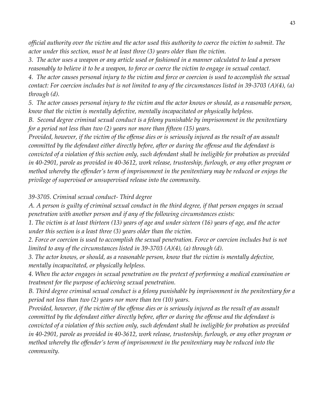*official authority over the victim and the actor used this authority to coerce the victim to submit. The actor under this section, must be at least three (3) years older than the victim.*

*3. The actor uses a weapon or any article used or fashioned in a manner calculated to lead a person reasonably to believe it to be a weapon, to force or coerce the victim to engage in sexual contact.*

*4. The actor causes personal injury to the victim and force or coercion is used to accomplish the sexual contact: For coercion includes but is not limited to any of the circumstances listed in 39-3703 (A)(4), (a) through (d).*

*5. The actor causes personal injury to the victim and the actor knows or should, as a reasonable person, know that the victim is mentally defective, mentally incapacitated or physically helpless.*

*B. Second degree criminal sexual conduct is a felony punishable by imprisonment in the penitentiary for a period not less than two (2) years nor more than fifteen (15) years.*

*Provided, however, if the victim of the offense dies or is seriously injured as the result of an assault committed by the defendant either directly before, after or during the offense and the defendant is convicted of a violation of this section only, such defendant shall be ineligible for probation as provided in 40-2901, parole as provided in 40-3612, work release, trusteeship, furlough, or any other program or method whereby the offender's term of imprisonment in the penitentiary may be reduced or enjoys the privilege of supervised or unsupervised release into the community.*

#### *39-3705. Criminal sexual conduct- Third degree*

*A. A person is guilty of criminal sexual conduct in the third degree, if that person engages in sexual penetration with another person and if any of the following circumstances exists:*

*1. The victim is at least thirteen (13) years of age and under sixteen (16) years of age, and the actor under this section is a least three (3) years older than the victim.*

2. Force or coercion is used to accomplish the sexual penetration. Force or coercion includes but is not *limited to any of the circumstances listed in 39-3703 (A)(4), (a) through (d).*

*3. The actor knows, or should, as a reasonable person, know that the victim is mentally defective, mentally incapacitated, or physically helpless.*

*4. When the actor engages in sexual penetration on the pretext of performing a medical examination or treatment for the purpose of achieving sexual penetration.*

*B. Third degree criminal sexual conduct is a felony punishable by imprisonment in the penitentiary for a period not less than two (2) years nor more than ten (10) years.*

*Provided, however, if the victim of the offense dies or is seriously injured as the result of an assault committed by the defendant either directly before, after or during the offense and the defendant is convicted of a violation of this section only, such defendant shall be ineligible for probation as provided in 40-2901, parole as provided in 40-3612, work release, trusteeship, furlough, or any other program or method whereby the offender's term of imprisonment in the penitentiary may be reduced into the community.*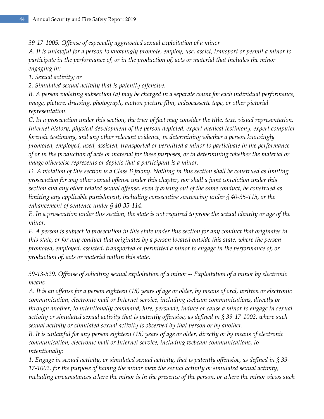*39-17-1005. Offense of especially aggravated sexual exploitation of a minor*

*A. It is unlawful for a person to knowingly promote, employ, use, assist, transport or permit a minor to participate in the performance of, or in the production of, acts or material that includes the minor engaging in:*

*1. Sexual activity; or*

*2. Simulated sexual activity that is patently offensive.*

*B. A person violating subsection (a) may be charged in a separate count for each individual performance, image, picture, drawing, photograph, motion picture film, videocassette tape, or other pictorial representation.*

*C. In a prosecution under this section, the trier of fact may consider the title, text, visual representation, Internet history, physical development of the person depicted, expert medical testimony, expert computer forensic testimony, and any other relevant evidence, in determining whether a person knowingly promoted, employed, used, assisted, transported or permitted a minor to participate in the performance of or in the production of acts or material for these purposes, or in determining whether the material or image otherwise represents or depicts that a participant is a minor.*

*D. A violation of this section is a Class B felony. Nothing in this section shall be construed as limiting prosecution for any other sexual offense under this chapter, nor shall a joint conviction under this section and any other related sexual offense, even if arising out of the same conduct, be construed as limiting any applicable punishment, including consecutive sentencing under § 40-35-115, or the enhancement of sentence under § 40-35-114.*

*E. In a prosecution under this section, the state is not required to prove the actual identity or age of the minor.*

*F. A person is subject to prosecution in this state under this section for any conduct that originates in this state, or for any conduct that originates by a person located outside this state, where the person promoted, employed, assisted, transported or permitted a minor to engage in the performance of, or production of, acts or material within this state.*

*39-13-529. Offense of soliciting sexual exploitation of a minor -- Exploitation of a minor by electronic means*

*A. It is an offense for a person eighteen (18) years of age or older, by means of oral, written or electronic communication, electronic mail or Internet service, including webcam communications, directly or through another, to intentionally command, hire, persuade, induce or cause a minor to engage in sexual activity or simulated sexual activity that is patently offensive, as defined in § 39-17-1002, where such sexual activity or simulated sexual activity is observed by that person or by another.*

*B. It is unlawful for any person eighteen (18) years of age or older, directly or by means of electronic communication, electronic mail or Internet service, including webcam communications, to intentionally:*

*1. Engage in sexual activity, or simulated sexual activity, that is patently offensive, as defined in § 39- 17-1002, for the purpose of having the minor view the sexual activity or simulated sexual activity, including circumstances where the minor is in the presence of the person, or where the minor views such*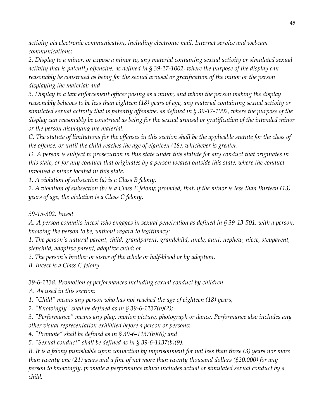*activity via electronic communication, including electronic mail, Internet service and webcam communications;*

*2. Display to a minor, or expose a minor to, any material containing sexual activity or simulated sexual activity that is patently offensive, as defined in § 39-17-1002, where the purpose of the display can reasonably be construed as being for the sexual arousal or gratification of the minor or the person displaying the material; and*

*3. Display to a law enforcement officer posing as a minor, and whom the person making the display reasonably believes to be less than eighteen (18) years of age, any material containing sexual activity or simulated sexual activity that is patently offensive, as defined in § 39-17-1002, where the purpose of the display can reasonably be construed as being for the sexual arousal or gratification of the intended minor or the person displaying the material.*

*C. The statute of limitations for the offenses in this section shall be the applicable statute for the class of the offense, or until the child reaches the age of eighteen (18), whichever is greater.*

*D. A person is subject to prosecution in this state under this statute for any conduct that originates in this state, or for any conduct that originates by a person located outside this state, where the conduct involved a minor located in this state.*

*1. A violation of subsection (a) is a Class B felony.*

*2. A violation of subsection (b) is a Class E felony; provided, that, if the minor is less than thirteen (13) years of age, the violation is a Class C felony.*

*39-15-302. Incest*

*A. A person commits incest who engages in sexual penetration as defined in § 39-13-501, with a person, knowing the person to be, without regard to legitimacy:*

*1. The person's natural parent, child, grandparent, grandchild, uncle, aunt, nephew, niece, stepparent, stepchild, adoptive parent, adoptive child; or*

*2. The person's brother or sister of the whole or half-blood or by adoption.*

*B. Incest is a Class C felony*

*39-6-1138. Promotion of performances including sexual conduct by children*

*A. As used in this section:*

*1. "Child" means any person who has not reached the age of eighteen (18) years;*

*2. "Knowingly" shall be defined as in § 39-6-1137(b)(2);*

*3. "Performance" means any play, motion picture, photograph or dance. Performance also includes any other visual representation exhibited before a person or persons;*

*4. "Promote" shall be defined as in § 39-6-1137(b)(6); and*

*5. "Sexual conduct" shall be defined as in § 39-6-1137(b)(9).*

*B. It is a felony punishable upon conviction by imprisonment for not less than three (3) years nor more than twenty-one (21) years and a fine of not more than twenty thousand dollars (\$20,000) for any person to knowingly, promote a performance which includes actual or simulated sexual conduct by a child.*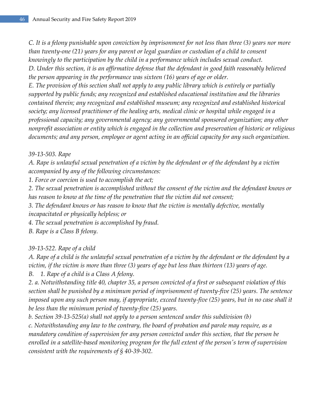*C. It is a felony punishable upon conviction by imprisonment for not less than three (3) years nor more than twenty-one (21) years for any parent or legal guardian or custodian of a child to consent knowingly to the participation by the child in a performance which includes sexual conduct. D. Under this section, it is an affirmative defense that the defendant in good faith reasonably believed the person appearing in the performance was sixteen (16) years of age or older.*

*E. The provision of this section shall not apply to any public library which is entirely or partially supported by public funds; any recognized and established educational institution and the libraries contained therein; any recognized and established museum; any recognized and established historical society; any licensed practitioner of the healing arts, medical clinic or hospital while engaged in a professional capacity; any governmental agency; any governmental sponsored organization; any other nonprofit association or entity which is engaged in the collection and preservation of historic or religious documents; and any person, employee or agent acting in an official capacity for any such organization.*

### *39-13-503. Rape*

*A. Rape is unlawful sexual penetration of a victim by the defendant or of the defendant by a victim accompanied by any of the following circumstances:*

*1. Force or coercion is used to accomplish the act;*

*2. The sexual penetration is accomplished without the consent of the victim and the defendant knows or has reason to know at the time of the penetration that the victim did not consent;*

*3. The defendant knows or has reason to know that the victim is mentally defective, mentally incapacitated or physically helpless; or*

*4. The sexual penetration is accomplished by fraud.*

*B. Rape is a Class B felony.*

## *39-13-522. Rape of a child*

*A. Rape of a child is the unlawful sexual penetration of a victim by the defendant or the defendant by a victim, if the victim is more than three (3) years of age but less than thirteen (13) years of age.*

*B. 1. Rape of a child is a Class A felony.*

*2. a. Notwithstanding title 40, chapter 35, a person convicted of a first or subsequent violation of this section shall be punished by a minimum period of imprisonment of twenty-five (25) years. The sentence imposed upon any such person may, if appropriate, exceed twenty-five (25) years, but in no case shall it be less than the minimum period of twenty-five (25) years.*

*b. Section 39-13-525(a) shall not apply to a person sentenced under this subdivision (b)*

*c. Notwithstanding any law to the contrary, the board of probation and parole may require, as a mandatory condition of supervision for any person convicted under this section, that the person be enrolled in a satellite-based monitoring program for the full extent of the person's term of supervision consistent with the requirements of § 40-39-302.*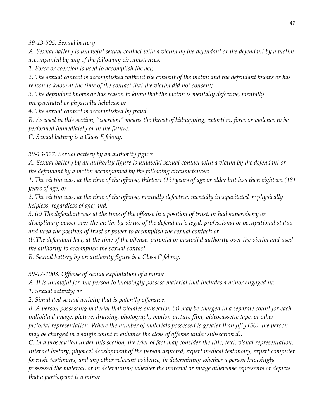*39-13-505. Sexual battery*

*A. Sexual battery is unlawful sexual contact with a victim by the defendant or the defendant by a victim accompanied by any of the following circumstances:*

*1. Force or coercion is used to accomplish the act;*

*2. The sexual contact is accomplished without the consent of the victim and the defendant knows or has reason to know at the time of the contact that the victim did not consent;*

*3. The defendant knows or has reason to know that the victim is mentally defective, mentally incapacitated or physically helpless; or*

*4. The sexual contact is accomplished by fraud.*

*B. As used in this section, "coercion" means the threat of kidnapping, extortion, force or violence to be performed immediately or in the future.*

*C. Sexual battery is a Class E felony.*

*39-13-527. Sexual battery by an authority figure*

*A. Sexual battery by an authority figure is unlawful sexual contact with a victim by the defendant or the defendant by a victim accompanied by the following circumstances:*

*1. The victim was, at the time of the offense, thirteen (13) years of age or older but less then eighteen (18) years of age; or*

*2. The victim was, at the time of the offense, mentally defective, mentally incapacitated or physically helpless, regardless of age; and,*

*3. (a) The defendant was at the time of the offense in a position of trust, or had supervisory or disciplinary power over the victim by virtue of the defendant's legal, professional or occupational status and used the position of trust or power to accomplish the sexual contact; or*

*(b)The defendant had, at the time of the offense, parental or custodial authority over the victim and used the authority to accomplish the sexual contact*

*B. Sexual battery by an authority figure is a Class C felony.*

*39-17-1003. Offense of sexual exploitation of a minor*

*A. It is unlawful for any person to knowingly possess material that includes a minor engaged in:*

*1. Sexual activity; or*

*2. Simulated sexual activity that is patently offensive.*

*B. A person possessing material that violates subsection (a) may be charged in a separate count for each individual image, picture, drawing, photograph, motion picture film, videocassette tape, or other pictorial representation. Where the number of materials possessed is greater than fifty (50), the person may be charged in a single count to enhance the class of offense under subsection d).*

*C. In a prosecution under this section, the trier of fact may consider the title, text, visual representation, Internet history, physical development of the person depicted, expert medical testimony, expert computer forensic testimony, and any other relevant evidence, in determining whether a person knowingly possessed the material, or in determining whether the material or image otherwise represents or depicts that a participant is a minor.*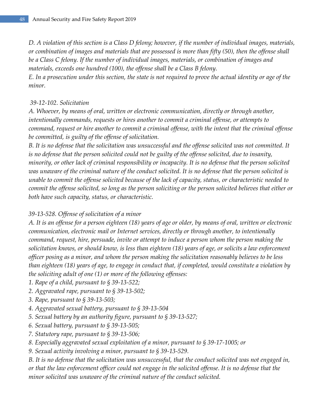*D. A violation of this section is a Class D felony; however, if the number of individual images, materials, or combination of images and materials that are possessed is more than fifty (50), then the offense shall be a Class C felony. If the number of individual images, materials, or combination of images and materials, exceeds one hundred (100), the offense shall be a Class B felony. E. In a prosecution under this section, the state is not required to prove the actual identity or age of the minor.*

#### *39-12-102. Solicitation*

*A. Whoever, by means of oral, written or electronic communication, directly or through another, intentionally commands, requests or hires another to commit a criminal offense, or attempts to command, request or hire another to commit a criminal offense, with the intent that the criminal offense be committed, is guilty of the offense of solicitation.*

*B. It is no defense that the solicitation was unsuccessful and the offense solicited was not committed. It is no defense that the person solicited could not be guilty of the offense solicited, due to insanity, minority, or other lack of criminal responsibility or incapacity. It is no defense that the person solicited was unaware of the criminal nature of the conduct solicited. It is no defense that the person solicited is unable to commit the offense solicited because of the lack of capacity, status, or characteristic needed to commit the offense solicited, so long as the person soliciting or the person solicited believes that either or both have such capacity, status, or characteristic.*

#### *39-13-528. Offense of solicitation of a minor*

*A. It is an offense for a person eighteen (18) years of age or older, by means of oral, written or electronic communication, electronic mail or Internet services, directly or through another, to intentionally command, request, hire, persuade, invite or attempt to induce a person whom the person making the solicitation knows, or should know, is less than eighteen (18) years of age, or solicits a law enforcement officer posing as a minor, and whom the person making the solicitation reasonably believes to be less than eighteen (18) years of age, to engage in conduct that, if completed, would constitute a violation by the soliciting adult of one (1) or more of the following offenses:*

- *1. Rape of a child, pursuant to § 39-13-522;*
- *2. Aggravated rape, pursuant to § 39-13-502;*
- *3. Rape, pursuant to § 39-13-503;*
- *4. Aggravated sexual battery, pursuant to § 39-13-504*
- *5. Sexual battery by an authority figure, pursuant to § 39-13-527;*
- *6. Sexual battery, pursuant to § 39-13-505;*
- *7. Statutory rape, pursuant to § 39-13-506;*
- *8. Especially aggravated sexual exploitation of a minor, pursuant to § 39-17-1005; or*
- *9. Sexual activity involving a minor, pursuant to § 39-13-529.*

*B. It is no defense that the solicitation was unsuccessful, that the conduct solicited was not engaged in, or that the law enforcement officer could not engage in the solicited offense. It is no defense that the minor solicited was unaware of the criminal nature of the conduct solicited.*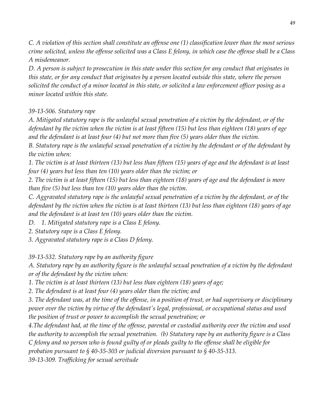*C. A violation of this section shall constitute an offense one (1) classification lower than the most serious crime solicited, unless the offense solicited was a Class E felony, in which case the offense shall be a Class A misdemeanor.*

*D. A person is subject to prosecution in this state under this section for any conduct that originates in this state, or for any conduct that originates by a person located outside this state, where the person solicited the conduct of a minor located in this state, or solicited a law enforcement officer posing as a minor located within this state.*

### *39-13-506. Statutory rape*

*A. Mitigated statutory rape is the unlawful sexual penetration of a victim by the defendant, or of the defendant by the victim when the victim is at least fifteen (15) but less than eighteen (18) years of age and the defendant is at least four (4) but not more than five (5) years older than the victim.*

*B. Statutory rape is the unlawful sexual penetration of a victim by the defendant or of the defendant by the victim when:*

*1. The victim is at least thirteen (13) but less than fifteen (15) years of age and the defendant is at least four (4) years but less than ten (10) years older than the victim; or*

*2. The victim is at least fifteen (15) but less than eighteen (18) years of age and the defendant is more than five (5) but less than ten (10) years older than the victim.*

*C. Aggravated statutory rape is the unlawful sexual penetration of a victim by the defendant, or of the defendant by the victim when the victim is at least thirteen (13) but less than eighteen (18) years of age and the defendant is at least ten (10) years older than the victim.*

*D. 1. Mitigated statutory rape is a Class E felony.*

*2. Statutory rape is a Class E felony.*

*3. Aggravated statutory rape is a Class D felony.*

*39-13-532. Statutory rape by an authority figure*

*A. Statutory rape by an authority figure is the unlawful sexual penetration of a victim by the defendant or of the defendant by the victim when:*

*1. The victim is at least thirteen (13) but less than eighteen (18) years of age;*

*2. The defendant is at least four (4) years older than the victim; and*

*3. The defendant was, at the time of the offense, in a position of trust, or had supervisory or disciplinary power over the victim by virtue of the defendant's legal, professional, or occupational status and used the position of trust or power to accomplish the sexual penetration; or*

*4.The defendant had, at the time of the offense, parental or custodial authority over the victim and used the authority to accomplish the sexual penetration. (b) Statutory rape by an authority figure is a Class C felony and no person who is found guilty of or pleads guilty to the offense shall be eligible for probation pursuant to § 40-35-303 or judicial diversion pursuant to § 40-35-313.*

*39-13-309. Trafficking for sexual servitude*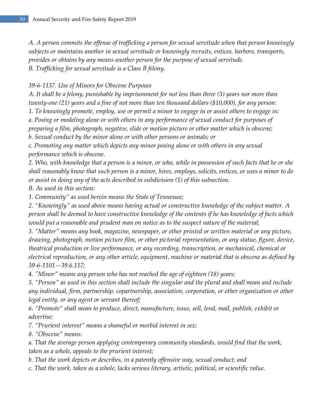*A. A person commits the offense of trafficking a person for sexual servitude when that person knowingly subjects or maintains another in sexual servitude or knowingly recruits, entices, harbors, transports, provides or obtains by any means another person for the purpose of sexual servitude. B. Trafficking for sexual servitude is a Class B felony.*

#### *39-6-1137. Use of Minors for Obscene Purposes*

*A. It shall be a felony, punishable by imprisonment for not less than three (3) years nor more than twenty-one (21) years and a fine of not more than ten thousand dollars (\$10,000), for any person: 1. To knowingly promote, employ, use or permit a minor to engage in or assist others to engage in: a. Posing or modeling alone or with others in any performance of sexual conduct for purposes of preparing a film, photograph, negative, slide or motion picture or other matter which is obscene; b. Sexual conduct by the minor alone or with other persons or animals; or*

*c. Promoting any matter which depicts any minor posing alone or with others in any sexual performance which is obscene.*

*2. Who, with knowledge that a person is a minor, or who, while in possession of such facts that he or she shall reasonably know that such person is a minor, hires, employs, solicits, entices, or uses a minor to do or assist in doing any of the acts described in subdivision (1) of this subsection.*

*B. As used in this section:*

*1. Community" as used herein means the State of Tennessee;*

*2. "Knowingly" as used above means having actual or constructive knowledge of the subject matter. A person shall be deemed to have constructive knowledge of the contents if he has knowledge of facts which would put a reasonable and prudent man on notice as to the suspect nature of the material;*

*3. "Matter" means any book, magazine, newspaper, or other printed or written material or any picture, drawing, photograph, motion picture film, or other pictorial representation, or any statue, figure, device, theatrical production or live performance, or any recording, transcription, or mechanical, chemical or electrical reproduction, or any other article, equipment, machine or material that is obscene as defined by 39-6-1101—39.6.117;*

*4. "Minor" means any person who has not reached the age of eighteen (18) years;*

*5. "Person" as used in this section shall include the singular and the plural and shall mean and include any individual, firm, partnership, copartnership, association, corporation, or other organization or other legal entity, or any agent or servant thereof;*

*6. "Promote" shall mean to produce, direct, manufacture, issue, sell, lend, mail, publish, exhibit or advertise;*

*7. "Prurient interest" means a shameful or morbid interest in sex;*

*8. "Obscene" means:*

*a. That the average person applying contemporary community standards, would find that the work, taken as a whole, appeals to the prurient interest;*

*b. That the work depicts or describes, in a patently offensive way, sexual conduct; and*

*c. That the work, taken as a whole, lacks serious literary, artistic, political, or scientific value.*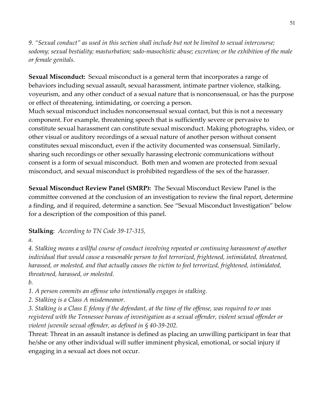*9. "Sexual conduct" as used in this section shall include but not be limited to sexual intercourse; sodomy; sexual bestiality; masturbation; sado-masochistic abuse; excretion; or the exhibition of the male or female genitals.*

**Sexual Misconduct:** Sexual misconduct is a general term that incorporates a range of behaviors including sexual assault, sexual harassment, intimate partner violence, stalking, voyeurism, and any other conduct of a sexual nature that is nonconsensual, or has the purpose or effect of threatening, intimidating, or coercing a person.

Much sexual misconduct includes nonconsensual sexual contact, but this is not a necessary component. For example, threatening speech that is sufficiently severe or pervasive to constitute sexual harassment can constitute sexual misconduct. Making photographs, video, or other visual or auditory recordings of a sexual nature of another person without consent constitutes sexual misconduct, even if the activity documented was consensual. Similarly, sharing such recordings or other sexually harassing electronic communications without consent is a form of sexual misconduct. Both men and women are protected from sexual misconduct, and sexual misconduct is prohibited regardless of the sex of the harasser.

**Sexual Misconduct Review Panel (SMRP):** The Sexual Misconduct Review Panel is the committee convened at the conclusion of an investigation to review the final report, determine a finding, and if required, determine a sanction. See "Sexual Misconduct Investigation" below for a description of the composition of this panel.

## **Stalking**: *According to TN Code 39-17-315,*

#### *a.*

*4. Stalking means a willful course of conduct involving repeated or continuing harassment of another individual that would cause a reasonable person to feel terrorized, frightened, intimidated, threatened, harassed, or molested, and that actually causes the victim to feel terrorized, frightened, intimidated, threatened, harassed, or molested.*

*b.*

*1. A person commits an offense who intentionally engages in stalking.*

*2. Stalking is a Class A misdemeanor.*

*3. Stalking is a Class E felony if the defendant, at the time of the offense, was required to or was registered with the Tennessee bureau of investigation as a sexual offender, violent sexual offender or violent juvenile sexual offender, as defined in § 40-39-202.*

Threat: Threat in an assault instance is defined as placing an unwilling participant in fear that he/she or any other individual will suffer imminent physical, emotional, or social injury if engaging in a sexual act does not occur.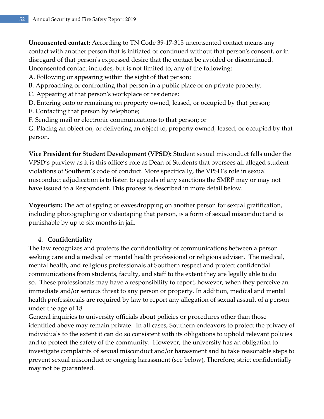**Unconsented contact:** According to TN Code 39-17-315 unconsented contact means any contact with another person that is initiated or continued without that person's consent, or in disregard of that person's expressed desire that the contact be avoided or discontinued. Unconsented contact includes, but is not limited to, any of the following:

- A. Following or appearing within the sight of that person;
- B. Approaching or confronting that person in a public place or on private property;
- C. Appearing at that person's workplace or residence;
- D. Entering onto or remaining on property owned, leased, or occupied by that person;
- E. Contacting that person by telephone;
- F. Sending mail or electronic communications to that person; or

G. Placing an object on, or delivering an object to, property owned, leased, or occupied by that person.

**Vice President for Student Development (VPSD):** Student sexual misconduct falls under the VPSD's purview as it is this office's role as Dean of Students that oversees all alleged student violations of Southern's code of conduct. More specifically, the VPSD's role in sexual misconduct adjudication is to listen to appeals of any sanctions the SMRP may or may not have issued to a Respondent. This process is described in more detail below.

**Voyeurism:** The act of spying or eavesdropping on another person for sexual gratification, including photographing or videotaping that person, is a form of sexual misconduct and is punishable by up to six months in jail.

## **4. Confidentiality**

The law recognizes and protects the confidentiality of communications between a person seeking care and a medical or mental health professional or religious adviser. The medical, mental health, and religious professionals at Southern respect and protect confidential communications from students, faculty, and staff to the extent they are legally able to do so. These professionals may have a responsibility to report, however, when they perceive an immediate and/or serious threat to any person or property. In addition, medical and mental health professionals are required by law to report any allegation of sexual assault of a person under the age of 18.

General inquiries to university officials about policies or procedures other than those identified above may remain private. In all cases, Southern endeavors to protect the privacy of individuals to the extent it can do so consistent with its obligations to uphold relevant policies and to protect the safety of the community. However, the university has an obligation to investigate complaints of sexual misconduct and/or harassment and to take reasonable steps to prevent sexual misconduct or ongoing harassment (see below), Therefore, strict confidentially may not be guaranteed.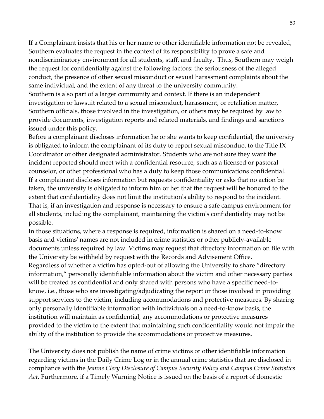If a Complainant insists that his or her name or other identifiable information not be revealed, Southern evaluates the request in the context of its responsibility to prove a safe and nondiscriminatory environment for all students, staff, and faculty. Thus, Southern may weigh the request for confidentially against the following factors: the seriousness of the alleged conduct, the presence of other sexual misconduct or sexual harassment complaints about the same individual, and the extent of any threat to the university community. Southern is also part of a larger community and context. If there is an independent investigation or lawsuit related to a sexual misconduct, harassment, or retaliation matter, Southern officials, those involved in the investigation, or others may be required by law to provide documents, investigation reports and related materials, and findings and sanctions issued under this policy.

Before a complainant discloses information he or she wants to keep confidential, the university is obligated to inform the complainant of its duty to report sexual misconduct to the Title IX Coordinator or other designated administrator. Students who are not sure they want the incident reported should meet with a confidential resource, such as a licensed or pastoral counselor, or other professional who has a duty to keep those communications confidential. If a complainant discloses information but requests confidentiality or asks that no action be taken, the university is obligated to inform him or her that the request will be honored to the extent that confidentiality does not limit the institution's ability to respond to the incident. That is, if an investigation and response is necessary to ensure a safe campus environment for all students, including the complainant, maintaining the victim's confidentiality may not be possible.

In those situations, where a response is required, information is shared on a need-to-know basis and victims' names are not included in crime statistics or other publicly-available documents unless required by law. Victims may request that directory information on file with the University be withheld by request with the Records and Advisement Office. Regardless of whether a victim has opted-out of allowing the University to share "directory information," personally identifiable information about the victim and other necessary parties will be treated as confidential and only shared with persons who have a specific need-toknow, i.e., those who are investigating/adjudicating the report or those involved in providing support services to the victim, including accommodations and protective measures. By sharing only personally identifiable information with individuals on a need-to-know basis, the institution will maintain as confidential, any accommodations or protective measures provided to the victim to the extent that maintaining such confidentiality would not impair the ability of the institution to provide the accommodations or protective measures.

The University does not publish the name of crime victims or other identifiable information regarding victims in the Daily Crime Log or in the annual crime statistics that are disclosed in compliance with the *Jeanne Clery Disclosure of Campus Security Policy and Campus Crime Statistics Act.* Furthermore, if a Timely Warning Notice is issued on the basis of a report of domestic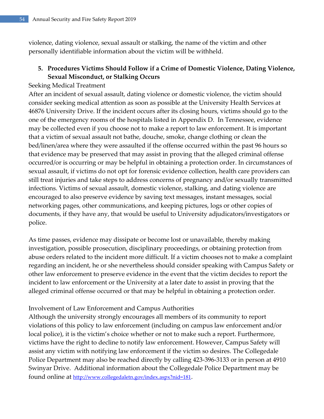violence, dating violence, sexual assault or stalking, the name of the victim and other personally identifiable information about the victim will be withheld.

# **5. Procedures Victims Should Follow if a Crime of Domestic Violence, Dating Violence, Sexual Misconduct, or Stalking Occurs**

#### Seeking Medical Treatment

After an incident of sexual assault, dating violence or domestic violence, the victim should consider seeking medical attention as soon as possible at the University Health Services at 46876 University Drive. If the incident occurs after its closing hours, victims should go to the one of the emergency rooms of the hospitals listed in Appendix D. In Tennessee, evidence may be collected even if you choose not to make a report to law enforcement. It is important that a victim of sexual assault not bathe, douche, smoke, change clothing or clean the bed/linen/area where they were assaulted if the offense occurred within the past 96 hours so that evidence may be preserved that may assist in proving that the alleged criminal offense occurred/or is occurring or may be helpful in obtaining a protection order. In circumstances of sexual assault, if victims do not opt for forensic evidence collection, health care providers can still treat injuries and take steps to address concerns of pregnancy and/or sexually transmitted infections. Victims of sexual assault, domestic violence, stalking, and dating violence are encouraged to also preserve evidence by saving text messages, instant messages, social networking pages, other communications, and keeping pictures, logs or other copies of documents, if they have any, that would be useful to University adjudicators/investigators or police.

As time passes, evidence may dissipate or become lost or unavailable, thereby making investigation, possible prosecution, disciplinary proceedings, or obtaining protection from abuse orders related to the incident more difficult. If a victim chooses not to make a complaint regarding an incident, he or she nevertheless should consider speaking with Campus Safety or other law enforcement to preserve evidence in the event that the victim decides to report the incident to law enforcement or the University at a later date to assist in proving that the alleged criminal offense occurred or that may be helpful in obtaining a protection order.

#### Involvement of Law Enforcement and Campus Authorities

Although the university strongly encourages all members of its community to report violations of this policy to law enforcement (including on campus law enforcement and/or local police), it is the victim's choice whether or not to make such a report. Furthermore, victims have the right to decline to notify law enforcement. However, Campus Safety will assist any victim with notifying law enforcement if the victim so desires. The Collegedale Police Department may also be reached directly by calling 423-396-3133 or in person at 4910 Swinyar Drive. Additional information about the Collegedale Police Department may be found online at <u><http://www.collegedaletn.gov/index.aspx?nid=181></u>.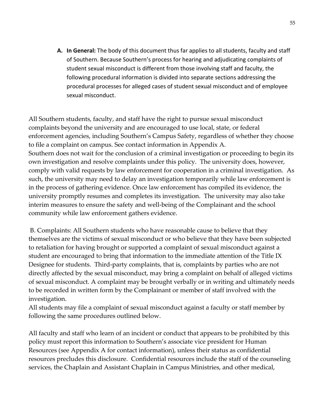**A. In General:** The body of this document thus far applies to all students, faculty and staff of Southern. Because Southern's process for hearing and adjudicating complaints of student sexual misconduct is different from those involving staff and faculty, the following procedural information is divided into separate sections addressing the procedural processes for alleged cases of student sexual misconduct and of employee sexual misconduct.

All Southern students, faculty, and staff have the right to pursue sexual misconduct complaints beyond the university and are encouraged to use local, state, or federal enforcement agencies, including Southern's Campus Safety, regardless of whether they choose to file a complaint on campus. See contact information in Appendix A. Southern does not wait for the conclusion of a criminal investigation or proceeding to begin its own investigation and resolve complaints under this policy. The university does, however, comply with valid requests by law enforcement for cooperation in a criminal investigation. As such, the university may need to delay an investigation temporarily while law enforcement is in the process of gathering evidence. Once law enforcement has compiled its evidence, the university promptly resumes and completes its investigation. The university may also take interim measures to ensure the safety and well-being of the Complainant and the school community while law enforcement gathers evidence.

B. Complaints: All Southern students who have reasonable cause to believe that they themselves are the victims of sexual misconduct or who believe that they have been subjected to retaliation for having brought or supported a complaint of sexual misconduct against a student are encouraged to bring that information to the immediate attention of the Title IX Designee for students. Third-party complaints, that is, complaints by parties who are not directly affected by the sexual misconduct, may bring a complaint on behalf of alleged victims of sexual misconduct. A complaint may be brought verbally or in writing and ultimately needs to be recorded in written form by the Complainant or member of staff involved with the investigation.

All students may file a complaint of sexual misconduct against a faculty or staff member by following the same procedures outlined below.

All faculty and staff who learn of an incident or conduct that appears to be prohibited by this policy must report this information to Southern's associate vice president for Human Resources (see Appendix A for contact information), unless their status as confidential resources precludes this disclosure. Confidential resources include the staff of the counseling services, the Chaplain and Assistant Chaplain in Campus Ministries, and other medical,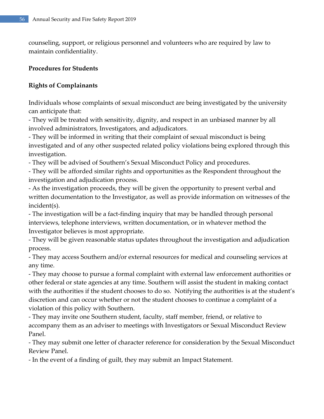counseling, support, or religious personnel and volunteers who are required by law to maintain confidentiality.

### **Procedures for Students**

# **Rights of Complainants**

Individuals whose complaints of sexual misconduct are being investigated by the university can anticipate that:

- They will be treated with sensitivity, dignity, and respect in an unbiased manner by all involved administrators, Investigators, and adjudicators.

- They will be informed in writing that their complaint of sexual misconduct is being investigated and of any other suspected related policy violations being explored through this investigation.

- They will be advised of Southern's Sexual Misconduct Policy and procedures.

- They will be afforded similar rights and opportunities as the Respondent throughout the investigation and adjudication process.

- As the investigation proceeds, they will be given the opportunity to present verbal and written documentation to the Investigator, as well as provide information on witnesses of the incident(s).

- The investigation will be a fact-finding inquiry that may be handled through personal interviews, telephone interviews, written documentation, or in whatever method the Investigator believes is most appropriate.

- They will be given reasonable status updates throughout the investigation and adjudication process.

- They may access Southern and/or external resources for medical and counseling services at any time.

- They may choose to pursue a formal complaint with external law enforcement authorities or other federal or state agencies at any time. Southern will assist the student in making contact with the authorities if the student chooses to do so. Notifying the authorities is at the student's discretion and can occur whether or not the student chooses to continue a complaint of a violation of this policy with Southern.

- They may invite one Southern student, faculty, staff member, friend, or relative to accompany them as an adviser to meetings with Investigators or Sexual Misconduct Review Panel.

- They may submit one letter of character reference for consideration by the Sexual Misconduct Review Panel.

- In the event of a finding of guilt, they may submit an Impact Statement.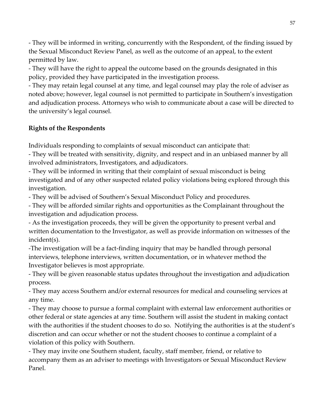- They will be informed in writing, concurrently with the Respondent, of the finding issued by the Sexual Misconduct Review Panel, as well as the outcome of an appeal, to the extent permitted by law.

- They will have the right to appeal the outcome based on the grounds designated in this policy, provided they have participated in the investigation process.

- They may retain legal counsel at any time, and legal counsel may play the role of adviser as noted above; however, legal counsel is not permitted to participate in Southern's investigation and adjudication process. Attorneys who wish to communicate about a case will be directed to the university's legal counsel.

# **Rights of the Respondents**

Individuals responding to complaints of sexual misconduct can anticipate that:

- They will be treated with sensitivity, dignity, and respect and in an unbiased manner by all involved administrators, Investigators, and adjudicators.

- They will be informed in writing that their complaint of sexual misconduct is being investigated and of any other suspected related policy violations being explored through this investigation.

- They will be advised of Southern's Sexual Misconduct Policy and procedures.

- They will be afforded similar rights and opportunities as the Complainant throughout the investigation and adjudication process.

- As the investigation proceeds, they will be given the opportunity to present verbal and written documentation to the Investigator, as well as provide information on witnesses of the incident(s).

-The investigation will be a fact-finding inquiry that may be handled through personal interviews, telephone interviews, written documentation, or in whatever method the Investigator believes is most appropriate.

- They will be given reasonable status updates throughout the investigation and adjudication process.

- They may access Southern and/or external resources for medical and counseling services at any time.

- They may choose to pursue a formal complaint with external law enforcement authorities or other federal or state agencies at any time. Southern will assist the student in making contact with the authorities if the student chooses to do so. Notifying the authorities is at the student's discretion and can occur whether or not the student chooses to continue a complaint of a violation of this policy with Southern.

- They may invite one Southern student, faculty, staff member, friend, or relative to accompany them as an adviser to meetings with Investigators or Sexual Misconduct Review Panel.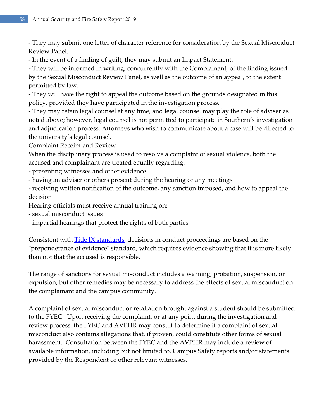- They may submit one letter of character reference for consideration by the Sexual Misconduct Review Panel.

- In the event of a finding of guilt, they may submit an Impact Statement.

- They will be informed in writing, concurrently with the Complainant, of the finding issued by the Sexual Misconduct Review Panel, as well as the outcome of an appeal, to the extent permitted by law.

- They will have the right to appeal the outcome based on the grounds designated in this policy, provided they have participated in the investigation process.

- They may retain legal counsel at any time, and legal counsel may play the role of adviser as noted above; however, legal counsel is not permitted to participate in Southern's investigation and adjudication process. Attorneys who wish to communicate about a case will be directed to the university's legal counsel.

Complaint Receipt and Review

When the disciplinary process is used to resolve a complaint of sexual violence, both the accused and complainant are treated equally regarding:

- presenting witnesses and other evidence

- having an adviser or others present during the hearing or any meetings

- receiving written notification of the outcome, any sanction imposed, and how to appeal the decision

Hearing officials must receive annual training on:

- sexual misconduct issues

- impartial hearings that protect the rights of both parties

Consistent with <u>Title IX standards</u>, decisions in conduct proceedings are based on the "preponderance of evidence" standard, which requires evidence showing that it is more likely than not that the accused is responsible.

The range of sanctions for sexual misconduct includes a warning, probation, suspension, or expulsion, but other remedies may be necessary to address the effects of sexual misconduct on the complainant and the campus community.

A complaint of sexual misconduct or retaliation brought against a student should be submitted to the FYEC. Upon receiving the complaint, or at any point during the investigation and review process, the FYEC and AVPHR may consult to determine if a complaint of sexual misconduct also contains allegations that, if proven, could constitute other forms of sexual harassment. Consultation between the FYEC and the AVPHR may include a review of available information, including but not limited to, Campus Safety reports and/or statements provided by the Respondent or other relevant witnesses.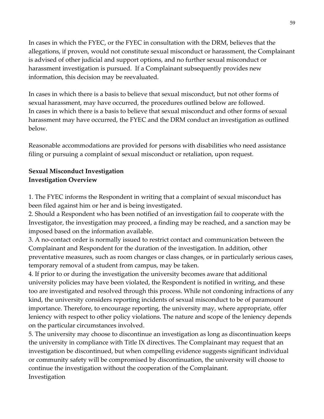In cases in which the FYEC, or the FYEC in consultation with the DRM, believes that the allegations, if proven, would not constitute sexual misconduct or harassment, the Complainant is advised of other judicial and support options, and no further sexual misconduct or harassment investigation is pursued. If a Complainant subsequently provides new information, this decision may be reevaluated.

In cases in which there is a basis to believe that sexual misconduct, but not other forms of sexual harassment, may have occurred, the procedures outlined below are followed. In cases in which there is a basis to believe that sexual misconduct and other forms of sexual harassment may have occurred, the FYEC and the DRM conduct an investigation as outlined below.

Reasonable accommodations are provided for persons with disabilities who need assistance filing or pursuing a complaint of sexual misconduct or retaliation, upon request.

## **Sexual Misconduct Investigation Investigation Overview**

1. The FYEC informs the Respondent in writing that a complaint of sexual misconduct has been filed against him or her and is being investigated.

2. Should a Respondent who has been notified of an investigation fail to cooperate with the Investigator, the investigation may proceed, a finding may be reached, and a sanction may be imposed based on the information available.

3. A no-contact order is normally issued to restrict contact and communication between the Complainant and Respondent for the duration of the investigation. In addition, other preventative measures, such as room changes or class changes, or in particularly serious cases, temporary removal of a student from campus, may be taken.

4. If prior to or during the investigation the university becomes aware that additional university policies may have been violated, the Respondent is notified in writing, and these too are investigated and resolved through this process. While not condoning infractions of any kind, the university considers reporting incidents of sexual misconduct to be of paramount importance. Therefore, to encourage reporting, the university may, where appropriate, offer leniency with respect to other policy violations. The nature and scope of the leniency depends on the particular circumstances involved.

5. The university may choose to discontinue an investigation as long as discontinuation keeps the university in compliance with Title IX directives. The Complainant may request that an investigation be discontinued, but when compelling evidence suggests significant individual or community safety will be compromised by discontinuation, the university will choose to continue the investigation without the cooperation of the Complainant. Investigation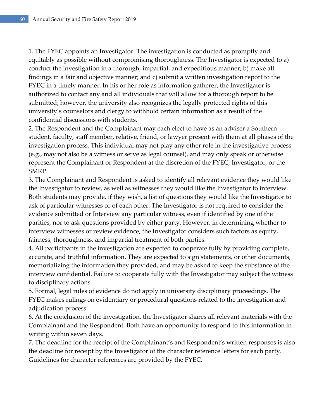1. The FYEC appoints an Investigator. The investigation is conducted as promptly and equitably as possible without compromising thoroughness. The Investigator is expected to a) conduct the investigation in a thorough, impartial, and expeditious manner; b) make all findings in a fair and objective manner; and c) submit a written investigation report to the FYEC in a timely manner. In his or her role as information gatherer, the Investigator is authorized to contact any and all individuals that will allow for a thorough report to be submitted; however, the university also recognizes the legally protected rights of this university's counselors and clergy to withhold certain information as a result of the confidential discussions with students.

2. The Respondent and the Complainant may each elect to have as an adviser a Southern student, faculty, staff member, relative, friend, or lawyer present with them at all phases of the investigation process. This individual may not play any other role in the investigative process (e.g., may not also be a witness or serve as legal counsel), and may only speak or otherwise represent the Complainant or Respondent at the discretion of the FYEC, Investigator, or the SMRP.

3. The Complainant and Respondent is asked to identify all relevant evidence they would like the Investigator to review, as well as witnesses they would like the Investigator to interview. Both students may provide, if they wish, a list of questions they would like the Investigator to ask of particular witnesses or of each other. The Investigator is not required to consider the evidence submitted or Interview any particular witness, even if identified by one of the parities, nor to ask questions provided by either party. However, in determining whether to interview witnesses or review evidence, the Investigator considers such factors as equity, fairness, thoroughness, and impartial treatment of both parties.

4. All participants in the investigation are expected to cooperate fully by providing complete, accurate, and truthful information. They are expected to sign statements, or other documents, memorializing the information they provided, and may be asked to keep the substance of the interview confidential. Failure to cooperate fully with the Investigator may subject the witness to disciplinary actions.

5. Formal, legal rules of evidence do not apply in university disciplinary proceedings. The FYEC makes rulings on evidentiary or procedural questions related to the investigation and adjudication process.

6. At the conclusion of the investigation, the Investigator shares all relevant materials with the Complainant and the Respondent. Both have an opportunity to respond to this information in writing within seven days.

7. The deadline for the receipt of the Complainant's and Respondent's written responses is also the deadline for receipt by the Investigator of the character reference letters for each party. Guidelines for character references are provided by the FYEC.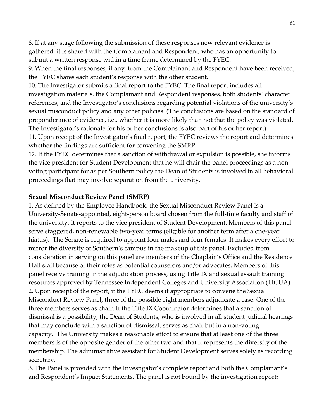8. If at any stage following the submission of these responses new relevant evidence is gathered, it is shared with the Complainant and Respondent, who has an opportunity to submit a written response within a time frame determined by the FYEC.

9. When the final responses, if any, from the Complainant and Respondent have been received, the FYEC shares each student's response with the other student.

10. The Investigator submits a final report to the FYEC. The final report includes all investigation materials, the Complainant and Respondent responses, both students' character references, and the Investigator's conclusions regarding potential violations of the university's sexual misconduct policy and any other policies. (The conclusions are based on the standard of preponderance of evidence, i.e., whether it is more likely than not that the policy was violated. The Investigator's rationale for his or her conclusions is also part of his or her report).

11. Upon receipt of the Investigator's final report, the FYEC reviews the report and determines whether the findings are sufficient for convening the SMRP.

12. If the FYEC determines that a sanction of withdrawal or expulsion is possible, she informs the vice president for Student Development that he will chair the panel proceedings as a nonvoting participant for as per Southern policy the Dean of Students is involved in all behavioral proceedings that may involve separation from the university.

#### **Sexual Misconduct Review Panel (SMRP)**

1. As defined by the Employee Handbook, the Sexual Misconduct Review Panel is a University-Senate-appointed, eight-person board chosen from the full-time faculty and staff of the university. It reports to the vice president of Student Development. Members of this panel serve staggered, non-renewable two-year terms (eligible for another term after a one-year hiatus). The Senate is required to appoint four males and four females. It makes every effort to mirror the diversity of Southern's campus in the makeup of this panel. Excluded from consideration in serving on this panel are members of the Chaplain's Office and the Residence Hall staff because of their roles as potential counselors and/or advocates. Members of this panel receive training in the adjudication process, using Title IX and sexual assault training resources approved by Tennessee Independent Colleges and University Association (TICUA). 2. Upon receipt of the report, if the FYEC deems it appropriate to convene the Sexual Misconduct Review Panel, three of the possible eight members adjudicate a case. One of the three members serves as chair. If the Title IX Coordinator determines that a sanction of dismissal is a possibility, the Dean of Students, who is involved in all student judicial hearings that may conclude with a sanction of dismissal, serves as chair but in a non-voting capacity. The University makes a reasonable effort to ensure that at least one of the three members is of the opposite gender of the other two and that it represents the diversity of the membership. The administrative assistant for Student Development serves solely as recording secretary.

3. The Panel is provided with the Investigator's complete report and both the Complainant's and Respondent's Impact Statements. The panel is not bound by the investigation report;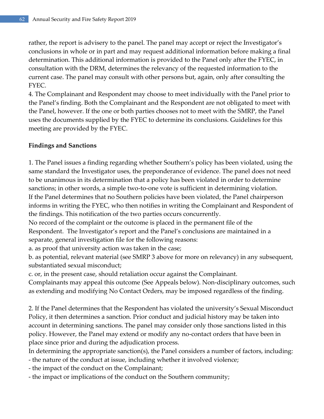rather, the report is advisery to the panel. The panel may accept or reject the Investigator's conclusions in whole or in part and may request additional information before making a final determination. This additional information is provided to the Panel only after the FYEC, in consultation with the DRM, determines the relevancy of the requested information to the current case. The panel may consult with other persons but, again, only after consulting the FYEC.

4. The Complainant and Respondent may choose to meet individually with the Panel prior to the Panel's finding. Both the Complainant and the Respondent are not obligated to meet with the Panel, however. If the one or both parties chooses not to meet with the SMRP, the Panel uses the documents supplied by the FYEC to determine its conclusions. Guidelines for this meeting are provided by the FYEC.

## **Findings and Sanctions**

1. The Panel issues a finding regarding whether Southern's policy has been violated, using the same standard the Investigator uses, the preponderance of evidence. The panel does not need to be unanimous in its determination that a policy has been violated in order to determine sanctions; in other words, a simple two-to-one vote is sufficient in determining violation. If the Panel determines that no Southern policies have been violated, the Panel chairperson informs in writing the FYEC, who then notifies in writing the Complainant and Respondent of the findings. This notification of the two parties occurs concurrently.

No record of the complaint or the outcome is placed in the permanent file of the Respondent. The Investigator's report and the Panel's conclusions are maintained in a separate, general investigation file for the following reasons:

a. as proof that university action was taken in the case;

b. as potential, relevant material (see SMRP 3 above for more on relevancy) in any subsequent, substantiated sexual misconduct;

c. or, in the present case, should retaliation occur against the Complainant.

Complainants may appeal this outcome (See Appeals below). Non-disciplinary outcomes, such as extending and modifying No Contact Orders, may be imposed regardless of the finding.

2. If the Panel determines that the Respondent has violated the university's Sexual Misconduct Policy, it then determines a sanction. Prior conduct and judicial history may be taken into account in determining sanctions. The panel may consider only those sanctions listed in this policy. However, the Panel may extend or modify any no-contact orders that have been in place since prior and during the adjudication process.

In determining the appropriate sanction(s), the Panel considers a number of factors, including:

- the nature of the conduct at issue, including whether it involved violence;
- the impact of the conduct on the Complainant;
- the impact or implications of the conduct on the Southern community;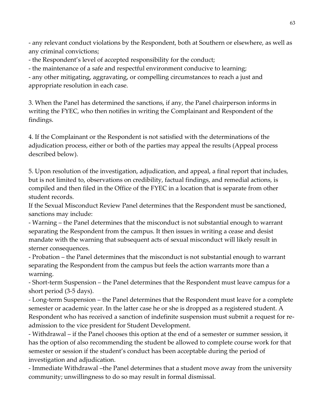- any relevant conduct violations by the Respondent, both at Southern or elsewhere, as well as any criminal convictions;

- the Respondent's level of accepted responsibility for the conduct;

- the maintenance of a safe and respectful environment conducive to learning;

- any other mitigating, aggravating, or compelling circumstances to reach a just and appropriate resolution in each case.

3. When the Panel has determined the sanctions, if any, the Panel chairperson informs in writing the FYEC, who then notifies in writing the Complainant and Respondent of the findings.

4. If the Complainant or the Respondent is not satisfied with the determinations of the adjudication process, either or both of the parties may appeal the results (Appeal process described below).

5. Upon resolution of the investigation, adjudication, and appeal, a final report that includes, but is not limited to, observations on credibility, factual findings, and remedial actions, is compiled and then filed in the Office of the FYEC in a location that is separate from other student records.

If the Sexual Misconduct Review Panel determines that the Respondent must be sanctioned, sanctions may include:

- Warning – the Panel determines that the misconduct is not substantial enough to warrant separating the Respondent from the campus. It then issues in writing a cease and desist mandate with the warning that subsequent acts of sexual misconduct will likely result in sterner consequences.

- Probation – the Panel determines that the misconduct is not substantial enough to warrant separating the Respondent from the campus but feels the action warrants more than a warning.

- Short-term Suspension – the Panel determines that the Respondent must leave campus for a short period (3-5 days).

- Long-term Suspension – the Panel determines that the Respondent must leave for a complete semester or academic year. In the latter case he or she is dropped as a registered student. A Respondent who has received a sanction of indefinite suspension must submit a request for readmission to the vice president for Student Development.

- Withdrawal – if the Panel chooses this option at the end of a semester or summer session, it has the option of also recommending the student be allowed to complete course work for that semester or session if the student's conduct has been acceptable during the period of investigation and adjudication.

- Immediate Withdrawal –the Panel determines that a student move away from the university community; unwillingness to do so may result in formal dismissal.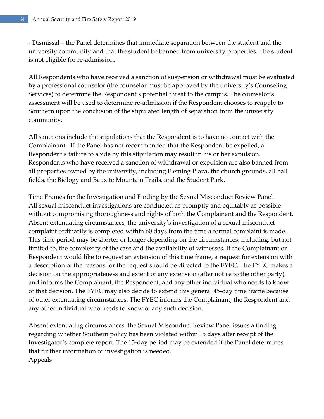- Dismissal – the Panel determines that immediate separation between the student and the university community and that the student be banned from university properties. The student is not eligible for re-admission.

All Respondents who have received a sanction of suspension or withdrawal must be evaluated by a professional counselor (the counselor must be approved by the university's Counseling Services) to determine the Respondent's potential threat to the campus. The counselor's assessment will be used to determine re-admission if the Respondent chooses to reapply to Southern upon the conclusion of the stipulated length of separation from the university community.

All sanctions include the stipulations that the Respondent is to have no contact with the Complainant. If the Panel has not recommended that the Respondent be expelled, a Respondent's failure to abide by this stipulation may result in his or her expulsion. Respondents who have received a sanction of withdrawal or expulsion are also banned from all properties owned by the university, including Fleming Plaza, the church grounds, all ball fields, the Biology and Bauxite Mountain Trails, and the Student Park.

Time Frames for the Investigation and Finding by the Sexual Misconduct Review Panel All sexual misconduct investigations are conducted as promptly and equitably as possible without compromising thoroughness and rights of both the Complainant and the Respondent. Absent extenuating circumstances, the university's investigation of a sexual misconduct complaint ordinarily is completed within 60 days from the time a formal complaint is made. This time period may be shorter or longer depending on the circumstances, including, but not limited to, the complexity of the case and the availability of witnesses. If the Complainant or Respondent would like to request an extension of this time frame, a request for extension with a description of the reasons for the request should be directed to the FYEC. The FYEC makes a decision on the appropriateness and extent of any extension (after notice to the other party), and informs the Complainant, the Respondent, and any other individual who needs to know of that decision. The FYEC may also decide to extend this general 45-day time frame because of other extenuating circumstances. The FYEC informs the Complainant, the Respondent and any other individual who needs to know of any such decision.

Absent extenuating circumstances, the Sexual Misconduct Review Panel issues a finding regarding whether Southern policy has been violated within 15 days after receipt of the Investigator's complete report. The 15-day period may be extended if the Panel determines that further information or investigation is needed. Appeals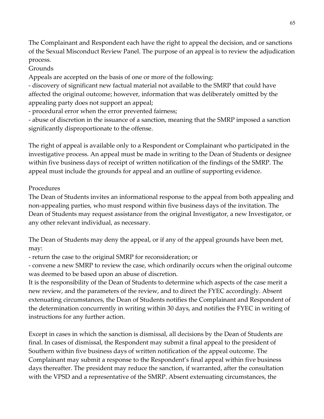The Complainant and Respondent each have the right to appeal the decision, and or sanctions of the Sexual Misconduct Review Panel. The purpose of an appeal is to review the adjudication process.

Grounds

Appeals are accepted on the basis of one or more of the following:

- discovery of significant new factual material not available to the SMRP that could have affected the original outcome; however, information that was deliberately omitted by the appealing party does not support an appeal;

- procedural error when the error prevented fairness;

- abuse of discretion in the issuance of a sanction, meaning that the SMRP imposed a sanction significantly disproportionate to the offense.

The right of appeal is available only to a Respondent or Complainant who participated in the investigative process. An appeal must be made in writing to the Dean of Students or designee within five business days of receipt of written notification of the findings of the SMRP. The appeal must include the grounds for appeal and an outline of supporting evidence.

### Procedures

The Dean of Students invites an informational response to the appeal from both appealing and non-appealing parties, who must respond within five business days of the invitation. The Dean of Students may request assistance from the original Investigator, a new Investigator, or any other relevant individual, as necessary.

The Dean of Students may deny the appeal, or if any of the appeal grounds have been met, may:

- return the case to the original SMRP for reconsideration; or

- convene a new SMRP to review the case, which ordinarily occurs when the original outcome was deemed to be based upon an abuse of discretion.

It is the responsibility of the Dean of Students to determine which aspects of the case merit a new review, and the parameters of the review, and to direct the FYEC accordingly. Absent extenuating circumstances, the Dean of Students notifies the Complainant and Respondent of the determination concurrently in writing within 30 days, and notifies the FYEC in writing of instructions for any further action.

Except in cases in which the sanction is dismissal, all decisions by the Dean of Students are final. In cases of dismissal, the Respondent may submit a final appeal to the president of Southern within five business days of written notification of the appeal outcome. The Complainant may submit a response to the Respondent's final appeal within five business days thereafter. The president may reduce the sanction, if warranted, after the consultation with the VPSD and a representative of the SMRP. Absent extenuating circumstances, the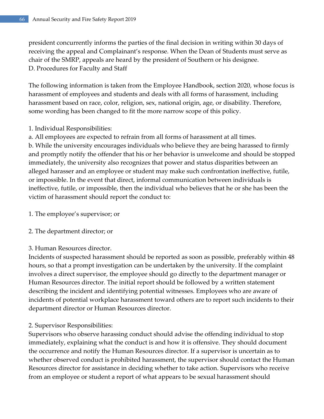president concurrently informs the parties of the final decision in writing within 30 days of receiving the appeal and Complainant's response. When the Dean of Students must serve as chair of the SMRP, appeals are heard by the president of Southern or his designee. D. Procedures for Faculty and Staff

The following information is taken from the Employee Handbook, section 2020, whose focus is harassment of employees and students and deals with all forms of harassment, including harassment based on race, color, religion, sex, national origin, age, or disability. Therefore, some wording has been changed to fit the more narrow scope of this policy.

- 1. Individual Responsibilities:
- a. All employees are expected to refrain from all forms of harassment at all times.

b. While the university encourages individuals who believe they are being harassed to firmly and promptly notify the offender that his or her behavior is unwelcome and should be stopped immediately, the university also recognizes that power and status disparities between an alleged harasser and an employee or student may make such confrontation ineffective, futile, or impossible. In the event that direct, informal communication between individuals is ineffective, futile, or impossible, then the individual who believes that he or she has been the victim of harassment should report the conduct to:

- 1. The employee's supervisor; or
- 2. The department director; or
- 3. Human Resources director.

Incidents of suspected harassment should be reported as soon as possible, preferably within 48 hours, so that a prompt investigation can be undertaken by the university. If the complaint involves a direct supervisor, the employee should go directly to the department manager or Human Resources director. The initial report should be followed by a written statement describing the incident and identifying potential witnesses. Employees who are aware of incidents of potential workplace harassment toward others are to report such incidents to their department director or Human Resources director.

2. Supervisor Responsibilities:

Supervisors who observe harassing conduct should advise the offending individual to stop immediately, explaining what the conduct is and how it is offensive. They should document the occurrence and notify the Human Resources director. If a supervisor is uncertain as to whether observed conduct is prohibited harassment, the supervisor should contact the Human Resources director for assistance in deciding whether to take action. Supervisors who receive from an employee or student a report of what appears to be sexual harassment should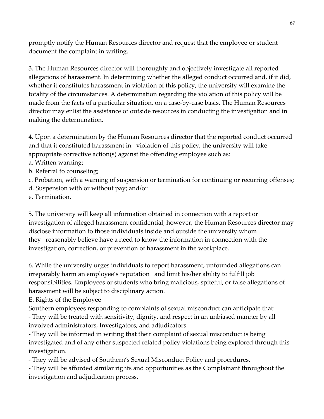promptly notify the Human Resources director and request that the employee or student document the complaint in writing.

3. The Human Resources director will thoroughly and objectively investigate all reported allegations of harassment. In determining whether the alleged conduct occurred and, if it did, whether it constitutes harassment in violation of this policy, the university will examine the totality of the circumstances. A determination regarding the violation of this policy will be made from the facts of a particular situation, on a case-by-case basis. The Human Resources director may enlist the assistance of outside resources in conducting the investigation and in making the determination.

4. Upon a determination by the Human Resources director that the reported conduct occurred and that it constituted harassment in violation of this policy, the university will take appropriate corrective action(s) against the offending employee such as:

- a. Written warning;
- b. Referral to counseling;
- c. Probation, with a warning of suspension or termination for continuing or recurring offenses;
- d. Suspension with or without pay; and/or
- e. Termination.

5. The university will keep all information obtained in connection with a report or investigation of alleged harassment confidential; however, the Human Resources director may disclose information to those individuals inside and outside the university whom they reasonably believe have a need to know the information in connection with the investigation, correction, or prevention of harassment in the workplace.

6. While the university urges individuals to report harassment, unfounded allegations can irreparably harm an employee's reputation and limit his/her ability to fulfill job responsibilities. Employees or students who bring malicious, spiteful, or false allegations of harassment will be subject to disciplinary action.

E. Rights of the Employee

Southern employees responding to complaints of sexual misconduct can anticipate that:

- They will be treated with sensitivity, dignity, and respect in an unbiased manner by all involved administrators, Investigators, and adjudicators.

- They will be informed in writing that their complaint of sexual misconduct is being investigated and of any other suspected related policy violations being explored through this investigation.

- They will be advised of Southern's Sexual Misconduct Policy and procedures.

- They will be afforded similar rights and opportunities as the Complainant throughout the investigation and adjudication process.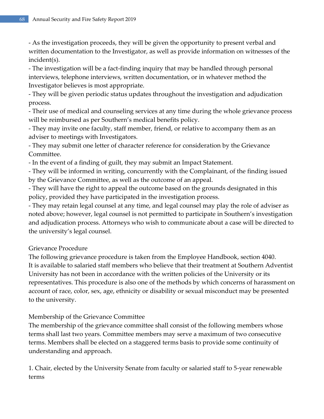- As the investigation proceeds, they will be given the opportunity to present verbal and written documentation to the Investigator, as well as provide information on witnesses of the incident(s).

- The investigation will be a fact-finding inquiry that may be handled through personal interviews, telephone interviews, written documentation, or in whatever method the Investigator believes is most appropriate.

- They will be given periodic status updates throughout the investigation and adjudication process.

- Their use of medical and counseling services at any time during the whole grievance process will be reimbursed as per Southern's medical benefits policy.

- They may invite one faculty, staff member, friend, or relative to accompany them as an adviser to meetings with Investigators.

- They may submit one letter of character reference for consideration by the Grievance Committee.

- In the event of a finding of guilt, they may submit an Impact Statement.

- They will be informed in writing, concurrently with the Complainant, of the finding issued by the Grievance Committee, as well as the outcome of an appeal.

- They will have the right to appeal the outcome based on the grounds designated in this policy, provided they have participated in the investigation process.

- They may retain legal counsel at any time, and legal counsel may play the role of adviser as noted above; however, legal counsel is not permitted to participate in Southern's investigation and adjudication process. Attorneys who wish to communicate about a case will be directed to the university's legal counsel.

# Grievance Procedure

The following grievance procedure is taken from the Employee Handbook, section 4040. It is available to salaried staff members who believe that their treatment at Southern Adventist University has not been in accordance with the written policies of the University or its representatives. This procedure is also one of the methods by which concerns of harassment on account of race, color, sex, age, ethnicity or disability or sexual misconduct may be presented to the university.

## Membership of the Grievance Committee

The membership of the grievance committee shall consist of the following members whose terms shall last two years. Committee members may serve a maximum of two consecutive terms. Members shall be elected on a staggered terms basis to provide some continuity of understanding and approach.

1. Chair, elected by the University Senate from faculty or salaried staff to 5-year renewable terms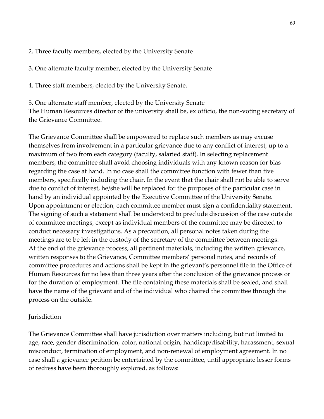2. Three faculty members, elected by the University Senate

3. One alternate faculty member, elected by the University Senate

4. Three staff members, elected by the University Senate.

5. One alternate staff member, elected by the University Senate The Human Resources director of the university shall be, ex officio, the non-voting secretary of the Grievance Committee.

The Grievance Committee shall be empowered to replace such members as may excuse themselves from involvement in a particular grievance due to any conflict of interest, up to a maximum of two from each category (faculty, salaried staff). In selecting replacement members, the committee shall avoid choosing individuals with any known reason for bias regarding the case at hand. In no case shall the committee function with fewer than five members, specifically including the chair. In the event that the chair shall not be able to serve due to conflict of interest, he/she will be replaced for the purposes of the particular case in hand by an individual appointed by the Executive Committee of the University Senate. Upon appointment or election, each committee member must sign a confidentiality statement. The signing of such a statement shall be understood to preclude discussion of the case outside of committee meetings, except as individual members of the committee may be directed to conduct necessary investigations. As a precaution, all personal notes taken during the meetings are to be left in the custody of the secretary of the committee between meetings. At the end of the grievance process, all pertinent materials, including the written grievance, written responses to the Grievance, Committee members' personal notes, and records of committee procedures and actions shall be kept in the grievant's personnel file in the Office of Human Resources for no less than three years after the conclusion of the grievance process or for the duration of employment. The file containing these materials shall be sealed, and shall have the name of the grievant and of the individual who chaired the committee through the process on the outside.

#### **Jurisdiction**

The Grievance Committee shall have jurisdiction over matters including, but not limited to age, race, gender discrimination, color, national origin, handicap/disability, harassment, sexual misconduct, termination of employment, and non-renewal of employment agreement. In no case shall a grievance petition be entertained by the committee, until appropriate lesser forms of redress have been thoroughly explored, as follows: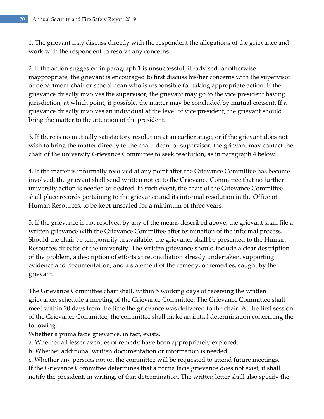1. The grievant may discuss directly with the respondent the allegations of the grievance and work with the respondent to resolve any concerns.

2. If the action suggested in paragraph 1 is unsuccessful, ill-advised, or otherwise inappropriate, the grievant is encouraged to first discuss his/her concerns with the supervisor or department chair or school dean who is responsible for taking appropriate action. If the grievance directly involves the supervisor, the grievant may go to the vice president having jurisdiction, at which point, if possible, the matter may be concluded by mutual consent. If a grievance directly involves an individual at the level of vice president, the grievant should bring the matter to the attention of the president.

3. If there is no mutually satisfactory resolution at an earlier stage, or if the grievant does not wish to bring the matter directly to the chair, dean, or supervisor, the grievant may contact the chair of the university Grievance Committee to seek resolution, as in paragraph 4 below.

4. If the matter is informally resolved at any point after the Grievance Committee has become involved, the grievant shall send written notice to the Grievance Committee that no further university action is needed or desired. In such event, the chair of the Grievance Committee shall place records pertaining to the grievance and its informal resolution in the Office of Human Resources, to be kept unsealed for a minimum of three years.

5. If the grievance is not resolved by any of the means described above, the grievant shall file a written grievance with the Grievance Committee after termination of the informal process. Should the chair be temporarily unavailable, the grievance shall be presented to the Human Resources director of the university. The written grievance should include a clear description of the problem, a description of efforts at reconciliation already undertaken, supporting evidence and documentation, and a statement of the remedy, or remedies, sought by the grievant.

The Grievance Committee chair shall, within 5 working days of receiving the written grievance, schedule a meeting of the Grievance Committee. The Grievance Committee shall meet within 20 days from the time the grievance was delivered to the chair. At the first session of the Grievance Committee, the committee shall make an initial determination concerning the following:

Whether a prima facie grievance, in fact, exists.

a. Whether all lesser avenues of remedy have been appropriately explored.

b. Whether additional written documentation or information is needed.

c. Whether any persons not on the committee will be requested to attend future meetings. If the Grievance Committee determines that a prima facie grievance does not exist, it shall notify the president, in writing, of that determination. The written letter shall also specify the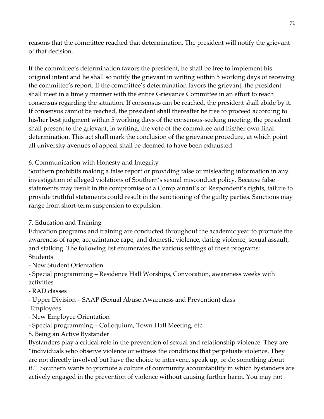reasons that the committee reached that determination. The president will notify the grievant of that decision.

If the committee's determination favors the president, he shall be free to implement his original intent and he shall so notify the grievant in writing within 5 working days of receiving the committee's report. If the committee's determination favors the grievant, the president shall meet in a timely manner with the entire Grievance Committee in an effort to reach consensus regarding the situation. If consensus can be reached, the president shall abide by it. If consensus cannot be reached, the president shall thereafter be free to proceed according to his/her best judgment within 5 working days of the consensus-seeking meeting, the president shall present to the grievant, in writing, the vote of the committee and his/her own final determination. This act shall mark the conclusion of the grievance procedure, at which point all university avenues of appeal shall be deemed to have been exhausted.

# 6. Communication with Honesty and Integrity

Southern prohibits making a false report or providing false or misleading information in any investigation of alleged violations of Southern's sexual misconduct policy. Because false statements may result in the compromise of a Complainant's or Respondent's rights, failure to provide truthful statements could result in the sanctioning of the guilty parties. Sanctions may range from short-term suspension to expulsion.

## 7. Education and Training

Education programs and training are conducted throughout the academic year to promote the awareness of rape, acquaintance rape, and domestic violence, dating violence, sexual assault, and stalking. The following list enumerates the various settings of these programs: Students

- New Student Orientation

- Special programming – Residence Hall Worships, Convocation, awareness weeks with activities

- RAD classes

- Upper Division – SAAP (Sexual Abuse Awareness and Prevention) class Employees

- New Employee Orientation

- Special programming – Colloquium, Town Hall Meeting, etc.

8. Being an Active Bystander

Bystanders play a critical role in the prevention of sexual and relationship violence. They are "individuals who observe violence or witness the conditions that perpetuate violence. They are not directly involved but have the choice to intervene, speak up, or do something about it." Southern wants to promote a culture of community accountability in which bystanders are actively engaged in the prevention of violence without causing further harm. You may not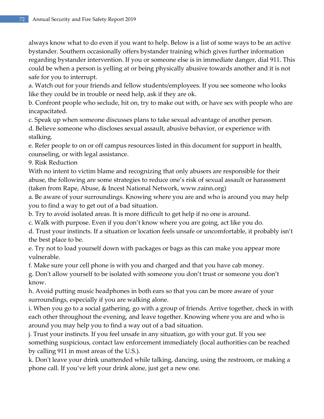always know what to do even if you want to help. Below is a list of some ways to be an active bystander. Southern occasionally offers bystander training which gives further information regarding bystander intervention. If you or someone else is in immediate danger, dial 911. This could be when a person is yelling at or being physically abusive towards another and it is not safe for you to interrupt.

a. Watch out for your friends and fellow students/employees. If you see someone who looks like they could be in trouble or need help, ask if they are ok.

b. Confront people who seclude, hit on, try to make out with, or have sex with people who are incapacitated.

c. Speak up when someone discusses plans to take sexual advantage of another person.

d. Believe someone who discloses sexual assault, abusive behavior, or experience with stalking.

e. Refer people to on or off campus resources listed in this document for support in health, counseling, or with legal assistance.

9. Risk Reduction

With no intent to victim blame and recognizing that only abusers are responsible for their abuse, the following are some strategies to reduce one's risk of sexual assault or harassment (taken from Rape, Abuse, & Incest National Network, www.rainn.org)

a. Be aware of your surroundings. Knowing where you are and who is around you may help you to find a way to get out of a bad situation.

b. Try to avoid isolated areas. It is more difficult to get help if no one is around.

c. Walk with purpose. Even if you don't know where you are going, act like you do.

d. Trust your instincts. If a situation or location feels unsafe or uncomfortable, it probably isn't the best place to be.

e. Try not to load yourself down with packages or bags as this can make you appear more vulnerable.

f. Make sure your cell phone is with you and charged and that you have cab money.

g. Don't allow yourself to be isolated with someone you don't trust or someone you don't know.

h. Avoid putting music headphones in both ears so that you can be more aware of your surroundings, especially if you are walking alone.

i. When you go to a social gathering, go with a group of friends. Arrive together, check in with each other throughout the evening, and leave together. Knowing where you are and who is around you may help you to find a way out of a bad situation.

j. Trust your instincts. If you feel unsafe in any situation, go with your gut. If you see something suspicious, contact law enforcement immediately (local authorities can be reached by calling 911 in most areas of the U.S.).

k. Don't leave your drink unattended while talking, dancing, using the restroom, or making a phone call. If you've left your drink alone, just get a new one.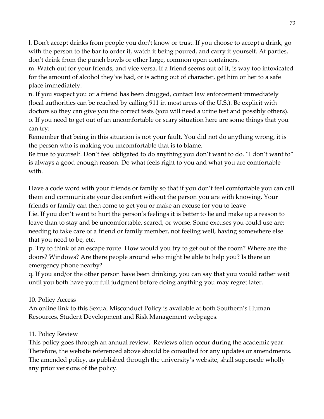l. Don't accept drinks from people you don't know or trust. If you choose to accept a drink, go with the person to the bar to order it, watch it being poured, and carry it yourself. At parties, don't drink from the punch bowls or other large, common open containers.

m. Watch out for your friends, and vice versa. If a friend seems out of it, is way too intoxicated for the amount of alcohol they've had, or is acting out of character, get him or her to a safe place immediately.

n. If you suspect you or a friend has been drugged, contact law enforcement immediately (local authorities can be reached by calling 911 in most areas of the U.S.). Be explicit with doctors so they can give you the correct tests (you will need a urine test and possibly others). o. If you need to get out of an uncomfortable or scary situation here are some things that you can try:

Remember that being in this situation is not your fault. You did not do anything wrong, it is the person who is making you uncomfortable that is to blame.

Be true to yourself. Don't feel obligated to do anything you don't want to do. "I don't want to" is always a good enough reason. Do what feels right to you and what you are comfortable with.

Have a code word with your friends or family so that if you don't feel comfortable you can call them and communicate your discomfort without the person you are with knowing. Your friends or family can then come to get you or make an excuse for you to leave

Lie. If you don't want to hurt the person's feelings it is better to lie and make up a reason to leave than to stay and be uncomfortable, scared, or worse. Some excuses you could use are: needing to take care of a friend or family member, not feeling well, having somewhere else that you need to be, etc.

p. Try to think of an escape route. How would you try to get out of the room? Where are the doors? Windows? Are there people around who might be able to help you? Is there an emergency phone nearby?

q. If you and/or the other person have been drinking, you can say that you would rather wait until you both have your full judgment before doing anything you may regret later.

### 10. Policy Access

An online link to this Sexual Misconduct Policy is available at both Southern's Human Resources, Student Development and Risk Management webpages.

### 11. Policy Review

This policy goes through an annual review. Reviews often occur during the academic year. Therefore, the website referenced above should be consulted for any updates or amendments. The amended policy, as published through the university's website, shall supersede wholly any prior versions of the policy.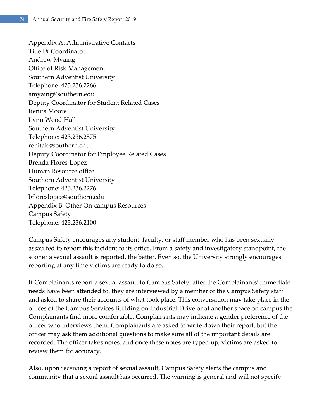Appendix A: Administrative Contacts Title IX Coordinator Andrew Myaing Office of Risk Management Southern Adventist University Telephone: 423.236.2266 amyaing@southern.edu Deputy Coordinator for Student Related Cases Renita Moore Lynn Wood Hall Southern Adventist University Telephone: 423.236.2575 renitak@southern.edu Deputy Coordinator for Employee Related Cases Brenda Flores-Lopez Human Resource office Southern Adventist University Telephone: 423.236.2276 bfloreslopez@southern.edu Appendix B: Other On-campus Resources Campus Safety Telephone: 423.236.2100

Campus Safety encourages any student, faculty, or staff member who has been sexually assaulted to report this incident to its office. From a safety and investigatory standpoint, the sooner a sexual assault is reported, the better. Even so, the University strongly encourages reporting at any time victims are ready to do so.

If Complainants report a sexual assault to Campus Safety, after the Complainants' immediate needs have been attended to, they are interviewed by a member of the Campus Safety staff and asked to share their accounts of what took place. This conversation may take place in the offices of the Campus Services Building on Industrial Drive or at another space on campus the Complainants find more comfortable. Complainants may indicate a gender preference of the officer who interviews them. Complainants are asked to write down their report, but the officer may ask them additional questions to make sure all of the important details are recorded. The officer takes notes, and once these notes are typed up, victims are asked to review them for accuracy.

Also, upon receiving a report of sexual assault, Campus Safety alerts the campus and community that a sexual assault has occurred. The warning is general and will not specify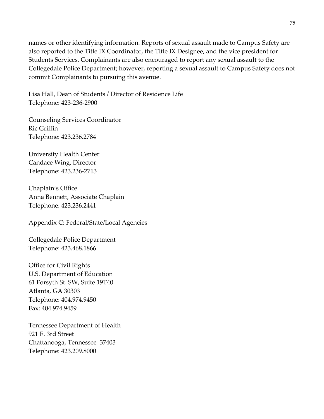names or other identifying information. Reports of sexual assault made to Campus Safety are also reported to the Title IX Coordinator, the Title IX Designee, and the vice president for Students Services. Complainants are also encouraged to report any sexual assault to the Collegedale Police Department; however, reporting a sexual assault to Campus Safety does not commit Complainants to pursuing this avenue.

Lisa Hall, Dean of Students / Director of Residence Life Telephone: 423-236-2900

Counseling Services Coordinator Ric Griffin Telephone: 423.236.2784

University Health Center Candace Wing, Director Telephone: 423.236-2713

Chaplain's Office Anna Bennett, Associate Chaplain Telephone: 423.236.2441

Appendix C: Federal/State/Local Agencies

Collegedale Police Department Telephone: 423.468.1866

Office for Civil Rights U.S. Department of Education 61 Forsyth St. SW, Suite 19T40 Atlanta, GA 30303 Telephone: 404.974.9450 Fax: 404.974.9459

Tennessee Department of Health 921 E. 3rd Street Chattanooga, Tennessee 37403 Telephone: 423.209.8000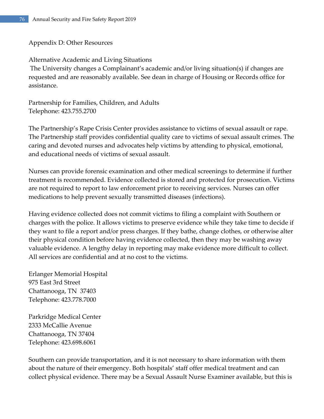#### Appendix D: Other Resources

Alternative Academic and Living Situations The University changes a Complainant's academic and/or living situation(s) if changes are requested and are reasonably available. See dean in charge of Housing or Records office for assistance.

Partnership for Families, Children, and Adults Telephone: 423.755.2700

The Partnership's Rape Crisis Center provides assistance to victims of sexual assault or rape. The Partnership staff provides confidential quality care to victims of sexual assault crimes. The caring and devoted nurses and advocates help victims by attending to physical, emotional, and educational needs of victims of sexual assault.

Nurses can provide forensic examination and other medical screenings to determine if further treatment is recommended. Evidence collected is stored and protected for prosecution. Victims are not required to report to law enforcement prior to receiving services. Nurses can offer medications to help prevent sexually transmitted diseases (infections).

Having evidence collected does not commit victims to filing a complaint with Southern or charges with the police. It allows victims to preserve evidence while they take time to decide if they want to file a report and/or press charges. If they bathe, change clothes, or otherwise alter their physical condition before having evidence collected, then they may be washing away valuable evidence. A lengthy delay in reporting may make evidence more difficult to collect. All services are confidential and at no cost to the victims.

Erlanger Memorial Hospital 975 East 3rd Street Chattanooga, TN 37403 Telephone: 423.778.7000

Parkridge Medical Center 2333 McCallie Avenue Chattanooga, TN 37404 Telephone: 423.698.6061

Southern can provide transportation, and it is not necessary to share information with them about the nature of their emergency. Both hospitals' staff offer medical treatment and can collect physical evidence. There may be a Sexual Assault Nurse Examiner available, but this is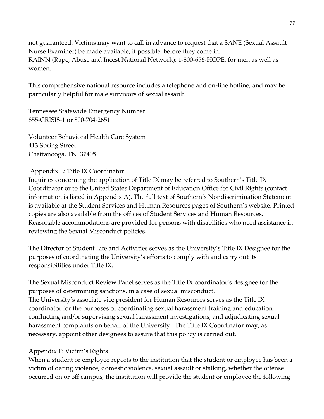not guaranteed. Victims may want to call in advance to request that a SANE (Sexual Assault Nurse Examiner) be made available, if possible, before they come in. RAINN (Rape, Abuse and Incest National Network): 1-800-656-HOPE, for men as well as women.

This comprehensive national resource includes a telephone and on-line hotline, and may be particularly helpful for male survivors of sexual assault.

Tennessee Statewide Emergency Number 855-CRISIS-1 or 800-704-2651

Volunteer Behavioral Health Care System 413 Spring Street Chattanooga, TN 37405

#### Appendix E: Title IX Coordinator

Inquiries concerning the application of Title IX may be referred to Southern's Title IX Coordinator or to the United States Department of Education Office for Civil Rights (contact information is listed in Appendix A). The full text of Southern's Nondiscrimination Statement is available at the Student Services and Human Resources pages of Southern's website. Printed copies are also available from the offices of Student Services and Human Resources. Reasonable accommodations are provided for persons with disabilities who need assistance in reviewing the Sexual Misconduct policies.

The Director of Student Life and Activities serves as the University's Title IX Designee for the purposes of coordinating the University's efforts to comply with and carry out its responsibilities under Title IX.

The Sexual Misconduct Review Panel serves as the Title IX coordinator's designee for the purposes of determining sanctions, in a case of sexual misconduct. The University's associate vice president for Human Resources serves as the Title IX coordinator for the purposes of coordinating sexual harassment training and education, conducting and/or supervising sexual harassment investigations, and adjudicating sexual harassment complaints on behalf of the University. The Title IX Coordinator may, as necessary, appoint other designees to assure that this policy is carried out.

### Appendix F: Victim's Rights

When a student or employee reports to the institution that the student or employee has been a victim of dating violence, domestic violence, sexual assault or stalking, whether the offense occurred on or off campus, the institution will provide the student or employee the following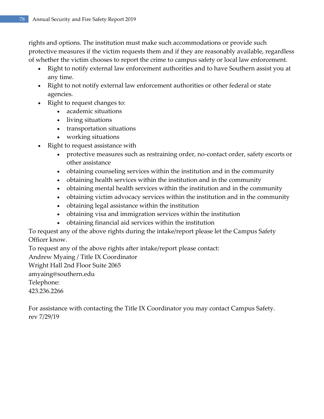rights and options. The institution must make such accommodations or provide such protective measures if the victim requests them and if they are reasonably available, regardless of whether the victim chooses to report the crime to campus safety or local law enforcement.

- Right to notify external law enforcement authorities and to have Southern assist you at any time.
- Right to not notify external law enforcement authorities or other federal or state agencies.
- Right to request changes to:
	- academic situations
	- living situations
	- transportation situations
	- working situations
- Right to request assistance with
	- protective measures such as restraining order, no-contact order, safety escorts or other assistance
	- obtaining counseling services within the institution and in the community
	- obtaining health services within the institution and in the community
	- obtaining mental health services within the institution and in the community
	- obtaining victim advocacy services within the institution and in the community
	- obtaining legal assistance within the institution
	- obtaining visa and immigration services within the institution
	- obtaining financial aid services within the institution

To request any of the above rights during the intake/report please let the Campus Safety Officer know.

To request any of the above rights after intake/report please contact:

Andrew Myaing / Title IX Coordinator

Wright Hall 2nd Floor Suite 2065

amyaing@southern.edu

Telephone:

423.236.2266

For assistance with contacting the Title IX Coordinator you may contact Campus Safety. rev 7/29/19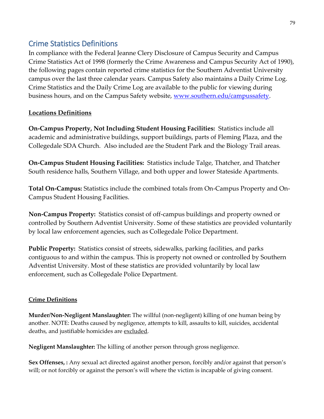### Crime Statistics Definitions

In compliance with the Federal Jeanne Clery Disclosure of Campus Security and Campus Crime Statistics Act of 1998 (formerly the Crime Awareness and Campus Security Act of 1990), the following pages contain reported crime statistics for the Southern Adventist University campus over the last three calendar years. Campus Safety also maintains a Daily Crime Log. Crime Statistics and the Daily Crime Log are available to the public for viewing during business hours, and on the Campus Safety website, [www.southern.edu/campussafety.](http://www.southern.edu/campussafety)

### **Locations Definitions**

**On-Campus Property, Not Including Student Housing Facilities:** Statistics include all academic and administrative buildings, support buildings, parts of Fleming Plaza, and the Collegedale SDA Church. Also included are the Student Park and the Biology Trail areas.

**On-Campus Student Housing Facilities:** Statistics include Talge, Thatcher, and Thatcher South residence halls, Southern Village, and both upper and lower Stateside Apartments.

**Total On-Campus:** Statistics include the combined totals from On-Campus Property and On-Campus Student Housing Facilities.

**Non-Campus Property:** Statistics consist of off-campus buildings and property owned or controlled by Southern Adventist University. Some of these statistics are provided voluntarily by local law enforcement agencies, such as Collegedale Police Department.

**Public Property:** Statistics consist of streets, sidewalks, parking facilities, and parks contiguous to and within the campus. This is property not owned or controlled by Southern Adventist University. Most of these statistics are provided voluntarily by local law enforcement, such as Collegedale Police Department.

### **Crime Definitions**

**Murder/Non-Negligent Manslaughter:** The willful (non-negligent) killing of one human being by another. NOTE: Deaths caused by negligence, attempts to kill, assaults to kill, suicides, accidental deaths, and justifiable homicides are excluded.

**Negligent Manslaughter:** The killing of another person through gross negligence.

**Sex Offenses, :** Any sexual act directed against another person, forcibly and/or against that person's will; or not forcibly or against the person's will where the victim is incapable of giving consent.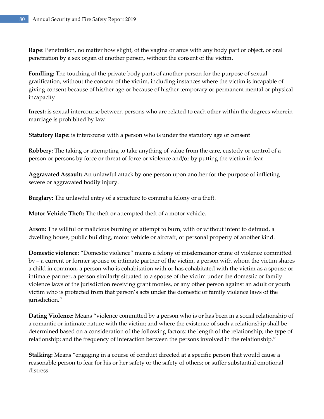**Rape**: Penetration, no matter how slight, of the vagina or anus with any body part or object, or oral penetration by a sex organ of another person, without the consent of the victim.

**Fondling:** The touching of the private body parts of another person for the purpose of sexual gratification, without the consent of the victim, including instances where the victim is incapable of giving consent because of his/her age or because of his/her temporary or permanent mental or physical incapacity

**Incest:** is sexual intercourse between persons who are related to each other within the degrees wherein marriage is prohibited by law

**Statutory Rape:** is intercourse with a person who is under the statutory age of consent

**Robbery:** The taking or attempting to take anything of value from the care, custody or control of a person or persons by force or threat of force or violence and/or by putting the victim in fear.

**Aggravated Assault:** An unlawful attack by one person upon another for the purpose of inflicting severe or aggravated bodily injury.

**Burglary:** The unlawful entry of a structure to commit a felony or a theft.

**Motor Vehicle Theft:** The theft or attempted theft of a motor vehicle.

**Arson:** The willful or malicious burning or attempt to burn, with or without intent to defraud, a dwelling house, public building, motor vehicle or aircraft, or personal property of another kind.

**Domestic violence:** "Domestic violence" means a felony of misdemeanor crime of violence committed by – a current or former spouse or intimate partner of the victim, a person with whom the victim shares a child in common, a person who is cohabitation with or has cohabitated with the victim as a spouse or intimate partner, a person similarly situated to a spouse of the victim under the domestic or family violence laws of the jurisdiction receiving grant monies, or any other person against an adult or youth victim who is protected from that person's acts under the domestic or family violence laws of the jurisdiction."

**Dating Violence:** Means "violence committed by a person who is or has been in a social relationship of a romantic or intimate nature with the victim; and where the existence of such a relationship shall be determined based on a consideration of the following factors: the length of the relationship; the type of relationship; and the frequency of interaction between the persons involved in the relationship."

**Stalking:** Means "engaging in a course of conduct directed at a specific person that would cause a reasonable person to fear for his or her safety or the safety of others; or suffer substantial emotional distress.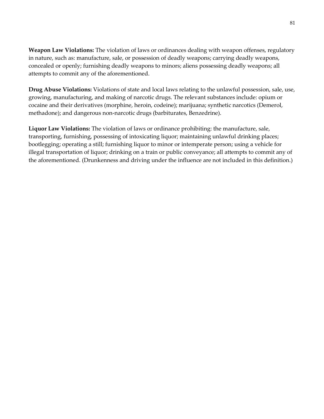**Weapon Law Violations:** The violation of laws or ordinances dealing with weapon offenses, regulatory in nature, such as: manufacture, sale, or possession of deadly weapons; carrying deadly weapons, concealed or openly; furnishing deadly weapons to minors; aliens possessing deadly weapons; all attempts to commit any of the aforementioned.

**Drug Abuse Violations:** Violations of state and local laws relating to the unlawful possession, sale, use, growing, manufacturing, and making of narcotic drugs. The relevant substances include: opium or cocaine and their derivatives (morphine, heroin, codeine); marijuana; synthetic narcotics (Demerol, methadone); and dangerous non-narcotic drugs (barbiturates, Benzedrine).

**Liquor Law Violations:** The violation of laws or ordinance prohibiting: the manufacture, sale, transporting, furnishing, possessing of intoxicating liquor; maintaining unlawful drinking places; bootlegging; operating a still; furnishing liquor to minor or intemperate person; using a vehicle for illegal transportation of liquor; drinking on a train or public conveyance; all attempts to commit any of the aforementioned. (Drunkenness and driving under the influence are not included in this definition.)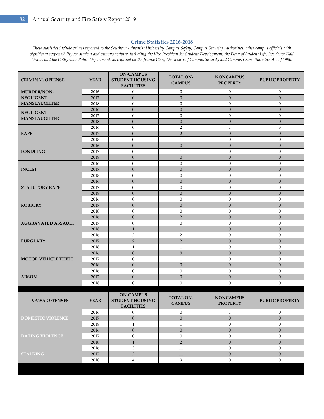#### **Crime Statistics 2016-2018**

*These statistics include crimes reported to the Southern Adventist University Campus Safety, Campus Security Authorities, other campus officials with significant responsibility for student and campus activity, including the Vice President for Student Development, the Dean of Student Life, Residence Hall Deans, and the Collegedale Police Department, as required by the Jeanne Clery Disclosure of Campus Security and Campus Crime Statistics Act of 1990.*

| <b>CRIMINAL OFFENSE</b>    | <b>YEAR</b> | <b>ON-CAMPUS</b><br><b>TOTAL ON-</b><br><b>NONCAMPUS</b><br><b>STUDENT HOUSING</b><br><b>CAMPUS</b><br><b>PROPERTY</b><br><b>FACILITIES</b> |                                   | <b>PUBLIC PROPERTY</b>              |                        |
|----------------------------|-------------|---------------------------------------------------------------------------------------------------------------------------------------------|-----------------------------------|-------------------------------------|------------------------|
| <b>MURDER/NON-</b>         | 2016        | $\overline{0}$                                                                                                                              | $\boldsymbol{0}$                  | $\mathbf{0}$                        | $\boldsymbol{0}$       |
| <b>NEGLIGENT</b>           | 2017        | $\mathbf{0}$                                                                                                                                | $\mathbf{0}$                      | $\mathbf{0}$                        | $\mathbf{0}$           |
| <b>MANSLAUGHTER</b>        | 2018        | $\mathbf{0}$                                                                                                                                | $\mathbf{0}$                      | $\mathbf{0}$                        | $\mathbf{0}$           |
| <b>NEGLIGENT</b>           | 2016        | $\mathbf{0}$                                                                                                                                | $\boldsymbol{0}$                  | $\mathbf{0}$                        | $\mathbf{0}$           |
| <b>MANSLAUGHTER</b>        | 2017        | $\mathbf{0}$                                                                                                                                | $\boldsymbol{0}$                  | $\boldsymbol{0}$                    | $\boldsymbol{0}$       |
|                            | 2018        | $\mathbf{0}$                                                                                                                                | $\overline{0}$                    | $\overline{0}$                      | $\overline{0}$         |
|                            | 2016        | $\mathbf{0}$                                                                                                                                | $\overline{2}$                    | $\mathbf{1}$                        | $\mathfrak{Z}$         |
| <b>RAPE</b>                | 2017        | $\boldsymbol{0}$                                                                                                                            | $\overline{2}$                    | $\mathbf{0}$                        | $\mathbf{0}$           |
|                            | 2018        | $\mathbf{0}$                                                                                                                                | $\mathbf{1}$                      | $\mathbf{0}$                        | $\mathbf{0}$           |
|                            | 2016        | $\mathbf{0}$                                                                                                                                | $\mathbf{0}$                      | $\mathbf{0}$                        | $\theta$               |
| <b>FONDLING</b>            | 2017        | $\mathbf{0}$                                                                                                                                | $\mathbf{1}$                      | $\boldsymbol{0}$                    | $\boldsymbol{0}$       |
|                            | 2018        | $\mathbf{0}$                                                                                                                                | $\mathbf{0}$                      | $\mathbf{0}$                        | $\mathbf{0}$           |
|                            | 2016        | $\mathbf{0}$                                                                                                                                | $\boldsymbol{0}$                  | $\boldsymbol{0}$                    | $\boldsymbol{0}$       |
| <b>INCEST</b>              | 2017        | $\mathbf{0}$                                                                                                                                | $\mathbf{0}$                      | $\mathbf{0}$                        | $\mathbf{0}$           |
|                            | 2018        | $\mathbf{0}$                                                                                                                                | $\boldsymbol{0}$                  | $\boldsymbol{0}$                    | $\mathbf{0}$           |
|                            | 2016        | $\mathbf{0}$                                                                                                                                | $\mathbf{0}$                      | $\mathbf{0}$                        | $\mathbf{0}$           |
| <b>STATUTORY RAPE</b>      | 2017        | $\mathbf{0}$                                                                                                                                | $\boldsymbol{0}$                  | $\mathbf{0}$                        | $\mathbf{0}$           |
|                            | 2018        | $\mathbf{0}$                                                                                                                                | $\boldsymbol{0}$                  | $\boldsymbol{0}$                    | $\mathbf{0}$           |
|                            | 2016        | $\mathbf{0}$                                                                                                                                | $\boldsymbol{0}$                  | $\overline{0}$                      | $\boldsymbol{0}$       |
| <b>ROBBERY</b>             | 2017        | $\mathbf{0}$                                                                                                                                | $\mathbf{0}$                      | $\mathbf{0}$                        | $\mathbf{0}$           |
|                            | 2018        | $\mathbf{0}$                                                                                                                                | $\mathbf{0}$                      | $\overline{0}$                      | $\boldsymbol{0}$       |
|                            | 2016        | $\mathbf{0}$                                                                                                                                | $\overline{2}$                    | $\mathbf{0}$                        | $\boldsymbol{0}$       |
| <b>AGGRAVATED ASSAULT</b>  | 2017        | $\mathbf{0}$                                                                                                                                | $\boldsymbol{0}$                  | $\overline{0}$                      | $\boldsymbol{0}$       |
|                            | 2018        | $\mathbf{1}$                                                                                                                                | $\mathbf{1}$                      | $\mathbf{0}$                        | $\mathbf{0}$           |
|                            | 2016        | $\overline{2}$                                                                                                                              | $\overline{2}$                    | $\overline{0}$                      | $\mathbf{0}$           |
| <b>BURGLARY</b>            | 2017        | $\overline{2}$                                                                                                                              | $\overline{2}$                    | $\boldsymbol{0}$                    | $\mathbf{0}$           |
|                            | 2018        | 1                                                                                                                                           | 1                                 | $\mathbf{0}$                        | $\mathbf{0}$           |
|                            | 2016        | $\mathbf{0}$                                                                                                                                | $\,8\,$                           | $\boldsymbol{0}$                    | $\mathbf{0}$           |
| <b>MOTOR VEHICLE THEFT</b> | 2017        | $\mathbf{0}$                                                                                                                                | $\mathbf{1}$                      | $\mathbf{0}$                        | $\theta$               |
|                            | 2018        | $\mathbf{0}$                                                                                                                                | $\mathbf{0}$                      | $\boldsymbol{0}$                    | $\mathbf{0}$           |
|                            | 2016        | $\overline{0}$                                                                                                                              | $\mathbf{0}$                      | $\overline{0}$                      | $\mathbf{0}$           |
| <b>ARSON</b>               | 2017        | $\mathbf{0}$                                                                                                                                | $\mathbf{0}$                      | $\mathbf{0}$                        | $\mathbf{0}$           |
|                            | 2018        | $\mathbf{0}$                                                                                                                                | $\overline{0}$                    | $\overline{0}$                      | $\mathbf{0}$           |
| <b>VAWA OFFENSES</b>       | <b>YEAR</b> | <b>ON-CAMPUS</b><br><b>STUDENT HOUSING</b><br><b>FACILITIES</b>                                                                             | <b>TOTAL ON-</b><br><b>CAMPUS</b> | <b>NONCAMPUS</b><br><b>PROPERTY</b> | <b>PUBLIC PROPERTY</b> |
|                            | 2016        | $\mathbf{0}$                                                                                                                                | $\mathbf{0}$                      | $\mathbf{1}$                        | $\mathbf{0}$           |
| <b>DOMESTIC VIOLENCE</b>   | 2017        | $\boldsymbol{0}$                                                                                                                            | $\boldsymbol{0}$                  | $\mathbf{0}$                        | $\overline{0}$         |
|                            | 2018        | $\mathbf{1}$                                                                                                                                | $\mathbf{1}$                      | $\boldsymbol{0}$                    | $\boldsymbol{0}$       |
|                            | 2016        | $\boldsymbol{0}$                                                                                                                            | $\mathbf{0}$                      | $\mathbf{0}$                        |                        |
| <b>DATING VIOLENCE</b>     | 2017        | $\boldsymbol{0}$                                                                                                                            | $\boldsymbol{0}$                  | $\boldsymbol{0}$                    | $\boldsymbol{0}$       |
|                            | 2018        | $\,1\,$                                                                                                                                     | $\overline{2}$                    | $\mathbf{0}$                        | $\boldsymbol{0}$       |
|                            | 2016        | 3                                                                                                                                           | 11                                | $\boldsymbol{0}$                    | $\boldsymbol{0}$       |
| <b>STALKING</b>            | 2017        | $\overline{2}$                                                                                                                              | $11\,$                            | $\mathbf{0}$                        | $\boldsymbol{0}$       |
|                            | 2018        | $\overline{4}$                                                                                                                              | 9                                 | $\boldsymbol{0}$                    | $\boldsymbol{0}$       |
|                            |             |                                                                                                                                             |                                   |                                     |                        |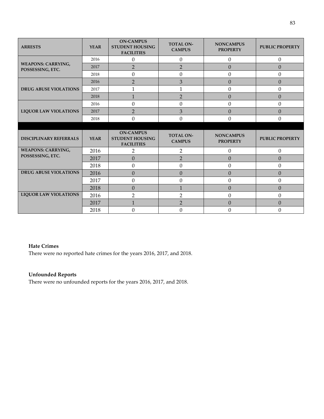| <b>ARRESTS</b>                                | <b>YEAR</b> | <b>ON-CAMPUS</b><br><b>STUDENT HOUSING</b><br><b>FACILITIES</b> | <b>TOTAL ON-</b><br><b>CAMPUS</b> | <b>NONCAMPUS</b><br><b>PROPERTY</b> | <b>PUBLIC PROPERTY</b> |
|-----------------------------------------------|-------------|-----------------------------------------------------------------|-----------------------------------|-------------------------------------|------------------------|
|                                               | 2016        | $\boldsymbol{0}$                                                | $\boldsymbol{0}$                  | $\boldsymbol{0}$                    | $\boldsymbol{0}$       |
| <b>WEAPONS: CARRYING,</b><br>POSSESSING, ETC. | 2017        | $\overline{2}$                                                  | $\overline{2}$                    | $\overline{0}$                      | $\mathbf{0}$           |
|                                               | 2018        | $\boldsymbol{0}$                                                | $\Omega$                          | $\Omega$                            | $\mathbf{0}$           |
|                                               | 2016        | $\overline{2}$                                                  | 3                                 | $\Omega$                            | $\Omega$               |
| <b>DRUG ABUSE VIOLATIONS</b>                  | 2017        | 1                                                               | 1                                 | $\theta$                            | $\mathbf{0}$           |
|                                               | 2018        | $\mathbf{1}$                                                    | $\overline{2}$                    | $\overline{0}$                      | $\Omega$               |
|                                               | 2016        | $\boldsymbol{0}$                                                | $\mathbf{0}$                      | $\mathbf{0}$                        | $\mathbf{0}$           |
| <b>LIQUOR LAW VIOLATIONS</b>                  | 2017        | $\overline{2}$                                                  | 3                                 | $\overline{0}$                      | $\mathbf{0}$           |
|                                               | 2018        | $\boldsymbol{0}$                                                | $\theta$                          | $\Omega$                            | $\mathbf{0}$           |
|                                               |             |                                                                 |                                   |                                     |                        |
|                                               |             |                                                                 |                                   |                                     |                        |
| <b>DISCIPLINARY REFERRALS</b>                 | <b>YEAR</b> | <b>ON-CAMPUS</b><br><b>STUDENT HOUSING</b><br><b>FACILITIES</b> | <b>TOTAL ON-</b><br><b>CAMPUS</b> | <b>NONCAMPUS</b><br><b>PROPERTY</b> | <b>PUBLIC PROPERTY</b> |
| <b>WEAPONS: CARRYING,</b>                     | 2016        | $\overline{2}$                                                  | $\overline{2}$                    | $\boldsymbol{0}$                    | $\boldsymbol{0}$       |
| POSSESSING, ETC.                              | 2017        | $\mathbf{0}$                                                    | $\overline{2}$                    | $\overline{0}$                      | $\overline{0}$         |
|                                               | 2018        | $\boldsymbol{0}$                                                | $\boldsymbol{0}$                  | $\mathbf{0}$                        | $\mathbf{0}$           |
| <b>DRUG ABUSE VIOLATIONS</b>                  | 2016        | $\boldsymbol{0}$                                                | $\mathbf{0}$                      | $\overline{0}$                      | $\mathbf{0}$           |
|                                               | 2017        | $\boldsymbol{0}$                                                | $\theta$                          | $\theta$                            | $\mathbf{0}$           |
|                                               | 2018        | $\boldsymbol{0}$                                                | $\mathbf{1}$                      | $\overline{0}$                      | $\mathbf{0}$           |
| <b>LIQUOR LAW VIOLATIONS</b>                  | 2016        | $\overline{2}$                                                  | $\overline{2}$                    | $\mathbf{0}$                        | $\mathbf{0}$           |
|                                               | 2017        | $\mathbf{1}$                                                    | $\overline{2}$                    | $\Omega$                            | $\mathbf{0}$           |

#### **Hate Crimes**

There were no reported hate crimes for the years 2016, 2017, and 2018.

#### **Unfounded Reports**

There were no unfounded reports for the years 2016, 2017, and 2018.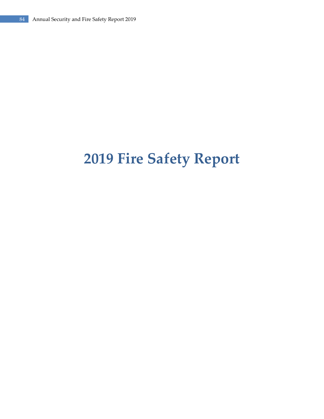# **2019 Fire Safety Report**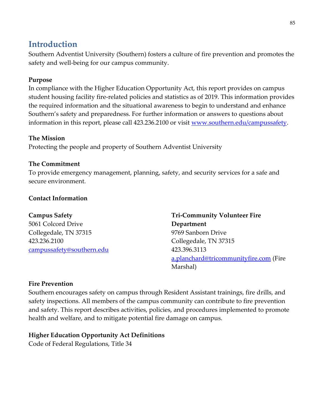### **Introduction**

Southern Adventist University (Southern) fosters a culture of fire prevention and promotes the safety and well-being for our campus community.

### **Purpose**

In compliance with the Higher Education Opportunity Act, this report provides on campus student housing facility fire-related policies and statistics as of 2019. This information provides the required information and the situational awareness to begin to understand and enhance Southern's safety and preparedness. For further information or answers to questions about information in this report, please call 423.236.2100 or visit [www.southern.edu/campussafety.](http://www.southern.edu/campussafety)

### **The Mission**

Protecting the people and property of Southern Adventist University

### **The Commitment**

To provide emergency management, planning, safety, and security services for a safe and secure environment.

### **Contact Information**

### **Campus Safety**

5061 Colcord Drive Collegedale, TN 37315 423.236.2100 [campussafety@southern.edu](mailto:campussafety@southern.edu) **Tri-Community Volunteer Fire Department** 9769 Sanborn Drive Collegedale, TN 37315 423.396.3113 [a.planchard@tricommunityfire.com](mailto:a.planchard@tricommunityfire.com) (Fire Marshal)

### **Fire Prevention**

Southern encourages safety on campus through Resident Assistant trainings, fire drills, and safety inspections. All members of the campus community can contribute to fire prevention and safety. This report describes activities, policies, and procedures implemented to promote health and welfare, and to mitigate potential fire damage on campus.

### **Higher Education Opportunity Act Definitions**

Code of Federal Regulations, Title 34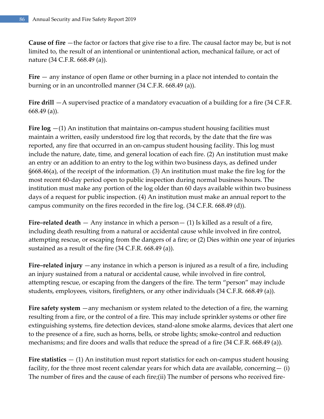**Cause of fire** —the factor or factors that give rise to a fire. The causal factor may be, but is not limited to, the result of an intentional or unintentional action, mechanical failure, or act of nature (34 C.F.R. 668.49 (a)).

**Fire** — any instance of open flame or other burning in a place not intended to contain the burning or in an uncontrolled manner (34 C.F.R. 668.49 (a)).

**Fire drill** —A supervised practice of a mandatory evacuation of a building for a fire (34 C.F.R. 668.49 (a)).

**Fire log** —(1) An institution that maintains on-campus student housing facilities must maintain a written, easily understood fire log that records, by the date that the fire was reported, any fire that occurred in an on-campus student housing facility. This log must include the nature, date, time, and general location of each fire. (2) An institution must make an entry or an addition to an entry to the log within two business days, as defined under §668.46(a), of the receipt of the information. (3) An institution must make the fire log for the most recent 60-day period open to public inspection during normal business hours. The institution must make any portion of the log older than 60 days available within two business days of a request for public inspection. (4) An institution must make an annual report to the campus community on the fires recorded in the fire log. (34 C.F.R. 668.49 (d)).

**Fire–related death** — Any instance in which a person— (1) Is killed as a result of a fire, including death resulting from a natural or accidental cause while involved in fire control, attempting rescue, or escaping from the dangers of a fire; or (2) Dies within one year of injuries sustained as a result of the fire (34 C.F.R. 668.49 (a)).

**Fire–related injury** —any instance in which a person is injured as a result of a fire, including an injury sustained from a natural or accidental cause, while involved in fire control, attempting rescue, or escaping from the dangers of the fire. The term "person" may include students, employees, visitors, firefighters, or any other individuals (34 C.F.R. 668.49 (a)).

**Fire safety system** —any mechanism or system related to the detection of a fire, the warning resulting from a fire, or the control of a fire. This may include sprinkler systems or other fire extinguishing systems, fire detection devices, stand-alone smoke alarms, devices that alert one to the presence of a fire, such as horns, bells, or strobe lights; smoke-control and reduction mechanisms; and fire doors and walls that reduce the spread of a fire (34 C.F.R. 668.49 (a)).

**Fire statistics** — (1) An institution must report statistics for each on-campus student housing facility, for the three most recent calendar years for which data are available, concerning  $-$  (i) The number of fires and the cause of each fire;(ii) The number of persons who received fire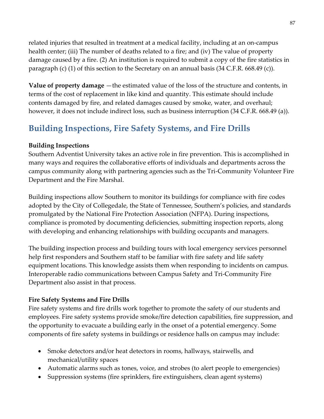related injuries that resulted in treatment at a medical facility, including at an on-campus health center; (iii) The number of deaths related to a fire; and (iv) The value of property damage caused by a fire. (2) An institution is required to submit a copy of the fire statistics in paragraph (c) (1) of this section to the Secretary on an annual basis (34 C.F.R. 668.49 (c)).

**Value of property damage** —the estimated value of the loss of the structure and contents, in terms of the cost of replacement in like kind and quantity. This estimate should include contents damaged by fire, and related damages caused by smoke, water, and overhaul; however, it does not include indirect loss, such as business interruption (34 C.F.R. 668.49 (a)).

### **Building Inspections, Fire Safety Systems, and Fire Drills**

#### **Building Inspections**

Southern Adventist University takes an active role in fire prevention. This is accomplished in many ways and requires the collaborative efforts of individuals and departments across the campus community along with partnering agencies such as the Tri-Community Volunteer Fire Department and the Fire Marshal.

Building inspections allow Southern to monitor its buildings for compliance with fire codes adopted by the City of Collegedale, the State of Tennessee, Southern's policies, and standards promulgated by the National Fire Protection Association (NFPA). During inspections, compliance is promoted by documenting deficiencies, submitting inspection reports, along with developing and enhancing relationships with building occupants and managers.

The building inspection process and building tours with local emergency services personnel help first responders and Southern staff to be familiar with fire safety and life safety equipment locations. This knowledge assists them when responding to incidents on campus. Interoperable radio communications between Campus Safety and Tri-Community Fire Department also assist in that process.

### **Fire Safety Systems and Fire Drills**

Fire safety systems and fire drills work together to promote the safety of our students and employees. Fire safety systems provide smoke/fire detection capabilities, fire suppression, and the opportunity to evacuate a building early in the onset of a potential emergency. Some components of fire safety systems in buildings or residence halls on campus may include:

- Smoke detectors and/or heat detectors in rooms, hallways, stairwells, and mechanical/utility spaces
- Automatic alarms such as tones, voice, and strobes (to alert people to emergencies)
- Suppression systems (fire sprinklers, fire extinguishers, clean agent systems)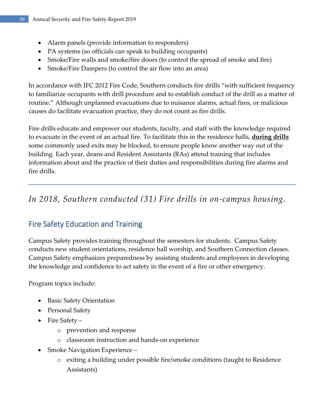- Alarm panels (provide information to responders)
- PA systems (so officials can speak to building occupants)
- Smoke/Fire walls and smoke/fire doors (to control the spread of smoke and fire)
- Smoke/Fire Dampers (to control the air flow into an area)

In accordance with IFC 2012 Fire Code, Southern conducts fire drills "with sufficient frequency to familiarize occupants with drill procedure and to establish conduct of the drill as a matter of routine." Although unplanned evacuations due to nuisance alarms, actual fires, or malicious causes do facilitate evacuation practice, they do not count as fire drills.

Fire drills educate and empower our students, faculty, and staff with the knowledge required to evacuate in the event of an actual fire. To facilitate this in the residence halls, **during drills** some commonly used exits may be blocked, to ensure people know another way out of the building. Each year, deans and Resident Assistants (RAs) attend training that includes information about and the practice of their duties and responsibilities during fire alarms and fire drills.

### *In 2018, Southern conducted (31) Fire drills in on-campus housing.*

### Fire Safety Education and Training

Campus Safety provides training throughout the semesters for students. Campus Safety conducts new student orientations, residence hall worship, and Southern Connection classes. Campus Safety emphasizes preparedness by assisting students and employees in developing the knowledge and confidence to act safety in the event of a fire or other emergency.

Program topics include:

- Basic Safety Orientation
- Personal Safety
- Fire Safety
	- o prevention and response
	- o classroom instruction and hands-on experience
- Smoke Navigation Experience
	- o exiting a building under possible fire/smoke conditions (taught to Residence Assistants)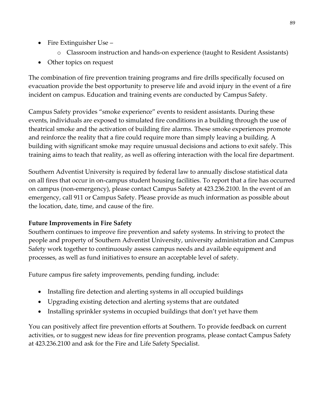- Fire Extinguisher Use
	- o Classroom instruction and hands-on experience (taught to Resident Assistants)
- Other topics on request

The combination of fire prevention training programs and fire drills specifically focused on evacuation provide the best opportunity to preserve life and avoid injury in the event of a fire incident on campus. Education and training events are conducted by Campus Safety.

Campus Safety provides "smoke experience" events to resident assistants. During these events, individuals are exposed to simulated fire conditions in a building through the use of theatrical smoke and the activation of building fire alarms. These smoke experiences promote and reinforce the reality that a fire could require more than simply leaving a building. A building with significant smoke may require unusual decisions and actions to exit safely. This training aims to teach that reality, as well as offering interaction with the local fire department.

Southern Adventist University is required by federal law to annually disclose statistical data on all fires that occur in on-campus student housing facilities. To report that a fire has occurred on campus (non-emergency), please contact Campus Safety at 423.236.2100. In the event of an emergency, call 911 or Campus Safety. Please provide as much information as possible about the location, date, time, and cause of the fire.

### **Future Improvements in Fire Safety**

Southern continues to improve fire prevention and safety systems. In striving to protect the people and property of Southern Adventist University, university administration and Campus Safety work together to continuously assess campus needs and available equipment and processes, as well as fund initiatives to ensure an acceptable level of safety.

Future campus fire safety improvements, pending funding, include:

- Installing fire detection and alerting systems in all occupied buildings
- Upgrading existing detection and alerting systems that are outdated
- Installing sprinkler systems in occupied buildings that don't yet have them

You can positively affect fire prevention efforts at Southern. To provide feedback on current activities, or to suggest new ideas for fire prevention programs, please contact Campus Safety at 423.236.2100 and ask for the Fire and Life Safety Specialist.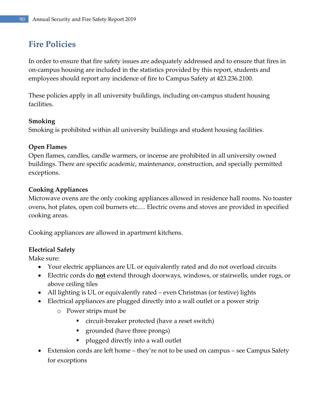### **Fire Policies**

In order to ensure that fire safety issues are adequately addressed and to ensure that fires in on-campus housing are included in the statistics provided by this report, students and employees should report any incidence of fire to Campus Safety at 423.236.2100.

These policies apply in all university buildings, including on-campus student housing facilities.

### **Smoking**

Smoking is prohibited within all university buildings and student housing facilities.

### **Open Flames**

Open flames, candles, candle warmers, or incense are prohibited in all university owned buildings. There are specific academic, maintenance, construction, and specially permitted exceptions.

### **Cooking Appliances**

Microwave ovens are the only cooking appliances allowed in residence hall rooms. No toaster ovens, hot plates, open coil burners etc.… Electric ovens and stoves are provided in specified cooking areas.

Cooking appliances are allowed in apartment kitchens.

### **Electrical Safety**

Make sure:

- Your electric appliances are UL or equivalently rated and do not overload circuits
- Electric cords do **not** extend through doorways, windows, or stairwells, under rugs, or above ceiling tiles
- All lighting is UL or equivalently rated even Christmas (or festive) lights
- Electrical appliances are plugged directly into a wall outlet or a power strip
	- o Power strips must be
		- circuit-breaker protected (have a reset switch)
		- grounded (have three prongs)
		- plugged directly into a wall outlet
- Extension cords are left home they're not to be used on campus see Campus Safety for exceptions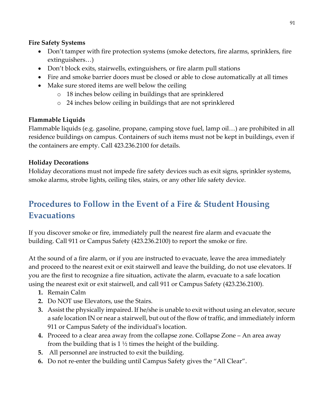### **Fire Safety Systems**

- Don't tamper with fire protection systems (smoke detectors, fire alarms, sprinklers, fire extinguishers…)
- Don't block exits, stairwells, extinguishers, or fire alarm pull stations
- Fire and smoke barrier doors must be closed or able to close automatically at all times
- Make sure stored items are well below the ceiling
	- o 18 inches below ceiling in buildings that are sprinklered
	- o 24 inches below ceiling in buildings that are not sprinklered

### **Flammable Liquids**

Flammable liquids (e.g. gasoline, propane, camping stove fuel, lamp oil…) are prohibited in all residence buildings on campus. Containers of such items must not be kept in buildings, even if the containers are empty. Call 423.236.2100 for details.

### **Holiday Decorations**

Holiday decorations must not impede fire safety devices such as exit signs, sprinkler systems, smoke alarms, strobe lights, ceiling tiles, stairs, or any other life safety device.

### **Procedures to Follow in the Event of a Fire & Student Housing Evacuations**

If you discover smoke or fire, immediately pull the nearest fire alarm and evacuate the building. Call 911 or Campus Safety (423.236.2100) to report the smoke or fire.

At the sound of a fire alarm, or if you are instructed to evacuate, leave the area immediately and proceed to the nearest exit or exit stairwell and leave the building, do not use elevators. If you are the first to recognize a fire situation, activate the alarm, evacuate to a safe location using the nearest exit or exit stairwell, and call 911 or Campus Safety (423.236.2100).

- **1.** Remain Calm
- **2.** Do NOT use Elevators, use the Stairs.
- **3.** Assist the physically impaired. If he/she is unable to exit without using an elevator, secure a safe location IN or near a stairwell, but out of the flow of traffic, and immediately inform 911 or Campus Safety of the individual's location.
- **4.** Proceed to a clear area away from the collapse zone. Collapse Zone An area away from the building that is  $1\frac{1}{2}$  times the height of the building.
- **5.** All personnel are instructed to exit the building.
- **6.** Do not re-enter the building until Campus Safety gives the "All Clear".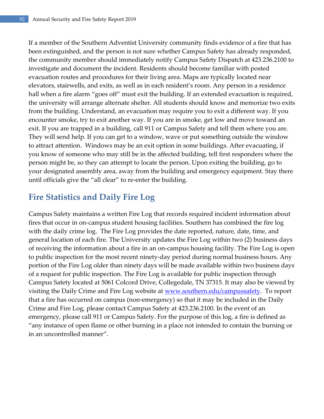If a member of the Southern Adventist University community finds evidence of a fire that has been extinguished, and the person is not sure whether Campus Safety has already responded, the community member should immediately notify Campus Safety Dispatch at 423.236.2100 to investigate and document the incident. Residents should become familiar with posted evacuation routes and procedures for their living area. Maps are typically located near elevators, stairwells, and exits, as well as in each resident's room. Any person in a residence hall when a fire alarm "goes off" must exit the building. If an extended evacuation is required, the university will arrange alternate shelter. All students should know and memorize two exits from the building. Understand, an evacuation may require you to exit a different way. If you encounter smoke, try to exit another way. If you are in smoke, get low and move toward an exit. If you are trapped in a building, call 911 or Campus Safety and tell them where you are. They will send help. If you can get to a window, wave or put something outside the window to attract attention. Windows may be an exit option in some buildings. After evacuating, if you know of someone who may still be in the affected building, tell first responders where the person might be, so they can attempt to locate the person. Upon exiting the building, go to your designated assembly area, away from the building and emergency equipment. Stay there until officials give the "all clear" to re-enter the building.

### **Fire Statistics and Daily Fire Log**

Campus Safety maintains a written Fire Log that records required incident information about fires that occur in on-campus student housing facilities. Southern has combined the fire log with the daily crime log. The Fire Log provides the date reported, nature, date, time, and general location of each fire. The University updates the Fire Log within two (2) business days of receiving the information about a fire in an on-campus housing facility. The Fire Log is open to public inspection for the most recent ninety-day period during normal business hours. Any portion of the Fire Log older than ninety days will be made available within two business days of a request for public inspection. The Fire Log is available for public inspection through Campus Safety located at 5061 Colcord Drive, Collegedale, TN 37315. It may also be viewed by visiting the Daily Crime and Fire Log website at [www.southern.edu/campussafety.](http://www.southern.edu/campussafety) To report that a fire has occurred on campus (non-emergency) so that it may be included in the Daily Crime and Fire Log, please contact Campus Safety at 423.236.2100. In the event of an emergency, please call 911 or Campus Safety. For the purpose of this log, a fire is defined as "any instance of open flame or other burning in a place not intended to contain the burning or in an uncontrolled manner".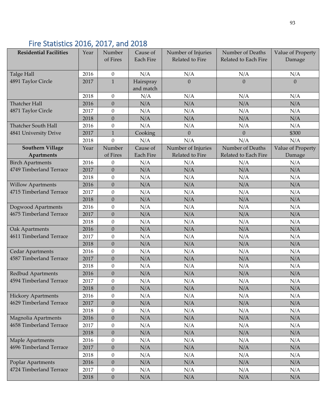## Fire Statistics 2016, 2017, and 2018

| <b>Residential Facilities</b> | Year | Number           | Cause of         | Number of Injuries | Number of Deaths     | Value of Property |
|-------------------------------|------|------------------|------------------|--------------------|----------------------|-------------------|
|                               |      | of Fires         | <b>Each Fire</b> | Related to Fire    | Related to Each Fire | Damage            |
|                               |      |                  |                  |                    |                      |                   |
| Talge Hall                    | 2016 | $\boldsymbol{0}$ | N/A              | N/A                | N/A                  | N/A               |
| 4891 Taylor Circle            | 2017 | $\mathbf{1}$     | Hairspray        | $\Omega$           | $\Omega$             | $\overline{0}$    |
|                               |      |                  | and match        |                    |                      |                   |
|                               | 2018 | $\boldsymbol{0}$ | N/A              | N/A                | N/A                  | N/A               |
| Thatcher Hall                 | 2016 | $\boldsymbol{0}$ | N/A              | N/A                | N/A                  | N/A               |
| 4871 Taylor Circle            | 2017 | $\boldsymbol{0}$ | N/A              | N/A                | N/A                  | N/A               |
|                               | 2018 | $\overline{0}$   | N/A              | N/A                | N/A                  | N/A               |
| Thatcher South Hall           | 2016 | $\boldsymbol{0}$ | N/A              | N/A                | N/A                  | N/A               |
| 4841 University Drive         | 2017 | $\mathbf{1}$     | Cooking          | $\theta$           | $\Omega$             | \$300             |
|                               | 2018 | $\overline{0}$   | N/A              | N/A                | N/A                  | N/A               |
| <b>Southern Village</b>       | Year | Number           | Cause of         | Number of Injuries | Number of Deaths     | Value of Property |
| <b>Apartments</b>             |      | of Fires         | <b>Each Fire</b> | Related to Fire    | Related to Each Fire | Damage            |
| <b>Birch Apartments</b>       | 2016 | $\boldsymbol{0}$ | N/A              | N/A                | N/A                  | N/A               |
| 4749 Timberland Terrace       | 2017 | $\boldsymbol{0}$ | N/A              | N/A                | N/A                  | N/A               |
|                               | 2018 | $\boldsymbol{0}$ | N/A              | N/A                | N/A                  | N/A               |
| <b>Willow Apartments</b>      | 2016 | $\overline{0}$   | N/A              | N/A                | N/A                  | N/A               |
| 4715 Timberland Terrace       | 2017 | $\boldsymbol{0}$ | N/A              | N/A                | N/A                  | N/A               |
|                               | 2018 | $\boldsymbol{0}$ | N/A              | N/A                | N/A                  | N/A               |
| Dogwood Apartments            | 2016 | $\boldsymbol{0}$ | N/A              | N/A                | N/A                  | N/A               |
| 4675 Timberland Terrace       | 2017 | $\boldsymbol{0}$ | N/A              | N/A                | N/A                  | N/A               |
|                               | 2018 | $\boldsymbol{0}$ | N/A              | N/A                | N/A                  | N/A               |
| Oak Apartments                | 2016 | $\boldsymbol{0}$ | N/A              | N/A                | N/A                  | N/A               |
| 4611 Timberland Terrace       | 2017 | $\boldsymbol{0}$ | N/A              | N/A                | N/A                  | N/A               |
|                               | 2018 | $\boldsymbol{0}$ | N/A              | N/A                | N/A                  | N/A               |
| <b>Cedar Apartments</b>       | 2016 | $\boldsymbol{0}$ | N/A              | N/A                | N/A                  | N/A               |
| 4587 Timberland Terrace       | 2017 | $\boldsymbol{0}$ | N/A              | N/A                | N/A                  | N/A               |
|                               | 2018 | $\boldsymbol{0}$ | N/A              | N/A                | N/A                  | N/A               |
| <b>Redbud Apartments</b>      | 2016 | $\boldsymbol{0}$ | N/A              | N/A                | N/A                  | N/A               |
| 4594 Timberland Terrace       | 2017 | $\boldsymbol{0}$ | N/A              | N/A                | N/A                  | N/A               |
|                               | 2018 | 0                | N/A              | N/A                | N/A                  | N/A               |
| <b>Hickory Apartments</b>     | 2016 | $\mathbf{0}$     | N/A              | N/A                | N/A                  | N/A               |
| 4629 Timberland Terrace       | 2017 | $\boldsymbol{0}$ | N/A              | N/A                | N/A                  | N/A               |
|                               | 2018 | $\boldsymbol{0}$ | N/A              | N/A                | N/A                  | N/A               |
| Magnolia Apartments           | 2016 | $\overline{0}$   | N/A              | N/A                | N/A                  | N/A               |
| 4658 Timberland Terrace       | 2017 | $\boldsymbol{0}$ | N/A              | N/A                | N/A                  | N/A               |
|                               | 2018 | $\boldsymbol{0}$ | N/A              | N/A                | N/A                  | N/A               |
| <b>Maple Apartments</b>       | 2016 | $\boldsymbol{0}$ | N/A              | N/A                | N/A                  | N/A               |
| 4696 Timberland Terrace       | 2017 | $\boldsymbol{0}$ | N/A              | N/A                | N/A                  | N/A               |
|                               | 2018 | $\boldsymbol{0}$ | N/A              | N/A                | N/A                  | N/A               |
| Poplar Apartments             | 2016 | $\mathbf{0}$     | N/A              | N/A                | N/A                  | N/A               |
| 4724 Timberland Terrace       | 2017 | $\boldsymbol{0}$ | N/A              | N/A                | N/A                  | N/A               |
|                               | 2018 | $\boldsymbol{0}$ | N/A              | N/A                | N/A                  | N/A               |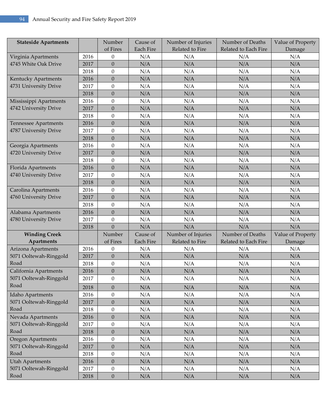| <b>Stateside Apartments</b> |      | Number           | Cause of         | Number of Injuries | Number of Deaths<br>Value of Property |                   |
|-----------------------------|------|------------------|------------------|--------------------|---------------------------------------|-------------------|
|                             |      | of Fires         | <b>Each Fire</b> | Related to Fire    | Related to Each Fire                  | Damage            |
| Virginia Apartments         | 2016 | $\boldsymbol{0}$ | N/A              | N/A                | N/A                                   | N/A               |
| 4745 White Oak Drive        | 2017 | $\boldsymbol{0}$ | N/A              | N/A                | N/A                                   | N/A               |
|                             | 2018 | $\boldsymbol{0}$ | N/A              | N/A                | N/A                                   | N/A               |
| Kentucky Apartments         | 2016 | $\overline{0}$   | N/A              | N/A                | N/A                                   | N/A               |
| 4731 University Drive       | 2017 | $\mathbf{0}$     | N/A              | N/A                | N/A                                   | N/A               |
|                             | 2018 | $\boldsymbol{0}$ | N/A              | N/A                | N/A                                   | N/A               |
| Mississippi Apartments      | 2016 | $\overline{0}$   | N/A              | N/A                | N/A                                   | N/A               |
| 4742 University Drive       | 2017 | $\boldsymbol{0}$ | N/A              | N/A                | N/A                                   | $\rm N/A$         |
|                             | 2018 | $\boldsymbol{0}$ | N/A              | N/A                | N/A                                   | N/A               |
| <b>Tennessee Apartments</b> | 2016 | $\overline{0}$   | N/A              | N/A                | N/A                                   | N/A               |
| 4787 University Drive       | 2017 | $\mathbf{0}$     | N/A              | N/A                | N/A                                   | N/A               |
|                             | 2018 | $\boldsymbol{0}$ | N/A              | N/A                | N/A                                   | N/A               |
| Georgia Apartments          | 2016 | $\boldsymbol{0}$ | N/A              | N/A                | N/A                                   | N/A               |
| 4720 University Drive       | 2017 | $\boldsymbol{0}$ | N/A              | N/A                | N/A                                   | $\rm N/A$         |
|                             | 2018 | $\boldsymbol{0}$ | N/A              | N/A                | N/A                                   | N/A               |
| Florida Apartments          | 2016 | $\overline{0}$   | N/A              | N/A                | N/A                                   | N/A               |
| 4740 University Drive       | 2017 | $\mathbf{0}$     | N/A              | N/A                | N/A                                   | N/A               |
|                             | 2018 | $\boldsymbol{0}$ | N/A              | N/A                | N/A                                   | N/A               |
| Carolina Apartments         | 2016 | $\boldsymbol{0}$ | N/A              | N/A                | N/A                                   | N/A               |
| 4760 University Drive       | 2017 | $\boldsymbol{0}$ | N/A              | N/A                | N/A                                   | $\rm N/A$         |
|                             | 2018 | $\boldsymbol{0}$ | N/A              | N/A                | N/A                                   | N/A               |
| Alabama Apartments          | 2016 | $\overline{0}$   | N/A              | N/A                | N/A                                   | N/A               |
| 4780 University Drive       | 2017 | $\overline{0}$   | N/A              | N/A                | N/A                                   | N/A               |
|                             | 2018 | $\mathbf{0}$     | N/A              | N/A                | N/A                                   | N/A               |
| <b>Winding Creek</b>        |      | Number           | Cause of         | Number of Injuries | Number of Deaths                      | Value of Property |
| Apartments                  |      | of Fires         | <b>Each Fire</b> | Related to Fire    | Related to Each Fire                  | Damage            |
| Arizona Apartments          | 2016 | $\boldsymbol{0}$ | N/A              | N/A                | N/A                                   | N/A               |
| 5071 Ooltewah-Ringgold      | 2017 | $\boldsymbol{0}$ | N/A              | N/A                | N/A                                   | N/A               |
| Road                        | 2018 | $\mathbf{0}$     | N/A              | N/A                | N/A                                   | N/A               |
| California Apartments       | 2016 | $\boldsymbol{0}$ | N/A              | N/A                | N/A                                   | N/A               |
| 5071 Ooltewah-Ringgold      | 2017 | 0                | N/A              | N/A                | N/A                                   | N/A               |
| Road                        | 2018 | $\boldsymbol{0}$ | N/A              | N/A                | N/A                                   | N/A               |
| Idaho Apartments            | 2016 | $\mathbf{0}$     | N/A              | N/A                | N/A                                   | N/A               |
| 5071 Ooltewah-Ringgold      | 2017 | $\boldsymbol{0}$ | N/A              | N/A                | N/A                                   | N/A               |
| Road                        | 2018 | $\boldsymbol{0}$ | N/A              | N/A                | N/A                                   | N/A               |
| Nevada Apartments           | 2016 | $\boldsymbol{0}$ | N/A              | N/A                | N/A                                   | N/A               |
| 5071 Ooltewah-Ringgold      | 2017 | $\mathbf{0}$     | N/A              | N/A                | N/A                                   | N/A               |
| Road                        | 2018 | $\boldsymbol{0}$ | N/A              | N/A                | N/A                                   | N/A               |
| Oregon Apartments           | 2016 | $\boldsymbol{0}$ | N/A              | N/A                | N/A                                   | N/A               |
| 5071 Ooltewah-Ringgold      | 2017 | $\boldsymbol{0}$ | N/A              | N/A                | N/A                                   | N/A               |
| Road                        | 2018 | $\boldsymbol{0}$ | N/A              | N/A                | N/A                                   | N/A               |
| <b>Utah Apartments</b>      | 2016 | $\overline{0}$   | N/A              | N/A                | N/A                                   | N/A               |
| 5071 Ooltewah-Ringgold      | 2017 | $\mathbf{0}$     | N/A              | N/A                | N/A                                   | N/A               |
| Road                        | 2018 | $\boldsymbol{0}$ | N/A              | N/A                | N/A                                   | N/A               |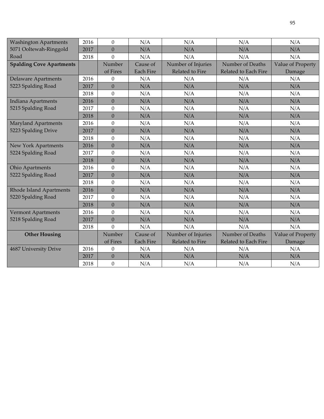| <b>Washington Apartments</b>    | 2016 | $\Omega$         | N/A              | N/A                | N/A                  | N/A               |
|---------------------------------|------|------------------|------------------|--------------------|----------------------|-------------------|
| 5071 Ooltewah-Ringgold          | 2017 | $\mathbf{0}$     | N/A              | N/A                | N/A                  | N/A               |
| Road                            | 2018 | $\theta$         | N/A              | N/A                | N/A                  | N/A               |
| <b>Spalding Cove Apartments</b> |      | Number           | Cause of         | Number of Injuries | Number of Deaths     | Value of Property |
|                                 |      | of Fires         | <b>Each Fire</b> | Related to Fire    | Related to Each Fire | Damage            |
| <b>Delaware Apartments</b>      | 2016 | $\boldsymbol{0}$ | N/A              | N/A                | N/A                  | N/A               |
| 5223 Spalding Road              | 2017 | $\overline{0}$   | N/A              | N/A                | N/A                  | N/A               |
|                                 | 2018 | $\boldsymbol{0}$ | N/A              | N/A                | N/A                  | N/A               |
| Indiana Apartments              | 2016 | $\overline{0}$   | N/A              | N/A                | N/A                  | N/A               |
| 5215 Spalding Road              | 2017 | $\mathbf{0}$     | N/A              | N/A                | N/A                  | N/A               |
|                                 | 2018 | $\Omega$         | N/A              | N/A                | N/A                  | N/A               |
| <b>Maryland Apartments</b>      | 2016 | $\theta$         | N/A              | N/A                | N/A                  | N/A               |
| 5223 Spalding Drive             | 2017 | $\mathbf{0}$     | N/A              | N/A                | N/A                  | N/A               |
|                                 | 2018 | $\theta$         | N/A              | N/A                | N/A                  | N/A               |
| New York Apartments             | 2016 | $\overline{0}$   | N/A              | N/A                | N/A                  | N/A               |
| 5224 Spalding Road              | 2017 | $\boldsymbol{0}$ | N/A              | N/A                | N/A                  | N/A               |
|                                 | 2018 | $\mathbf{0}$     | N/A              | N/A                | N/A                  | N/A               |
| <b>Ohio Apartments</b>          | 2016 | $\mathbf{0}$     | N/A              | N/A                | N/A                  | N/A               |
| 5222 Spalding Road              | 2017 | $\mathbf{0}$     | N/A              | N/A                | N/A                  | N/A               |
|                                 | 2018 | $\theta$         | N/A              | N/A                | N/A                  | N/A               |
| <b>Rhode Island Apartments</b>  | 2016 | $\overline{0}$   | N/A              | N/A                | N/A                  | N/A               |
| 5220 Spalding Road              | 2017 | $\boldsymbol{0}$ | N/A              | N/A                | N/A                  | N/A               |
|                                 | 2018 | $\mathbf{0}$     | N/A              | N/A                | N/A                  | N/A               |
| <b>Vermont Apartments</b>       | 2016 | $\theta$         | N/A              | N/A                | N/A                  | N/A               |
| 5218 Spalding Road              | 2017 | $\overline{0}$   | N/A              | N/A                | N/A                  | N/A               |
|                                 | 2018 | $\overline{0}$   | N/A              | N/A                | N/A                  | N/A               |
| <b>Other Housing</b>            |      | Number           | Cause of         | Number of Injuries | Number of Deaths     | Value of Property |
|                                 |      | of Fires         | <b>Each Fire</b> | Related to Fire    | Related to Each Fire | Damage            |
| 4687 University Drive           | 2016 | $\Omega$         | N/A              | N/A                | N/A                  | N/A               |
|                                 | 2017 | $\boldsymbol{0}$ | N/A              | N/A                | N/A                  | N/A               |
|                                 | 2018 | $\mathbf{0}$     | N/A              | N/A                | N/A                  | N/A               |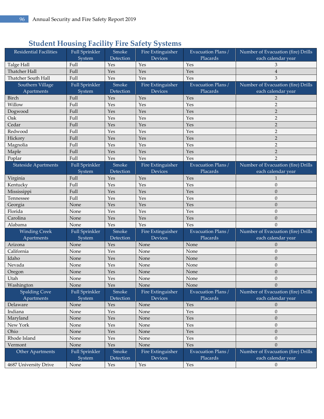### **Student Housing Facility Fire Safety Systems**

| <b>Residential Facilities</b> | Full Sprinkler        | Smoke     | Fire Extinguisher | Evacuation Plans / | Number of Evacuation (fire) Drills |
|-------------------------------|-----------------------|-----------|-------------------|--------------------|------------------------------------|
|                               | System                | Detection | <b>Devices</b>    | Placards           | each calendar year                 |
| Talge Hall                    | Full                  | Yes       | Yes               | Yes                | 3                                  |
| Thatcher Hall                 | Full                  | Yes       | Yes               | Yes                | $\overline{4}$                     |
| Thatcher South Hall           | Full                  | Yes       | Yes               | Yes                | 3                                  |
| Southern Village              | <b>Full Sprinkler</b> | Smoke     | Fire Extinguisher | Evacuation Plans / | Number of Evacuation (fire) Drills |
| Apartments                    | System                | Detection | <b>Devices</b>    | Placards           | each calendar year                 |
| Birch                         | Full                  | Yes       | Yes               | Yes                | $\overline{2}$                     |
| Willow                        | Full                  | Yes       | Yes               | Yes                | $\overline{2}$                     |
| Dogwood                       | Full                  | Yes       | Yes               | Yes                | $\overline{2}$                     |
| Oak                           | Full                  | Yes       | Yes               | Yes                | $\overline{2}$                     |
| Cedar                         | Full                  | Yes       | Yes               | Yes                | $\overline{2}$                     |
| Redwood                       | Full                  | Yes       | Yes               | Yes                | $\overline{2}$                     |
| Hickory                       | Full                  | Yes       | Yes               | Yes                | $\overline{2}$                     |
| Magnolia                      | Full                  | Yes       | Yes               | Yes                | $\overline{2}$                     |
| Maple                         | Full                  | Yes       | Yes               | Yes                | $\overline{2}$                     |
| Poplar                        | Full                  | Yes       | Yes               | Yes                | $\overline{2}$                     |
| <b>Stateside Apartments</b>   | Full Sprinkler        | Smoke     | Fire Extinguisher | Evacuation Plans / | Number of Evacuation (fire) Drills |
|                               | System                | Detection | Devices           | Placards           | each calendar year                 |
| Virginia                      | Full                  | Yes       | Yes               | Yes                | 1                                  |
| Kentucky                      | Full                  | Yes       | Yes               | Yes                | $\theta$                           |
| Mississippi                   | Full                  | Yes       | Yes               | Yes                | $\theta$                           |
| Tennessee                     | Full                  | Yes       | Yes               | Yes                | $\theta$                           |
| Georgia                       | None                  | Yes       | Yes               | Yes                | $\theta$                           |
| Florida                       | None                  | Yes       | Yes               | Yes                | $\theta$                           |
| Carolina                      | None                  | Yes       | Yes               | Yes                | $\theta$                           |
| Alabama                       | None                  | Yes       | Yes               | Yes                | $\Omega$                           |
| <b>Winding Creek</b>          | <b>Full Sprinkler</b> | Smoke     | Fire Extinguisher | Evacuation Plans / | Number of Evacuation (fire) Drills |
| Apartments                    | System                | Detection | Devices           | Placards           | each calendar year                 |
| Arizona                       | None                  | Yes       | None              | None               | $\mathbf{0}$                       |
| California                    | None                  | Yes       | None              | None               | $\theta$                           |
| Idaho                         | None                  | Yes       | None              | None               | $\theta$                           |
| Nevada                        | None                  | Yes       | None              | None               | $\theta$                           |
| Oregon                        | None                  | Yes       | None              | None               | $\boldsymbol{0}$                   |
| Utah                          | None                  | Yes       | None              | None               | $\theta$                           |
| Washington                    | None                  | Yes       | None              | None               | $\Omega$                           |
| <b>Spalding Cove</b>          | <b>Full Sprinkler</b> | Smoke     | Fire Extinguisher | Evacuation Plans / | Number of Evacuation (fire) Drills |
| Apartments                    | System                | Detection | <b>Devices</b>    | Placards           | each calendar year                 |
| Delaware                      | None                  | Yes       | None              | Yes                | $\mathbf{0}$                       |
| Indiana                       | None                  | Yes       | None              | Yes                | $\boldsymbol{0}$                   |
| Maryland                      | None                  | Yes       | None              | Yes                | $\boldsymbol{0}$                   |
| New York                      | None                  | Yes       | None              | Yes                | $\boldsymbol{0}$                   |
| Ohio                          | None                  | Yes       | None              | Yes                | $\mathbf{0}$                       |
| Rhode Island                  | None                  | Yes       | None              | Yes                | $\mathbf{0}$                       |
| Vermont                       | None                  | Yes       | None              | Yes                | $\theta$                           |
| Other Apartments              | Full Sprinkler        | Smoke     | Fire Extinguisher | Evacuation Plans / | Number of Evacuation (fire) Drills |
|                               | System                | Detection | Devices           | Placards           | each calendar year                 |
| 4687 University Drive         | None                  | Yes       | Yes               | Yes                | $\theta$                           |